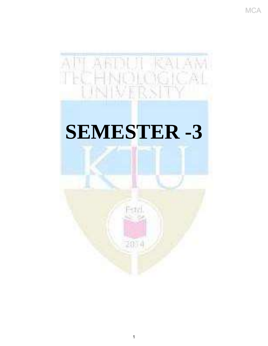

# **SEMESTER -3**

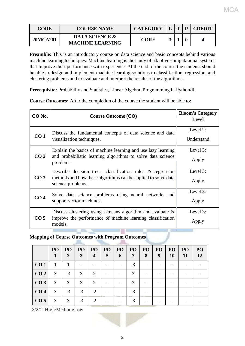| <b>CODE</b>     | <b>COURSE NAME</b>                                   | <b>CATEGORY</b> | $\mathbf{r}$ | P | <b>CREDIT</b> |
|-----------------|------------------------------------------------------|-----------------|--------------|---|---------------|
| <b>20MCA201</b> | <b>DATA SCIENCE &amp;</b><br><b>MACHINE LEARNING</b> | <b>CORE</b>     |              |   |               |

Preamble: This is an introductory course on data science and basic concepts behind various machine learning techniques. Machine learning is the study of adaptive computational systems that improve their performance with experience. At the end of the course the students should be able to design and implement machine learning solutions to classification, regression, and clustering problems and to evaluate and interpret the results of the algorithms.

**Prerequisite:** Probability and Statistics, Linear Algebra, Programming in Python/R.

**Course Outcomes:** After the completion of the course the student will be able to:

| CO No.          | <b>Course Outcome (CO)</b>                                                                                                                          | <b>Bloom's Category</b><br><b>Level</b> |
|-----------------|-----------------------------------------------------------------------------------------------------------------------------------------------------|-----------------------------------------|
| CO <sub>1</sub> | Discuss the fundamental concepts of data science and data<br>visualization techniques.                                                              | Level 2:<br>Understand                  |
| CO <sub>2</sub> | Explain the basics of machine learning and use lazy learning<br>and probabilistic learning algorithms to solve data science<br>problems.            | Level 3:<br>Apply                       |
| CO <sub>3</sub> | Describe decision trees, classification rules $\&$ regression<br>methods and how these algorithms can be applied to solve data<br>science problems. | Level 3:<br>Apply                       |
| CO <sub>4</sub> | Solve data science problems using neural networks and<br>support vector machines.                                                                   | Level 3:<br>Apply                       |
| CO <sub>5</sub> | Discuss clustering using k-means algorithm and evaluate $\&$<br>improve the performance of machine learning classification<br>models.               | Level 3:<br>Apply                       |

**Mapping of Course Outcomes with Program Outcomes**

|                 | PO <sub>1</sub><br>1 | PO<br>2 | <b>PO</b><br>3 | P <sub>O</sub><br>4         | PO <sub>1</sub><br>5 | P <sub>O</sub><br>6 | <b>PO</b><br>7 | P <sub>O</sub><br>8 | PO <sub>1</sub><br>9 | P <sub>O</sub><br>10 | PO <sub>1</sub><br>11 | P <sub>O</sub><br>12 |
|-----------------|----------------------|---------|----------------|-----------------------------|----------------------|---------------------|----------------|---------------------|----------------------|----------------------|-----------------------|----------------------|
| CO <sub>1</sub> |                      |         |                |                             |                      |                     | 3              |                     |                      |                      |                       |                      |
| CO <sub>2</sub> | 3                    | 3       | 3              | 2                           |                      |                     | $\mathcal{R}$  |                     |                      |                      |                       |                      |
| CO <sub>3</sub> | 3                    | 3       | $\mathcal{R}$  | 2                           |                      |                     | $\mathcal{R}$  |                     |                      |                      |                       |                      |
| CO <sub>4</sub> | 3                    | 3       | $\mathcal{R}$  | $\mathcal{D}$               |                      |                     | $\mathcal{R}$  |                     |                      |                      |                       |                      |
| CO <sub>5</sub> | 3                    | 3       | 3              | $\mathcal{D}_{\mathcal{L}}$ |                      |                     | $\mathcal{R}$  |                     |                      |                      |                       |                      |

3/2/1: High/Medium/Low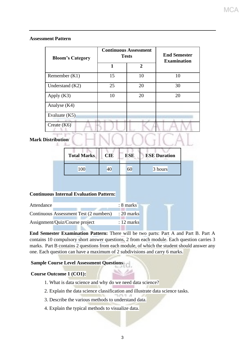#### **Assessment Pattern**

| <b>Bloom's Category</b> |    | <b>Continuous Assessment</b><br><b>Tests</b> | <b>End Semester</b><br><b>Examination</b> |  |
|-------------------------|----|----------------------------------------------|-------------------------------------------|--|
|                         | 1  | $\overline{2}$                               |                                           |  |
| Remember $(K1)$         | 15 | 10                                           | 10                                        |  |
| Understand $(K2)$       | 25 | 20                                           | 30                                        |  |
| Apply $(K3)$            | 10 | 20                                           | 20                                        |  |
| Analyse (K4)            |    |                                              |                                           |  |
| Evaluate $(K5)$         |    |                                              |                                           |  |
| Create $(K6)$           |    |                                              |                                           |  |

### **Mark Distribution**

| <b>Total Marks</b> | CIE | <b>ESE</b> | <b>ESE Duration</b> |
|--------------------|-----|------------|---------------------|
| 100                |     | 60         | 3 hours             |

#### **Continuous Internal Evaluation Pattern:**

| Attendance |                                        | $: 8 \text{ marks}$   |  |
|------------|----------------------------------------|-----------------------|--|
|            |                                        |                       |  |
|            | Continuous Assessment Test (2 numbers) | $\therefore$ 20 marks |  |
|            |                                        |                       |  |
|            | Assignment/Quiz/Course project         | $: 12 \text{ marks}$  |  |
|            |                                        |                       |  |

**End Semester Examination Pattern:** There will be two parts: Part A and Part B. Part A contains 10 compulsory short answer questions, 2 from each module. Each question carries 3 marks. Part B contains 2 questions from each module, of which the student should answer any one. Each question can have a maximum of 2 subdivisions and carry 6 marks.

#### **Sample Course Level Assessment Questions**

#### **Course Outcome 1 (CO1):**

- 1. What is data science and why do we need data science?
- 2. Explain the data science classification and illustrate data science tasks.
- 3. Describe the various methods to understand data.
- 4. Explain the typical methods to visualize data.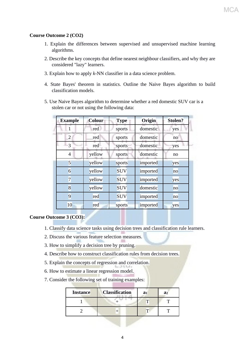#### **Course Outcome 2 (CO2)**

- 1. Explain the differences between supervised and unsupervised machine learning algorithms.
- 2. Describe the key concepts that define nearest neighbour classifiers, and why they are considered "lazy" learners.
- 3. Explain how to apply *k*-NN classifier in a data science problem.
- 4. State Bayes' theorem in statistics. Outline the Naive Bayes algorithm to build classification models.
- 5. Use Naive Bayes algorithm to determine whether a red domestic SUV car is a stolen car or not using the following data:

| <b>Example</b> | <b>Colour</b> | <b>Type</b> | Origin   | Stolen? |
|----------------|---------------|-------------|----------|---------|
|                | red           | sports      | domestic | yes     |
| 2              | red           | sports      | domestic | no      |
| 3              | red           | sports      | domestic | yes     |
| 4              | yellow        | sports      | domestic | no      |
| 5              | yellow        | sports      | imported | yes     |
| 6              | yellow        | <b>SUV</b>  | imported | no      |
| $\overline{7}$ | yellow        | <b>SUV</b>  | imported | yes     |
| 8              | yellow        | <b>SUV</b>  | domestic | no      |
| 9              | red           | <b>SUV</b>  | imported | no      |
| 10             | red           | sports      | imported | yes     |

#### **Course Outcome 3 (CO3):**

- 1. Classify data science tasks using decision trees and classification rule learners.
- 2. Discuss the various feature selection measures.
- 3. How to simplify a decision tree by pruning.
- 4. Describe how to construct classification rules from decision trees.
- 5. Explain the concepts of regression and correlation.
- 6. How to estimate a linear regression model.
- 7. Consider the following set of training examples:

| <b>Instance</b> | <b>Classification</b> | a <sub>1</sub> | a <sub>2</sub> |
|-----------------|-----------------------|----------------|----------------|
|                 |                       |                |                |
|                 |                       |                |                |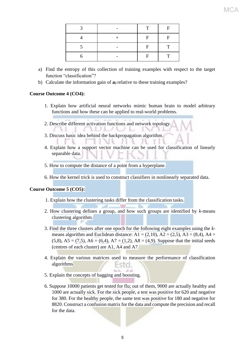|  | T  | F  |
|--|----|----|
|  | F  | F. |
|  | F. | г  |
|  | F  |    |

- a) Find the entropy of this collection of training examples with respect to the target function "classification"?
- b) Calculate the information gain of **a<sup>2</sup>** relative to these training examples?

#### **Course Outcome 4 (CO4):**

- 1. Explain how artificial neural networks mimic human brain to model arbitrary functions and how these can be applied to real-world problems.
- 2. Describe different activation functions and network topology. 'nЛ **FL**

NN.

- 3. Discuss basic idea behind the backpropagation algorithm.
- 4. Explain how a support vector machine can be used for classification of linearly separable data.
- 5. How to compute the distance of a point from a hyperplane.
- 6. How the kernel trick is used to construct classifiers in nonlinearly separated data.

#### **Course Outcome 5 (CO5):**

- 1. Explain how the clustering tasks differ from the classification tasks.
- 2. How clustering defines a group, and how such groups are identified by *k*-means clustering algorithm.
- 3. Find the three clusters after one epoch for the following eight examples using the *k*means algorithm and Euclidean distance:  $A1 = (2,10)$ ,  $A2 = (2,5)$ ,  $A3 = (8,4)$ ,  $A4 =$  $(5,8)$ , A5 = (7,5), A6 = (6,4), A7 = (1,2), A8 = (4,9). Suppose that the initial seeds (centres of each cluster) are A1, A4 and A7.
- 4. Explain the various matrices used to measure the performance of classification algorithms Esta.

talk shall

- 5. Explain the concepts of bagging and boosting.
- 6. Suppose 10000 patients get tested for flu; out of them, 9000 are actually healthy and 1000 are actually sick. For the sick people, a test was positive for 620 and negative for 380. For the healthy people, the same test was positive for 180 and negative for 8820. Construct a confusion matrix for the data and compute the precision and recall for the data.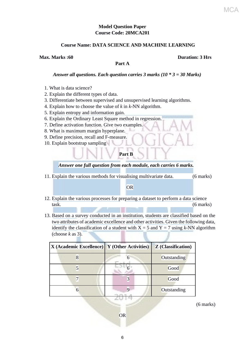#### **Model Question Paper Course Code: 20MCA201**

#### **Course Name: DATA SCIENCE AND MACHINE LEARNING**

**Max. Marks :60 Duration: 3 Hrs**

#### **Part A**

#### *Answer all questions. Each question carries 3 marks (10 \* 3 = 30 Marks)*

- 1. What is data science?
- 2. Explain the different types of data.
- 3. Differentiate between supervised and unsupervised learning algorithms.
- 4. Explain how to choose the value of *k* in *k*-NN algorithm.
- 5. Explain entropy and information gain.
- 6. Explain the Ordinary Least Square method in regression.
- 7. Define activation function. Give two examples.
- 8. What is maximum margin hyperplane.
- 9. Define precision, recall and F-measure.
- 10. Explain bootstrap sampling

#### **Part B**

#### *Answer one full question from each module, each carries 6 marks.*

11. Explain the various methods for visualising multivariate data. (6 marks)

#### OR

- 12. Explain the various processes for preparing a dataset to perform a data science task. (6 marks)
- 13. Based on a survey conducted in an institution, students are classified based on the two attributes of academic excellence and other activities. Given the following data, identify the classification of a student with  $X = 5$  and  $Y = 7$  using *k*-NN algorithm (choose  $k$  as 3).

| X (Academic Excellence)   Y (Other Activities) |                 | <b>Z</b> (Classification) |
|------------------------------------------------|-----------------|---------------------------|
| 8                                              |                 | Outstanding               |
|                                                |                 | Good                      |
|                                                | $\vert 3 \vert$ | Good                      |
|                                                |                 | Outstanding               |

(6 marks)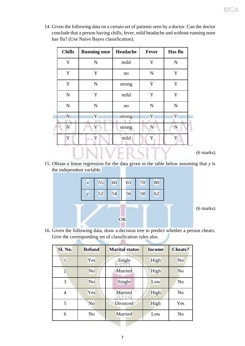14. Given the following data on a certain set of patients seen by a doctor. Can the doctor conclude that a person having chills, fever, mild headache and without running nose has flu? (Use Naive Bayes classification).

| <b>Chills</b> | <b>Running nose</b> | Headache | Fever       | Has flu     |
|---------------|---------------------|----------|-------------|-------------|
| Y             | $\mathbf N$         | mild     | Y           | ${\bf N}$   |
| Y             | Y                   | no       | $\mathbf N$ | Y           |
| $\mathbf Y$   | ${\bf N}$           | strong   | Y           | Y           |
| ${\bf N}$     | Y                   | mild     | Y           | $\mathbf Y$ |
| ${\bf N}$     | $\mathbf N$         | no       | $\mathbf N$ | $\mathbf N$ |
| N             | Y                   | strong   | Y           | Y           |
| $\mathbf N$   | Y                   | strong   | N           | $\mathbf N$ |
| Y             | Y                   | mild     | Y           |             |

(6 marks)

15. Obtain a linear regression for the data given in the table below assuming that *y* is the independent variable.

IN I V E K.Ə.I

IJ



T

16. Given the following data, draw a decision tree to predict whether a person cheats. Give the corresponding set of classification rules also.

| Sl. No.        | <b>Refund</b>  | <b>Marital status</b> | <b>Income</b> | <b>Cheats?</b> |
|----------------|----------------|-----------------------|---------------|----------------|
| $\mathbf{1}$   | Yes            | Single                | High          | N <sub>o</sub> |
| $\overline{2}$ | N <sub>o</sub> | Married               | High          | N <sub>o</sub> |
| 3              | N <sub>o</sub> | Single                | Low           | N <sub>o</sub> |
| $\overline{4}$ | Yes            | Married               | High          | N <sub>o</sub> |
| 5              | N <sub>o</sub> | Divorced              | High          | Yes            |
| 6              | N <sub>o</sub> | Married               | Low           | N <sub>o</sub> |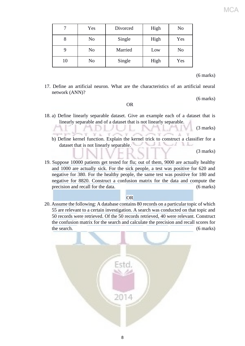|    | Yes            | Divorced | High | N <sub>o</sub> |
|----|----------------|----------|------|----------------|
| 8  | N <sub>0</sub> | Single   | High | Yes            |
|    | N <sub>o</sub> | Married  | Low  | No             |
| 10 | N <sub>0</sub> | Single   | High | Yes            |

#### (6 marks)

MCA

17. Define an artificial neuron. What are the characteristics of an artificial neural network (ANN)?

(6 marks)

#### OR

18. a) Define linearly separable dataset. Give an example each of a dataset that is linearly separable and of a dataset that is not linearly separable.

(3 marks)

b) Define kernel function. Explain the kernel trick to construct a classifier for a dataset that is not linearly separable.

(3 marks)

19. Suppose 10000 patients get tested for flu; out of them, 9000 are actually healthy and 1000 are actually sick. For the sick people, a test was positive for 620 and negative for 380. For the healthy people, the same test was positive for 180 and negative for 8820. Construct a confusion matrix for the data and compute the precision and recall for the data. (6 marks)

#### **OR**

20. Assume the following: A database contains 80 records on a particular topic of which 55 are relevant to a certain investigation. A search was conducted on that topic and 50 records were retrieved. Of the 50 records retrieved, 40 were relevant. Construct the confusion matrix for the search and calculate the precision and recall scores for the search. (6 marks)

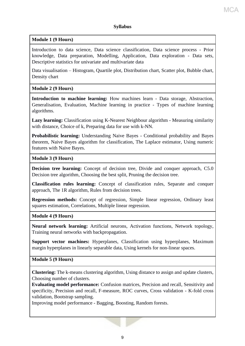#### **Module 1 (9 Hours)**

Introduction to data science, Data science classification, Data science process - Prior knowledge, Data preparation, Modelling, Application, Data exploration - Data sets, Descriptive statistics for univariate and multivariate data

Data visualisation – Histogram, Quartile plot, Distribution chart, Scatter plot, Bubble chart, Density chart

#### **Module 2 (9 Hours)**

**Introduction to machine learning:** How machines learn - Data storage, Abstraction, Generalisation, Evaluation, Machine learning in practice - Types of machine learning algorithms.

**Lazy learning:** Classification using K-Nearest Neighbour algorithm - Measuring similarity with distance, Choice of k, Preparing data for use with k-NN.

**Probabilistic learning:** Understanding Naive Bayes - Conditional probability and Bayes theorem, Naive Bayes algorithm for classification, The Laplace estimator, Using numeric features with Naive Bayes.

#### **Module 3 (9 Hours)**

**Decision tree learning:** Concept of decision tree, Divide and conquer approach, C5.0 Decision tree algorithm, Choosing the best split, Pruning the decision tree.

**Classification rules learning:** Concept of classification rules, Separate and conquer approach, The 1R algorithm, Rules from decision trees.

**Regression methods:** Concept of regression, Simple linear regression, Ordinary least squares estimation, Correlations, Multiple linear regression.

#### **Module 4 (9 Hours)**

**Neural network learning:** Artificial neurons, Activation functions, Network topology, Training neural networks with backpropagation.

**Support vector machines:** Hyperplanes, Classification using hyperplanes, Maximum margin hyperplanes in linearly separable data, Using kernels for non-linear spaces.

#### **Module 5 (9 Hours)**

**Clustering:** The k-means clustering algorithm, Using distance to assign and update clusters, Choosing number of clusters.

**Evaluating model performance:** Confusion matrices, Precision and recall, Sensitivity and specificity, Precision and recall, F-measure, ROC curves, Cross validation - K-fold cross validation, Bootstrap sampling.

Improving model performance - Bagging, Boosting, Random forests.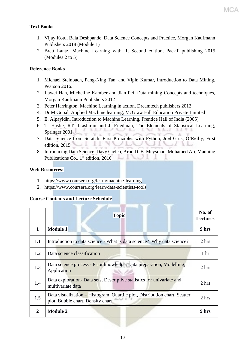#### **Text Books**

- 1. Vijay Kotu, Bala Deshpande, Data Science Concepts and Practice, Morgan Kaufmann Publishers 2018 (Module 1)
- 2. Brett Lantz, Machine Learning with R, Second edition, PackT publishing 2015 (Modules 2 to 5)

#### **Reference Books**

- 1. Michael Steinbach, Pang-Ning Tan, and Vipin Kumar, Introduction to Data Mining, Pearson 2016.
- 2. Jiawei Han, Micheline Kamber and Jian Pei, Data mining Concepts and techniques, Morgan Kaufmann Publishers 2012
- 3. Peter Harrington, Machine Learning in action, Dreamtech publishers 2012
- 4. Dr M Gopal, Applied Machine learning, McGraw Hill Education Private Limited
- 5. E. Alpayidin, Introduction to Machine Learning, Prentice Hall of India (2005)
- 6. T. Hastie, RT Ibrashiran and J. Friedman, The Elements of Statistical Learning, Springer 2001
- 7. Data Science from Scratch: First Principles with Python, Joel Grus, O'Reilly, First edition, 2015
- 8. Introducing Data Science, Davy Cielen, Arno D. B. Meysman, Mohamed Ali, Manning Publications Co., 1<sup>st</sup> edition, 2016

#### **Web Resources:**

- 1. https://www.coursera.org/learn/machine-learning
- 2. https://www.coursera.org/learn/data-scientists-tools

#### **Course Contents and Lecture Schedule**

|              | <b>Topic</b>                                                                                                    | No. of<br><b>Lectures</b> |
|--------------|-----------------------------------------------------------------------------------------------------------------|---------------------------|
| $\mathbf{1}$ | <b>Module 1</b>                                                                                                 | 9 hrs                     |
| 1.1          | Introduction to data science - What is data science? Why data science?                                          | 2 hrs                     |
| 1.2          | Data science classification                                                                                     | 1 <sub>hr</sub>           |
| 1.3          | Data science process - Prior knowledge, Data preparation, Modelling,<br>Application                             | 2 hrs                     |
| 1.4          | Data exploration - Data sets, Descriptive statistics for univariate and<br>multivariate data                    | 2 hrs                     |
| 1.5          | Data visualization – Histogram, Quartile plot, Distribution chart, Scatter<br>plot, Bubble chart, Density chart | 2 hrs                     |
| $\mathbf{2}$ | <b>Module 2</b>                                                                                                 | 9 hrs                     |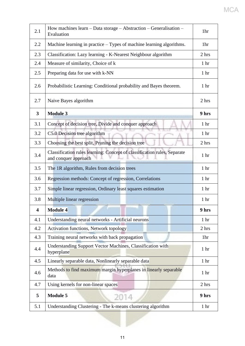| 2.1                     | How machines $learn - Data storage - Abstraction - Generalisation -$<br>Evaluation               | 1hr              |
|-------------------------|--------------------------------------------------------------------------------------------------|------------------|
| 2.2                     | Machine learning in practice – Types of machine learning algorithms.                             | 1hr              |
| 2.3                     | Classification: Lazy learning - K-Nearest Neighbour algorithm                                    | 2 hrs            |
| 2.4                     | Measure of similarity, Choice of k                                                               | 1 <sub>hr</sub>  |
| 2.5                     | Preparing data for use with k-NN                                                                 | 1 <sub>hr</sub>  |
| 2.6                     | Probabilistic Learning: Conditional probability and Bayes theorem.                               | 1 <sub>hr</sub>  |
| 2.7                     | Naive Bayes algorithm                                                                            | 2 hrs            |
| $\overline{\mathbf{3}}$ | <b>Module 3</b>                                                                                  | 9 hrs            |
| 3.1                     | Concept of decision tree, Divide and conquer approach                                            | 1 <sub>hr</sub>  |
| 3.2                     | C5.0 Decision tree algorithm                                                                     | 1 <sub>hr</sub>  |
| 3.3                     | Choosing the best split, Pruning the decision tree                                               | 2 hrs            |
| 3.4                     | Classification rules learning: Concept of classification rules, Separate<br>and conquer approach | 1 <sub>hr</sub>  |
| 3.5                     | The 1R algorithm, Rules from decision trees                                                      | 1 <sub>hr</sub>  |
| 3.6                     | Regression methods: Concept of regression, Correlations                                          | 1 <sub>hr</sub>  |
| 3.7                     | Simple linear regression, Ordinary least squares estimation                                      | 1 <sub>hr</sub>  |
| 3.8                     | Multiple linear regression                                                                       | 1 <sub>hr</sub>  |
| $\overline{\mathbf{4}}$ | Module 4                                                                                         | 9 hrs            |
| 4.1                     | Understanding neural networks - Artificial neurons                                               | 1 <sub>hr</sub>  |
| 4.2                     | Activation functions, Network topology                                                           | 2 hrs            |
| 4.3                     | Training neural networks with back propagation                                                   | 1hr              |
| 4.4                     | Understanding Support Vector Machines, Classification with<br>hyperplane                         | 1 <sub>hr</sub>  |
| 4.5                     | Linearly separable data, Nonlinearly separable data                                              | $1\ \mathrm{hr}$ |
| 4.6                     | Methods to find maximum margin hyperplanes in linearly separable<br>data                         | 1 <sub>hr</sub>  |
| 4.7                     | Using kernels for non-linear spaces                                                              | 2 hrs            |
|                         |                                                                                                  |                  |
| 5                       | <b>Module 5</b><br>2014                                                                          | 9 hrs            |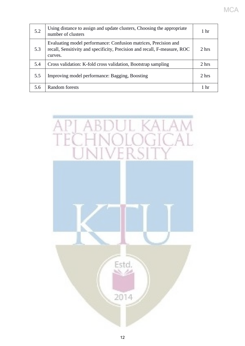| 5.2 | Using distance to assign and update clusters, Choosing the appropriate<br>number of clusters                                                            | 1 <sub>hr</sub> |
|-----|---------------------------------------------------------------------------------------------------------------------------------------------------------|-----------------|
| 5.3 | Evaluating model performance: Confusion matrices, Precision and<br>recall, Sensitivity and specificity, Precision and recall, F-measure, ROC<br>curves. | 2 hrs           |
| 5.4 | Cross validation: K-fold cross validation, Bootstrap sampling                                                                                           | 2 hrs           |
| 5.5 | Improving model performance: Bagging, Boosting                                                                                                          | 2 hrs           |
| 5.6 | Random forests                                                                                                                                          | 1 <sub>hr</sub> |

MCA

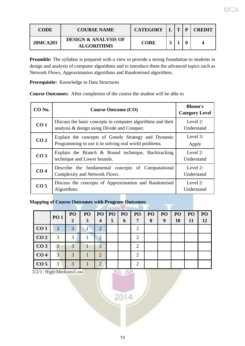| <b>CODE</b>     | <b>COURSE NAME</b>                                   | <b>CATEGORY</b> | m | <b>CREDIT</b> |
|-----------------|------------------------------------------------------|-----------------|---|---------------|
| <b>20MCA203</b> | <b>DESIGN &amp; ANALYSIS OF</b><br><b>ALGORITHMS</b> | <b>CORE</b>     |   |               |

**Preamble:** The syllabus is prepared with a view to provide a strong foundation to students in design and analysis of computer algorithms and to introduce them the advanced topics such as Network Flows, Approximation algorithms and Randomised algorithms.

**Prerequisite:** Knowledge in Data Structures

**Course Outcomes:** After completion of the course the student will be able to

| $CO$ No.        | <b>Course Outcome (CO)</b>                                                                                   | <b>Bloom's</b><br><b>Category Level</b> |
|-----------------|--------------------------------------------------------------------------------------------------------------|-----------------------------------------|
| CO <sub>1</sub> | Discuss the basic concepts in computer algorithms and their<br>analysis & design using Divide and Conquer.   | Level $2$ :<br>Understand               |
| CO <sub>2</sub> | Explain the concepts of Greedy Strategy and Dynamic<br>Programming to use it in solving real world problems. | Level $3:$<br>Apply                     |
| CO <sub>3</sub> | Explain the Branch $\&$ Bound technique, Backtracking<br>technique and Lower bounds.                         | Level 2:<br>Understand                  |
| CO <sub>4</sub> | Describe the fundamental concepts of Computational<br>Complexity and Network Flows.                          | Level $2$ :<br>Understand               |
| CO <sub>5</sub> | Discuss the concepts of Approximation and Randomised<br>Algorithms.                                          | Level $2$ :<br>Understand               |

#### **Mapping of Course Outcomes with Program Outcomes**

|                 |                | PO | PO | PO               | PO | PO | PO                          | PO | PO | PO        | PO | PO |
|-----------------|----------------|----|----|------------------|----|----|-----------------------------|----|----|-----------|----|----|
|                 | <b>PO1</b>     | 2  | 3  | $\boldsymbol{4}$ | 5  | 6  | 7                           | 8  | 9  | <b>10</b> | 11 | 12 |
| CO <sub>1</sub> | $\overline{3}$ | 3  |    | 2                |    |    | $\overline{2}$              |    |    |           |    |    |
| CO <sub>2</sub> | 3              | 3  |    | $\mathcal{D}$    |    |    | $\overline{2}$              |    |    |           |    |    |
| CO <sub>3</sub> | 3              | 3  |    | 2                |    |    | $\overline{2}$              |    |    |           |    |    |
| CO <sub>4</sub> | $\overline{3}$ | 3  |    | $\overline{2}$   |    |    | 2                           |    |    |           |    |    |
| CO <sub>5</sub> | 3              | 3  |    | $\overline{2}$   |    |    | $\mathcal{D}_{\mathcal{A}}$ |    |    |           |    |    |

3/2/1: High/Medium/Low

2014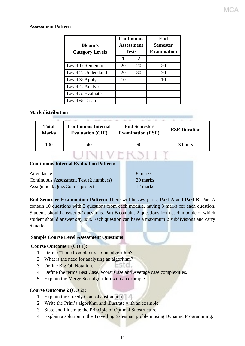#### **Assessment Pattern**

| <b>Bloom's</b><br><b>Category Levels</b> |    | <b>Continuous</b><br>Assessment<br><b>Tests</b> | End<br><b>Semester</b><br><b>Examination</b> |  |  |
|------------------------------------------|----|-------------------------------------------------|----------------------------------------------|--|--|
|                                          |    | $\overline{2}$                                  |                                              |  |  |
| Level 1: Remember                        | 20 | 20                                              | 20                                           |  |  |
| Level 2: Understand                      | 20 | 30                                              | 30                                           |  |  |
| Level 3: Apply                           | 10 |                                                 |                                              |  |  |
| Level 4: Analyse                         |    |                                                 |                                              |  |  |
| Level 5: Evaluate                        |    |                                                 |                                              |  |  |
| Level 6: Create                          |    |                                                 |                                              |  |  |

#### **Mark distribution**

| <b>Total</b> | <b>Continuous Internal</b> | <b>End Semester</b>      | <b>ESE Duration</b> |
|--------------|----------------------------|--------------------------|---------------------|
| <b>Marks</b> | <b>Evaluation (CIE)</b>    | <b>Examination (ESE)</b> |                     |
| 100          | 40                         | 60                       | 3 hours             |

|            | Continuous miterna Byunation I attein  |                      |
|------------|----------------------------------------|----------------------|
| Attendance |                                        | $: 8$ marks          |
|            | Continuous Assessment Test (2 numbers) | $: 20$ marks         |
|            | Assignment/Quiz/Course project         | $: 12 \text{ marks}$ |

**End Semester Examination Pattern:** There will be *two* parts; **Part A** and **Part B**. Part A contain 10 questions with 2 questions from each module, having 3 marks for each question. Students should answer *all* questions. Part B contains 2 questions from each module of which student should answer *any one*. Each question can have a maximum 2 subdivisions and carry 6 marks.

#### **Sample Course Level Assessment Questions**

**Continuous Internal Evaluation Pattern:** 

#### **Course Outcome 1 (CO 1):**

- 1. Define "Time Complexity" of an algorithm?
- 2. What is the need for analysing an algorithm?
- 3. Define Big Oh Notation.
- 4. Define the terms Best Case, Worst Case and Average case complexities.
- 5. Explain the Merge Sort algorithm with an example.

#### **Course Outcome 2 (CO 2):**

- 1. Explain the Greedy Control abstraction.
- 2. Write the Prim's algorithm and illustrate with an example.
- 3. State and illustrate the Principle of Optimal Substructure.
- 4. Explain a solution to the Travelling Salesman problem using Dynamic Programming.

310.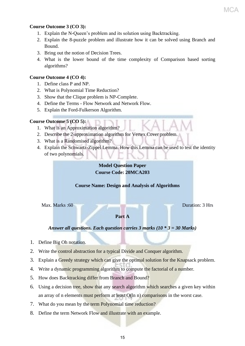#### **Course Outcome 3 (CO 3):**

- 1. Explain the N-Queen's problem and its solution using Backtracking.
- 2. Explain the 8-puzzle problem and illustrate how it can be solved using Branch and Bound.
- 3. Bring out the notion of Decision Trees.
- 4. What is the lower bound of the time complexity of Comparison based sorting algorithms?

#### **Course Outcome 4 (CO 4):**

- 1. Define class P and NP.
- 2. What is Polynomial Time Reduction?
- 3. Show that the Clique problem is NP-Complete.
- 4. Define the Terms Flow Network and Network Flow.
- 5. Explain the Ford-Fulkerson Algorithm.

#### **Course Outcome 5 (CO 5):**

- 1. What is an Approximation algorithm?
- 2. Describe the 2-approximation algorithm for Vertex Cover problem.
- 3. What is a Randomised algorithm?
- 4. Explain the Schwartz-Zippel Lemma. How this Lemma can be used to test the identity of two polynomials.

#### **Model Question Paper Course Code: 20MCA203**

#### **Course Name: Design and Analysis of Algorithms**

Max. Marks :60 Duration: 3 Hrs

#### **Part A**

#### *Answer all questions. Each question carries 3 marks (10 \* 3 = 30 Marks)*

- 1. Define Big Oh notation.
- 2. Write the control abstraction for a typical Divide and Conquer algorithm.
- 3. Explain a Greedy strategy which can give the optimal solution for the Knapsack problem.
- 4. Write a dynamic programming algorithm to compute the factorial of a number.
- 5. How does Backtracking differ from Branch and Bound?
- 6. Using a decision tree, show that any search algorithm which searches a given key within an array of n elements must perform at least O(ln n) comparisons in the worst case.
- 7. What do you mean by the term Polynomial time reduction?
- 8. Define the term Network Flow and illustrate with an example.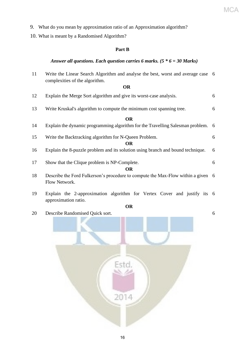- 9. What do you mean by approximation ratio of an Approximation algorithm?
- 10. What is meant by a Randomised Algorithm?

#### **Part B**

#### *Answer all questions. Each question carries 6 marks. (5 \* 6 = 30 Marks)*

- 11 Write the Linear Search Algorithm and analyse the best, worst and average case 6 complexities of the algorithm. **OR** 12 Explain the Merge Sort algorithm and give its worst-case analysis. 6 13 Write Kruskal's algorithm to compute the minimum cost spanning tree. 6 **OR** 14 Explain the dynamic programming algorithm for the Travelling Salesman problem. 6 15 Write the Backtracking algorithm for N-Queen Problem. 6 **OR** 16 Explain the 8-puzzle problem and its solution using branch and bound technique. 6 17 Show that the Clique problem is NP-Complete. 6 **OR** 18 Describe the Ford Fulkerson's procedure to compute the Max-Flow within a given 6 Flow Network. 19 Explain the 2-approximation algorithm for Vertex Cover and justify its 6 approximation ratio.
	- **OR**
- 20 Describe Randomised Quick sort. 6
	-

MCA

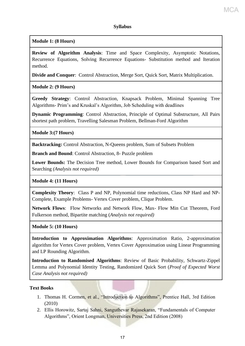#### **Syllabus**

**Module 1: (8 Hours)**

**Review of Algorithm Analysis**: Time and Space Complexity, Asymptotic Notations, Recurrence Equations, Solving Recurrence Equations- Substitution method and Iteration method.

**Divide and Conquer**: Control Abstraction, Merge Sort, Quick Sort, Matrix Multiplication.

**Module 2: (9 Hours)**

**Greedy Strategy**: Control Abstraction, Knapsack Problem, Minimal Spanning Tree Algorithms- Prim's and Kruskal's Algorithm, Job Scheduling with deadlines

**Dynamic Programming**: Control Abstraction, Principle of Optimal Substructure, All Pairs shortest path problem, Travelling Salesman Problem, Bellman-Ford Algorithm

**Module 3:(7 Hours)**

**Backtracking:** Control Abstraction, N-Queens problem, Sum of Subsets Problem

**Branch and Bound:** Control Abstraction, 8- Puzzle problem

**Lower Bounds:** The Decision Tree method, Lower Bounds for Comparison based Sort and Searching *(Analysis not required)*

**Module 4: (11 Hours)**

**Complexity Theory**: Class P and NP, Polynomial time reductions, Class NP Hard and NP-Complete, Example Problems- Vertex Cover problem, Clique Problem.

**Network Flows**: Flow Networks and Network Flow, Max- Flow Min Cut Theorem, Ford Fulkerson method, Bipartite matching (*Analysis not required)*

**Module 5: (10 Hours)**

**Introduction to Approximation Algorithms**: Approximation Ratio, 2-approximation algorithm for Vertex Cover problem, Vertex Cover Approximation using Linear Programming and LP Rounding Algorithm.

**Introduction to Randomised Algorithms**: Review of Basic Probability, Schwartz-Zippel Lemma and Polynomial Identity Testing, Randomized Quick Sort (*Proof of Expected Worst Case Analysis not required)*

#### **Text Books**

- 1. Thomas H. Cormen, et al., "Introduction to Algorithms", Prentice Hall, 3rd Edition (2010)
- 2. Ellis Horowitz, Sartaj Sahni, Sanguthevar Rajasekaran, "Fundamentals of Computer Algorithms", Orient Longman, Universities Press, 2nd Edition (2008)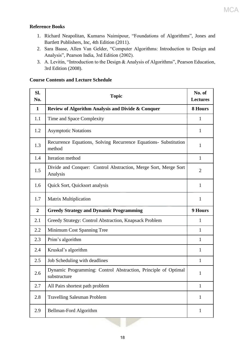#### **Reference Books**

- 1. Richard Neapolitan, Kumarss Naimipour, "Foundations of Algorithms", Jones and Bartlett Publishers, Inc, 4th Edition (2011).
- 2. Sara Baase, Allen Van Gelder, "Computer Algorithms: Introduction to Design and Analysis", Pearson India, 3rd Edition (2002).
- 3. A. Levitin, "Introduction to the Design & Analysis of Algorithms", Pearson Education, 3rd Edition (2008).

#### **Course Contents and Lecture Schedule**

| SI.<br>No.     | <b>Topic</b>                                                                   | No. of<br><b>Lectures</b> |
|----------------|--------------------------------------------------------------------------------|---------------------------|
| $\mathbf{1}$   | Review of Algorithm Analysis and Divide & Conquer                              | 8 Hours                   |
| 1.1            | Time and Space Complexity                                                      | $\mathbf{1}$              |
| 1.2            | <b>Asymptotic Notations</b>                                                    | $\mathbf{1}$              |
| 1.3            | Recurrence Equations, Solving Recurrence Equations- Substitution<br>method     | $\mathbf{1}$              |
| 1.4            | Iteration method                                                               | $\mathbf{1}$              |
| 1.5            | Divide and Conquer: Control Abstraction, Merge Sort, Merge Sort<br>Analysis    | $\overline{2}$            |
| 1.6            | Quick Sort, Quicksort analysis                                                 | $\mathbf{1}$              |
| 1.7            | <b>Matrix Multiplication</b>                                                   | $\mathbf{1}$              |
| $\overline{2}$ | <b>Greedy Strategy and Dynamic Programming</b>                                 | <b>9 Hours</b>            |
| 2.1            | Greedy Strategy: Control Abstraction, Knapsack Problem                         | 1                         |
| 2.2            | Minimum Cost Spanning Tree                                                     | 1                         |
| 2.3            | Prim's algorithm                                                               | $\mathbf{1}$              |
| 2.4            | Kruskal's algorithm                                                            | $\mathbf{1}$              |
| 2.5            | Job Scheduling with deadlines                                                  | $\mathbf{1}$              |
| 2.6            | Dynamic Programming: Control Abstraction, Principle of Optimal<br>substructure | $\mathbf{1}$              |
| 2.7            | All Pairs shortest path problem                                                | $\mathbf{1}$              |
| 2.8            | <b>Travelling Salesman Problem</b>                                             | $\mathbf{1}$              |
| 2.9            | Bellman-Ford Algorithm                                                         | $\mathbf{1}$              |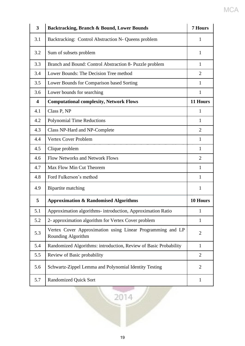| 3   | Backtracking, Branch & Bound, Lower Bounds                                       | <b>7 Hours</b> |
|-----|----------------------------------------------------------------------------------|----------------|
| 3.1 | Backtracking: Control Abstraction N- Queens problem                              | 1              |
| 3.2 | Sum of subsets problem                                                           | 1              |
| 3.3 | Branch and Bound: Control Abstraction 8- Puzzle problem                          | $\mathbf{1}$   |
| 3.4 | Lower Bounds: The Decision Tree method                                           | $\overline{2}$ |
| 3.5 | Lower Bounds for Comparison based Sorting                                        | 1              |
| 3.6 | Lower bounds for searching                                                       | $\mathbf{1}$   |
| 4   | <b>Computational complexity, Network Flows</b>                                   | 11 Hours       |
| 4.1 | Class P, NP                                                                      | 1              |
| 4.2 | <b>Polynomial Time Reductions</b>                                                | 1              |
| 4.3 | Class NP-Hard and NP-Complete                                                    | $\overline{2}$ |
| 4.4 | Vertex Cover Problem                                                             | 1              |
| 4.5 | Clique problem                                                                   | 1              |
| 4.6 | <b>Flow Networks and Network Flows</b>                                           | $\overline{2}$ |
| 4.7 | Max Flow Min Cut Theorem                                                         | 1              |
| 4.8 | Ford Fulkerson's method                                                          | 1              |
| 4.9 | Bipartite matching                                                               | 1              |
| 5   | <b>Approximation &amp; Randomised Algorithms</b>                                 | 10 Hours       |
| 5.1 | Approximation algorithms- introduction, Approximation Ratio                      | 1              |
| 5.2 | 2- approximation algorithm for Vertex Cover problem                              | $\mathbf{1}$   |
| 5.3 | Vertex Cover Approximation using Linear Programming and LP<br>Rounding Algorithm | $\overline{2}$ |
| 5.4 | Randomized Algorithms: introduction, Review of Basic Probability                 | $\mathbf{1}$   |
| 5.5 | Review of Basic probability                                                      | $\overline{2}$ |
| 5.6 | Schwartz-Zippel Lemma and Polynomial Identity Testing                            | $\overline{2}$ |
| 5.7 | <b>Randomized Quick Sort</b>                                                     | $\mathbf{1}$   |
|     | 2014                                                                             |                |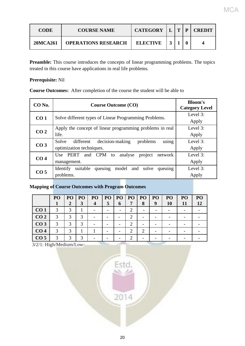| <b>CODE</b> | <b>COURSE NAME</b>         | <b>CATEGORY</b> | $\mathbf{T}$ | D | <b>CREDIT</b> |
|-------------|----------------------------|-----------------|--------------|---|---------------|
| 20MCA261    | <b>OPERATIONS RESEARCH</b> | <b>ELECTIVE</b> |              |   |               |

**Preamble:** This course introduces the concepts of linear programming problems. The topics treated in this course have applications in real life problems.

#### **Prerequisite:** Nil

**Course Outcomes:** After completion of the course the student will be able to

| CO No.          | <b>Course Outcome (CO)</b>                                                             | <b>Bloom's</b><br><b>Category Level</b> |
|-----------------|----------------------------------------------------------------------------------------|-----------------------------------------|
| CO <sub>1</sub> | Solve different types of Linear Programming Problems.                                  | Level 3:<br>Apply                       |
| CO <sub>2</sub> | Apply the concept of linear programming problems in real<br>life.                      | Level $3$ :<br>Apply                    |
| CO <sub>3</sub> | using<br>decision-making<br>Solve<br>different<br>problems<br>optimization techniques. | Level 3:<br>Apply                       |
| CO <sub>4</sub> | Use PERT<br>and CPM to<br>analyse<br>network<br>project<br>management.                 | Level 3:<br>Apply                       |
| CO <sub>5</sub> | queuing<br>suitable<br>model and<br>Identify<br>solve<br>queuing<br>problems.          | Level 3:<br>Apply                       |

#### **Mapping of Course Outcomes with Program Outcomes**

|                 | PO            | PO            | <b>PO</b>     | PO               | PO | PO <sub>1</sub> | PO <sub>1</sub> | PO | PO <sub>1</sub> | P <sub>O</sub> | PO | PO |
|-----------------|---------------|---------------|---------------|------------------|----|-----------------|-----------------|----|-----------------|----------------|----|----|
|                 |               | 2             | 3             | $\boldsymbol{4}$ | 5  | 6               | 7               | 8  | 9               | 10             | 11 | 12 |
| CO <sub>1</sub> | $\mathcal{R}$ | 3             |               |                  |    |                 |                 |    |                 |                |    |    |
| CO <sub>2</sub> |               | 3             | 3             |                  |    |                 |                 |    |                 |                |    |    |
| CO <sub>3</sub> | $\mathcal{R}$ | 3             | $\mathcal{R}$ |                  |    |                 |                 |    |                 |                |    |    |
| CO <sub>4</sub> | 3             | 3             |               |                  |    |                 | ∍               | റ  |                 |                |    |    |
| CO <sub>5</sub> |               | $\mathcal{R}$ | $\mathbf 3$   |                  |    |                 |                 |    |                 |                |    |    |

Est

3/2/1: High/Medium/Low

2014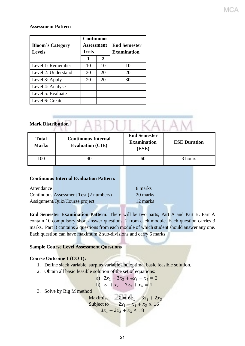#### **Assessment Pattern**

| <b>Bloom's Category</b><br><b>Levels</b> | <b>Continuous</b><br>Assessment<br><b>Tests</b> |    | <b>End Semester</b><br><b>Examination</b> |  |
|------------------------------------------|-------------------------------------------------|----|-------------------------------------------|--|
|                                          | 1                                               | 2  |                                           |  |
| Level 1: Remember                        | 10                                              | 10 | 10                                        |  |
| Level 2: Understand                      | 20                                              | 20 | 20                                        |  |
| Level 3: Apply                           | 20                                              | 20 | 30                                        |  |
| Level 4: Analyse                         |                                                 |    |                                           |  |
| Level 5: Evaluate                        |                                                 |    |                                           |  |
| Level 6: Create                          |                                                 |    |                                           |  |

| <b>Mark Distribution</b>     |                                                       |                                                    |                     |  |  |  |  |  |
|------------------------------|-------------------------------------------------------|----------------------------------------------------|---------------------|--|--|--|--|--|
| <b>Total</b><br><b>Marks</b> | <b>Continuous Internal</b><br><b>Evaluation (CIE)</b> | <b>End Semester</b><br><b>Examination</b><br>(ESE) | <b>ESE Duration</b> |  |  |  |  |  |
| 100                          | 40                                                    | 60                                                 | 3 hours             |  |  |  |  |  |
|                              | <b>Continuous Internal Evaluation Pattern:</b>        |                                                    |                     |  |  |  |  |  |
| Attendance                   |                                                       | $: 8$ marks                                        |                     |  |  |  |  |  |
|                              | Continuous Assessment Test (2 numbers)                | $: 20$ marks                                       |                     |  |  |  |  |  |
|                              | Assignment/Quiz/Course project                        | $: 12$ marks                                       |                     |  |  |  |  |  |
|                              |                                                       |                                                    |                     |  |  |  |  |  |

**End Semester Examination Pattern:** There will be two parts; Part A and Part B. Part A contain 10 compulsory short answer questions, 2 from each module. Each question carries 3 marks. Part B contains 2 questions from each module of which student should answer any one. Each question can have maximum 2 sub-divisions and carry 6 marks

#### **Sample Course Level Assessment Questions**

#### **Course Outcome 1 (CO 1):**

- 1. Define slack variable, surplus variable and optimal basic feasible solution.
- 2. Obtain all basic feasible solution of the set of equations:

a) 
$$
2x_1 + 3x_2 + 4x_3 + x_4 = 2
$$
  
b)  $x_1 + x_2 + 7x_3 + x_4 = 4$ 

3. Solve by Big M method

Maximise  $Z = 6x_1 - 3x_2 + 2x_3$ Subject to  $2x_1 + x_2 + x_3 \le 16$  $3x_1 + 2x_2 + x_3 \leq 18$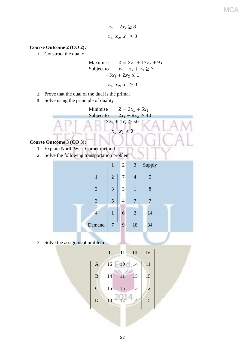**MCA** 

 $x_1 - 2x_2 \ge 8$  $x_1, x_2, x_3 \ge 0$ 

#### **Course Outcome 2 (CO 2):**

1. Construct the dual of

Maximise 
$$
Z = 3x_1 + 17x_2 + 9x_3
$$
  
Subject to  $x_1 - x_2 + x_3 \ge 3$   
 $-3x_1 + 2x_2 \le 1$ 

$$
x_1, x_2, x_3 \geq 0
$$

- 2. Prove that the dual of the dual is the primal
- 3. Solve using the principle of duality



2. Solve the following transportation problem

|                | 4              |                | $\begin{array}{ c c } \hline 2 & 3 \\ \hline \end{array}$ | Supply |  |
|----------------|----------------|----------------|-----------------------------------------------------------|--------|--|
|                | $\overline{2}$ | 7              | $\overline{4}$                                            | 5      |  |
| $\overline{2}$ | 3              | 3              | 1                                                         | 8      |  |
| 3              | 5 <sup>5</sup> | $\overline{4}$ |                                                           |        |  |
| 4              | $\mathbf{1}$   | 6              | $\overline{2}$                                            | 14     |  |
| Demand         | $\overline{7}$ | 9              | 18                                                        | 34     |  |

3. Solve the assignment problem

|                | I  | $\mathbf{I}$ | Ш  | IV |
|----------------|----|--------------|----|----|
| $\mathbf{A}$   | 16 | 10           | 14 | 11 |
| B              | 14 | 11           | 15 | 15 |
| $\overline{C}$ | 15 | 15           | 13 | 12 |
| D              | 13 | 12           | 14 | 15 |
|                |    |              |    |    |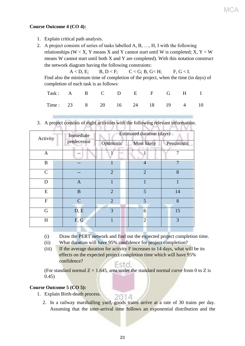#### **Course Outcome 4 (CO 4):**

- 1. Explain critical path analysis.
- 2. A project consists of series of tasks labelled A, B, …, H, I with the following relationships (W  $\lt X$ , Y means X and Y cannot start until W is completed; X, Y  $\lt W$ means W cannot start until both X and Y are completed). With this notation construct the network diagram having the following constraints:

 $A < D$ , E; B,  $D < F$ ; C < G; B, G  $H$ ; F, G < I. Find also the minimum time of completion of the project, when the time (in days) of completion of each task is as follows:

| Task: A B C D E F G H I        |  |  |  |  |  |
|--------------------------------|--|--|--|--|--|
| Time: 23 8 20 16 24 18 19 4 10 |  |  |  |  |  |

3. A project consists of eight activities with the following relevant information.

| Activity     |  | Immediate    | Estimated duration (days) |                |             |  |  |  |
|--------------|--|--------------|---------------------------|----------------|-------------|--|--|--|
|              |  | predecessor  | Optimistic                | Most likely    | Pessimistic |  |  |  |
| $\mathbf{A}$ |  |              |                           |                | 7           |  |  |  |
| $\bf{B}$     |  |              |                           | $\overline{4}$ | 7           |  |  |  |
| $\mathsf{C}$ |  |              | $\overline{2}$            | $\overline{2}$ | 8           |  |  |  |
| D            |  | $\mathbf{A}$ | $\mathbf{1}$              | 1              | 1           |  |  |  |
| E            |  | B            | $\overline{2}$            | 5              | 14          |  |  |  |
| $\mathbf F$  |  | $\mathbf C$  | $\overline{2}$            | 5              | 8           |  |  |  |
| G            |  | D, E         | 3                         | 6              | 15          |  |  |  |
| H            |  | F, G         |                           | $\overline{2}$ | 3           |  |  |  |

(i) Draw the PERT network and find out the expected project completion time.

(ii) What duration will have 95% confidence for project completion?

(iii) If the average duration for activity F increases to 14 days, what will be its effects on the expected project completion time which will have 95% confidence? Fstd.

(For standard normal  $Z = 1.645$ , area under the standard normal curve from 0 to Z is 0.45)

#### **Course Outcome 5 (CO 5):**

- 1. Explain Birth-death process.
	- 2. In a railway marshalling yard, goods trains arrive at a rate of 30 trains per day. Assuming that the inter-arrival time follows an exponential distribution and the

2014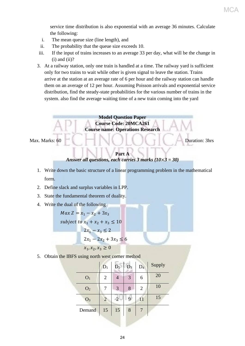service time distribution is also exponential with an average 36 minutes. Calculate the following:

- i. The mean queue size (line length), and
- ii. The probability that the queue size exceeds 10.
- iii. If the input of trains increases to an average 33 per day, what will be the change in  $(i)$  and  $(ii)?$
- 3. At a railway station, only one train is handled at a time. The railway yard is sufficient only for two trains to wait while other is given signal to leave the station. Trains arrive at the station at an average rate of 6 per hour and the railway station can handle them on an average of 12 per hour. Assuming Poisson arrivals and exponential service distribution, find the steady-state probabilities for the various number of trains in the system. also find the average waiting time of a new train coming into the yard

**Model Question Paper Course Code: 20MCA261 Course name: Operations Research** Max. Marks: 60 **Duration: 3hrs** 

#### **Part A** *Answer all questions, each carries 3 marks (10*×*3 = 30)*

- 1. Write down the basic structure of a linear programming problem in the mathematical form.
- 2. Define slack and surplus variables in LPP.
- 3. State the fundamental theorem of duality.
- 4. Write the dual of the following

 $Max Z = x_1 - x_2 + 3x_3$ subject to  $x_1 + x_2 + x_3 \le 10$  $2x_1 - x_3 \leq 2$  $2x_1 - 2x_2 + 3x_3 \le 6$  $x_1, x_2, x_3 > 0$ 

5. Obtain the IBFS using north west corner method

|                | $D_1$          | $\overline{D_2}$ | $D_3$ | D <sub>4</sub> | Supply |
|----------------|----------------|------------------|-------|----------------|--------|
| O <sub>1</sub> | $\overline{2}$ |                  | 3     | 6              | 20     |
| O <sub>2</sub> | 7              | 3                | 8     | $\overline{2}$ | 10     |
| O <sub>3</sub> | $\overline{2}$ | 2                | 9     | 11             | 15     |
| Demand         | 15             | 15               | 8     |                |        |
|                |                |                  |       |                |        |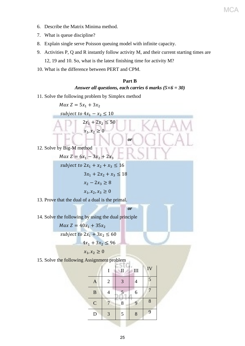- 6. Describe the Matrix Minima method.
- 7. What is queue discipline?
- 8. Explain single serve Poisson queuing model with infinite capacity.
- 9. Activities P, Q and R instantly follow activity M, and their current starting times are 12, 19 and 10. So, what is the latest finishing time for activity M?
- 10. What is the difference between PERT and CPM.

#### **Part B**

MCA

#### *Answer all questions, each carries 6 marks (5*×*6 = 30)*

11. Solve the following problem by Simplex method



|              |                | $\mathbf{I}$ | III            | IV <sub></sub> |
|--------------|----------------|--------------|----------------|----------------|
| $\mathbf{A}$ | $\overline{2}$ | 3            | $\overline{4}$ | 5              |
| $\bf{B}$     |                | 5            | 6              | 7              |
| $\mathbf C$  |                | 8            | 9              | 8              |
| D            | 3              | 5            | 8              | 9              |
|              |                |              |                |                |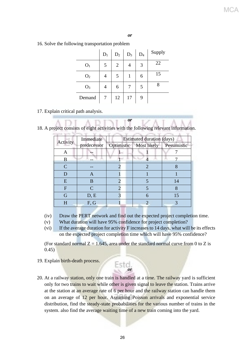#### *or*

16. Solve the following transportation problem

|                | $D_1$ | $D_2$ | $D_3$ | $D_4$ | Supply |
|----------------|-------|-------|-------|-------|--------|
| O <sub>1</sub> | 5     | 2     |       | 3     | 22     |
| O <sub>2</sub> |       | 5     |       | 6     | 15     |
| O <sub>3</sub> |       | 6     |       | 5     | 8      |
| Demand         |       | 12    | 17    | 9     |        |

#### 17. Explain critical path analysis.

|  |  | 18. A project consists of eight activities with the following relevant information. |
|--|--|-------------------------------------------------------------------------------------|

 $\overline{1}$ 

*or*

|          | Immediate                   | <b>Estimated duration (days)</b> |             |  |  |  |  |
|----------|-----------------------------|----------------------------------|-------------|--|--|--|--|
| Activity | predecessor                 | Optimistic   Most likely         | Pessimistic |  |  |  |  |
| A        |                             |                                  |             |  |  |  |  |
| В        |                             |                                  |             |  |  |  |  |
| C        |                             | 2                                |             |  |  |  |  |
| D        | A                           |                                  |             |  |  |  |  |
| E        | B                           |                                  | 14          |  |  |  |  |
| F        | $\mathcal{C}_{\mathcal{C}}$ |                                  | 8           |  |  |  |  |
| G        | D, E                        | 6                                | 15          |  |  |  |  |
| H        | F, G                        | $\mathcal{D}_{\mathcal{A}}$      |             |  |  |  |  |

(iv) Draw the PERT network and find out the expected project completion time.

- (v) What duration will have 95% confidence for project completion?
- (vi) If the average duration for activity F increases to 14 days, what will be its effects on the expected project completion time which will have 95% confidence?

(For standard normal  $Z = 1.645$ , area under the standard normal curve from 0 to Z is  $(0.45)$ 

Estd.

- 19. Explain birth-death process.
- 20. At a railway station, only one train is handled at a time. The railway yard is sufficient only for two trains to wait while other is given signal to leave the station. Trains arrive at the station at an average rate of 6 per hour and the railway station can handle them on an average of 12 per hour. Assuming Poisson arrivals and exponential service distribution, find the steady-state probabilities for the various number of trains in the system. also find the average waiting time of a new train coming into the yard.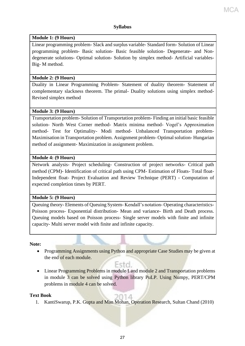#### **Syllabus**

#### **Module 1: (9 Hours)**

Linear programming problem- Slack and surplus variable- Standard form- Solution of Linear programming problem- Basic solution- Basic feasible solution- Degenerate- and Nondegenerate solutions- Optimal solution- Solution by simplex method- Artificial variables-Big- M method.

#### **Module 2: (9 Hours)**

Duality in Linear Programming Problem- Statement of duality theorem- Statement of complementary slackness theorem. The primal- Duality solutions using simplex method-Revised simplex method

#### **Module 3: (9 Hours)**

Transportation problem- Solution of Transportation problem- Finding an initial basic feasible solution- North West Corner method- Matrix minima method- Vogel's Approximation method- Test for Optimality- Modi method- Unbalanced Transportation problem-Maximisation in Transportation problem. Assignment problem- Optimal solution- Hungarian method of assignment- Maximization in assignment problem.

#### **Module 4: (9 Hours)**

Network analysis- Project scheduling- Construction of project networks- Critical path method (CPM)- Identification of critical path using CPM- Estimation of Floats- Total float-Independent float- Project Evaluation and Review Technique (PERT) - Computation of expected completion times by PERT.

#### **Module 5: (9 Hours)**

Queuing theory- Elements of Queuing System- Kendall's notation- Operating characteristics-Poisson process- Exponential distribution- Mean and variance- Birth and Death process. Queuing models based on Poisson process- Single server models with finite and infinite capacity- Multi server model with finite and infinite capacity.

#### **Note:**

• Programming Assignments using Python and appropriate Case Studies may be given at the end of each module.

#### Estal.

• Linear Programming Problems in module 1 and module 2 and Transportation problems in module 3 can be solved using Python library PuLP. Using Numpy, PERT/CPM problems in module 4 can be solved.

#### **Text Book**

91 L 1. KantiSwarup, P.K. Gupta and Man Mohan, Operation Research, Sultan Chand (2010)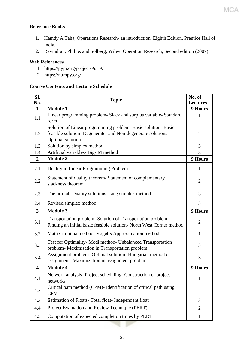### **MCA**

#### **Reference Books**

- 1. Hamdy A Taha, Operations Research- an introduction, Eighth Edition, Prentice Hall of India.
- 2. Ravindran, Philips and Solberg, Wiley, Operation Research, Second edition (2007)

#### **Web References**

- 1. https://pypi.org/project/PuLP/
- 2. https://numpy.org/

#### **Course Contents and Lecture Schedule**

| SI.<br>No.              | <b>Topic</b>                                                                                                                                      | No. of<br><b>Lectures</b> |
|-------------------------|---------------------------------------------------------------------------------------------------------------------------------------------------|---------------------------|
| $\mathbf 1$             | <b>Module 1</b>                                                                                                                                   | <b>9 Hours</b>            |
| 1.1                     | Linear programming problem- Slack and surplus variable- Standard<br>form                                                                          | 1                         |
| 1.2                     | Solution of Linear programming problem- Basic solution- Basic<br>feasible solution- Degenerate- and Non-degenerate solutions-<br>Optimal solution | $\overline{2}$            |
| 1.3                     | Solution by simplex method                                                                                                                        | 3                         |
| 1.4                     | Artificial variables- Big-M method                                                                                                                | 3                         |
| $\boldsymbol{2}$        | <b>Module 2</b>                                                                                                                                   | 9 Hours                   |
| 2.1                     | Duality in Linear Programming Problem                                                                                                             | 1                         |
| 2.2                     | Statement of duality theorem- Statement of complementary<br>slackness theorem                                                                     | $\overline{2}$            |
| 2.3                     | The primal- Duality solutions using simplex method                                                                                                | 3                         |
| 2.4                     | Revised simplex method                                                                                                                            | 3                         |
| $\overline{\mathbf{3}}$ | <b>Module 3</b>                                                                                                                                   | <b>9 Hours</b>            |
| 3.1                     | Transportation problem- Solution of Transportation problem-<br>Finding an initial basic feasible solution- North West Corner method               | $\overline{2}$            |
| 3.2                     | Matrix minima method- Vogel's Approximation method                                                                                                | $\mathbf{1}$              |
| 3.3                     | Test for Optimality- Modi method- Unbalanced Transportation<br>problem-Maximisation in Transportation problem                                     | 3                         |
| 3.4                     | Assignment problem- Optimal solution- Hungarian method of<br>assignment- Maximization in assignment problem                                       | 3                         |
| $\overline{\mathbf{4}}$ | <b>Module 4</b>                                                                                                                                   | 9 Hours                   |
| 4.1                     | Network analysis- Project scheduling- Construction of project<br>networks                                                                         | 1                         |
| 4.2                     | Critical path method (CPM)- Identification of critical path using<br><b>CPM</b>                                                                   | $\overline{2}$            |
| 4.3                     | Estimation of Floats-Total float-Independent float                                                                                                | 3                         |
| 4.4                     | Project Evaluation and Review Technique (PERT)                                                                                                    | $\overline{2}$            |
| 4.5                     | Computation of expected completion times by PERT                                                                                                  | $\mathbf{1}$              |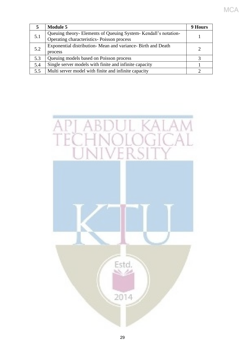|     | <b>Module 5</b>                                               | 9 Hours |
|-----|---------------------------------------------------------------|---------|
|     | Queuing theory-Elements of Queuing System-Kendall's notation- |         |
| 5.1 | Operating characteristics- Poisson process                    |         |
|     | Exponential distribution-Mean and variance-Birth and Death    |         |
| 5.2 | process                                                       |         |
| 5.3 | Queuing models based on Poisson process                       |         |
| 5.4 | Single server models with finite and infinite capacity        |         |
| 5.5 | Multi server model with finite and infinite capacity          |         |

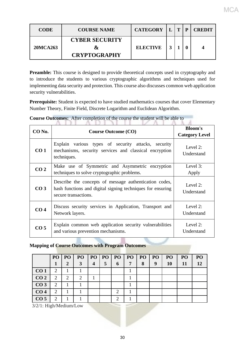| <b>CODE</b> | <b>COURSE NAME</b>                                | <b>CATEGORY</b> | $\sqrt{\mathbf{T}}$ | P | <b>CREDIT</b> |
|-------------|---------------------------------------------------|-----------------|---------------------|---|---------------|
| 20MCA263    | <b>CYBER SECURITY</b><br>&<br><b>CRYPTOGRAPHY</b> | <b>ELECTIVE</b> |                     |   |               |

MCA

Preamble: This course is designed to provide theoretical concepts used in cryptography and to introduce the students to various cryptographic algorithms and techniques used for implementing data security and protection. This course also discusses common web application security vulnerabilities.

**Prerequisite:** Student is expected to have studied mathematics courses that cover Elementary Number Theory, Finite Field, Discrete Logarithm and Euclidean Algorithm.

| CO <sub>No.</sub> | <b>Course Outcome (CO)</b>                                                                                                                   | <b>Bloom's</b><br><b>Category Level</b> |
|-------------------|----------------------------------------------------------------------------------------------------------------------------------------------|-----------------------------------------|
| CO <sub>1</sub>   | Explain various types of security attacks, security<br>mechanisms, security services and classical encryption<br>techniques.                 | Level 2:<br>Understand                  |
| CO <sub>2</sub>   | Make use of Symmetric and Asymmetric encryption<br>techniques to solve cryptographic problems.                                               | Level 3:<br>Apply                       |
| CO <sub>3</sub>   | Describe the concepts of message authentication codes,<br>hash functions and digital signing techniques for ensuring<br>secure transactions. | Level 2:<br>Understand                  |
| CO <sub>4</sub>   | Discuss security services in Application, Transport and<br>Network layers.                                                                   | Level $2$ :<br>Understand               |
| CO <sub>5</sub>   | Explain common web application security vulnerabilities<br>and various prevention mechanisms.                                                | Level 2:<br>Understand                  |

**Course Outcomes:** After completion of the course the student will be able to

#### **Mapping of Course Outcomes with Program Outcomes**

|                 | PO | PO <sub>1</sub> | PO <sub>1</sub>             | PO               | PO <sub>1</sub> | P <sub>O</sub> | PO | <b>PO</b> | PO | PO | PO <sub>1</sub> | P <sub>O</sub> |
|-----------------|----|-----------------|-----------------------------|------------------|-----------------|----------------|----|-----------|----|----|-----------------|----------------|
|                 | 1  | 2               | 3                           | $\boldsymbol{4}$ | 5               | 6              | 7  | 8         | 9  | 10 | 11              | 12             |
| CO <sub>1</sub> | 2  |                 |                             |                  |                 |                |    |           |    |    |                 |                |
| CO <sub>2</sub> | 2  | 2               | $\mathcal{D}_{\mathcal{L}}$ |                  |                 |                |    |           |    |    |                 |                |
| CO <sub>3</sub> | 2  |                 |                             |                  |                 |                |    |           |    |    |                 |                |
| CO <sub>4</sub> | 2  |                 |                             |                  |                 | 2              |    |           |    |    |                 |                |
| CO <sub>5</sub> | 2  |                 |                             |                  |                 | $\overline{2}$ |    |           |    |    |                 |                |

3/2/1: High/Medium/Low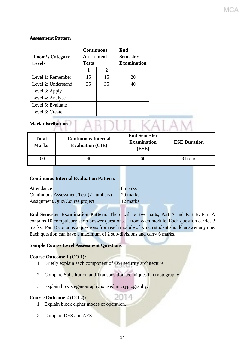#### **Assessment Pattern**

| <b>Bloom's Category</b><br><b>Levels</b> | <b>Continuous</b><br>Assessment<br><b>Tests</b> |             | End<br><b>Semester</b><br><b>Examination</b> |  |  |
|------------------------------------------|-------------------------------------------------|-------------|----------------------------------------------|--|--|
|                                          | 1                                               | $\mathbf 2$ |                                              |  |  |
| Level 1: Remember                        | 15                                              | 15          | 20                                           |  |  |
| Level 2: Understand                      | 35                                              | 35          | 40                                           |  |  |
| Level 3: Apply                           |                                                 |             |                                              |  |  |
| Level 4: Analyse                         |                                                 |             |                                              |  |  |
| Level 5: Evaluate                        |                                                 |             |                                              |  |  |
| Level 6: Create                          |                                                 |             |                                              |  |  |

## Mark distribution | ABDUL KALAM

| <b>Total</b><br><b>Marks</b> | <b>Continuous Internal</b><br><b>Evaluation (CIE)</b> | <b>End Semester</b><br><b>Examination</b><br>(ESE) | <b>ESE Duration</b> |
|------------------------------|-------------------------------------------------------|----------------------------------------------------|---------------------|
| 100                          | 40                                                    | 60                                                 | 3 hours             |

#### **Continuous Internal Evaluation Pattern:**

| Attendance |                                        | $: 8$ marks  |
|------------|----------------------------------------|--------------|
|            | Continuous Assessment Test (2 numbers) | $: 20$ marks |
|            | Assignment/Quiz/Course project         | $: 12$ marks |

**End Semester Examination Pattern:** There will be two parts; Part A and Part B. Part A contains 10 compulsory short answer questions, 2 from each module. Each question carries 3 marks. Part B contains 2 questions from each module of which student should answer any one. Each question can have a maximum of 2 sub-divisions and carry 6 marks.

#### **Sample Course Level Assessment Questions**

#### **Course Outcome 1 (CO 1):**

- 1. Briefly explain each component of OSI security architecture.
- 2. Compare Substitution and Transposition techniques in cryptography.
- 3. Explain how steganography is used in cryptography.

#### **Course Outcome 2 (CO 2):**

- 1. Explain block cipher modes of operation.
- 2. Compare DES and AES

2014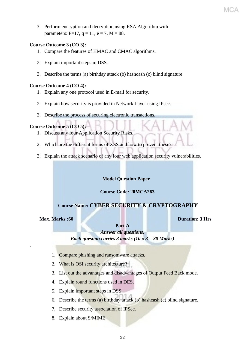3. Perform encryption and decryption using RSA Algorithm with parameters:  $P=17$ ,  $q = 11$ ,  $e = 7$ ,  $M = 88$ .

#### **Course Outcome 3 (CO 3):**

- 1. Compare the features of HMAC and CMAC algorithms.
- 2. Explain important steps in DSS.
- 3. Describe the terms (a) birthday attack (b) hashcash (c) blind signature

#### **Course Outcome 4 (CO 4):**

- 1. Explain any one protocol used in E-mail for security.
- 2. Explain how security is provided in Network Layer using IPsec.
- 3. Describe the process of securing electronic transactions.

#### **Course Outcome 5 (CO 5):**

- 1. Discuss any four Application Security Risks.
- 2. Which are the different forms of XSS and how to prevent these?
- 3. Explain the attack scenario of any four web application security vulnerabilities.

#### **Model Question Paper**

#### **Course Code: 20MCA263**

#### **Course Name: CYBER SECURITY & CRYPTOGRAPHY**

.

**Max. Marks :60 Duration: 3 Hrs**

MC

**Part A**

*Answer all questions. Each question carries 3 marks (10 x 3 = 30 Marks)*

- 1. Compare phishing and ransomware attacks.
- 2. What is OSI security architecture?
- 3. List out the advantages and disadvantages of Output Feed Back mode.
- 4. Explain round functions used in DES.
- 5. Explain important steps in DSS.
- 6. Describe the terms (a) birthday attack (b) hashcash (c) blind signature.
- 7. Describe security association of IPSec.
- 8. Explain about S/MIME.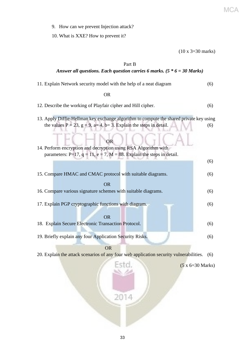- 9. How can we prevent Injection attack?
- 10. What is XXE? How to prevent it?

(10 x 3=30 marks)

#### Part B

#### *Answer all questions. Each question carries 6 marks. (5 \* 6 = 30 Marks)*

| 11. Explain Network security model with the help of a neat diagram                                                                                                        | (6) |
|---------------------------------------------------------------------------------------------------------------------------------------------------------------------------|-----|
| <b>OR</b>                                                                                                                                                                 |     |
| 12. Describe the working of Playfair cipher and Hill cipher.                                                                                                              | (6) |
| 13. Apply Diffie-Hellman key exchange algorithm to compute the shared private key using<br>the values $P = 23$ , $g = 9$ , $a= 4$ , $b= 3$ . Explain the steps in detail. | (6) |
| OR<br>14. Perform encryption and decryption using RSA Algorithm with<br>parameters: P=17, $q = 11$ , e = 7, M = 88. Explain the steps in detail.                          |     |
|                                                                                                                                                                           | (6) |
| 15. Compare HMAC and CMAC protocol with suitable diagrams.                                                                                                                | (6) |
| <b>OR</b><br>16. Compare various signature schemes with suitable diagrams.                                                                                                | (6) |
| 17. Explain PGP cryptographic functions with diagram.<br><b>OR</b>                                                                                                        | (6) |
| 18. Explain Secure Electronic Transaction Protocol.                                                                                                                       | (6) |
| 19. Briefly explain any four Application Security Risks.                                                                                                                  | (6) |
| <b>OR</b>                                                                                                                                                                 |     |
| 20. Explain the attack scenarios of any four web application security vulnerabilities.                                                                                    | (6) |
| Estd.<br>$(5 \times 6=30 \text{ Marks})$<br>2014                                                                                                                          |     |
|                                                                                                                                                                           |     |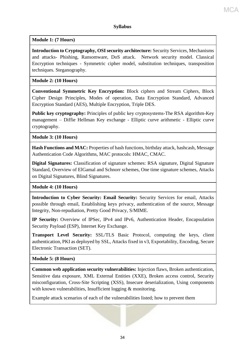#### **Syllabus**

**Module 1: (7 Hours)**

**Introduction to Cryptography, OSI security architecture:** Security Services, Mechanisms and attacks- Phishing, Ransomware, DoS attack. Network security model. Classical Encryption techniques - Symmetric cipher model, substitution techniques, transposition techniques. Steganography.

#### **Module 2: (10 Hours)**

**Conventional Symmetric Key Encryption:** Block ciphers and Stream Ciphers, Block Cipher Design Principles, Modes of operation, Data Encryption Standard, Advanced Encryption Standard (AES), Multiple Encryption, Triple DES.

**Public key cryptography:** Principles of public key cryptosystems-The RSA algorithm-Key management – Diffie Hellman Key exchange - Elliptic curve arithmetic - Elliptic curve cryptography.

**Module 3: (10 Hours)**

**Hash Functions and MAC:** Properties of hash functions, birthday attack, hashcash, Message Authentication Code Algorithms, MAC protocols: HMAC, CMAC.

**Digital Signatures:** Classification of signature schemes: RSA signature, Digital Signature Standard, Overview of ElGamal and Schnorr schemes, One time signature schemes, Attacks on Digital Signatures, Blind Signatures.

#### **Module 4: (10 Hours)**

**Introduction to Cyber Security: Email Security:** Security Services for email, Attacks possible through email, Establishing keys privacy, authentication of the source, Message Integrity, Non-repudiation, Pretty Good Privacy, S/MIME.

**IP Security:** Overview of IPSec, IPv4 and IPv6, Authentication Header, Encapsulation Security Payload (ESP), Internet Key Exchange.

**Transport Level Security:** SSL/TLS Basic Protocol, computing the keys, client authentication, PKI as deployed by SSL, Attacks fixed in v3, Exportability, Encoding, Secure Electronic Transaction (SET).

#### **Module 5: (8 Hours)**

**Common web application security vulnerabilities:** Injection flaws, Broken authentication, Sensitive data exposure, XML External Entities (XXE), Broken access control, Security misconfiguration, Cross-Site Scripting (XSS), Insecure deserialization, Using components with known vulnerabilities, Insufficient logging & monitoring.

Example attack scenarios of each of the vulnerabilities listed; how to prevent them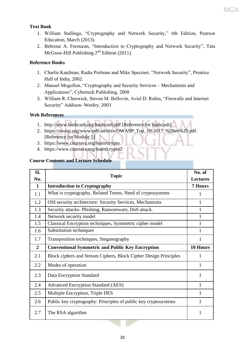#### **Text Book**

- 1. William Stallings, "Cryptography and Network Security," 6th Edition, Pearson Education, March (2013).
- 2. Behrouz A. Forouzan, "Introduction to Cryptography and Network Security", Tata McGraw-Hill Publishing 2nd Edition (2011).

#### **Reference Books**

- 1. Charlie Kaufman, Radia Perlman and Mike Speciner, "Network Security", Prentice Hall of India, 2002.
- 2. Manuel Mogollon, "Cryptography and Security Services Mechanisms and Applications", Cybertech Publishing, 2008
- 3. William R. Cheswick, Steven M. Bellovin, Aviel D. Rubin, "Firewalls and Internet Security" Addison- Wesley, 2003

#### **Web References**

- 1. http://www.hashcash.org/hashcash.pdf [Reference for hashcash]
- 2. https://owasp.org/www-pdf-archive/OWASP\_Top\_10-2017\_%28en%29.pdf. [Reference for Module 5]
- 3. https://www.coursera.org/learn/crypto
- 4. https://www.coursera.org/learn/crypto2

#### **Course Contents and Lecture Schedule**

| SI.            | <b>Topic</b>                                                     |                 |
|----------------|------------------------------------------------------------------|-----------------|
| No.            |                                                                  | <b>Lectures</b> |
| $\mathbf{1}$   | <b>Introduction to Cryptography</b>                              | <b>7 Hours</b>  |
| 1.1            | What is cryptography, Related Terms, Need of cryptosystems       | 1               |
| 1.2            | OSI security architecture: Security Services, Mechanisms         | 1               |
| 1.3            | Security attacks- Phishing, Ransomware, DoS attack.              | 1               |
| 1.4            | Network security model                                           | 1               |
| 1.5            | Classical Encryption techniques, Symmetric cipher model          | 1               |
| 1.6            | Substitution techniques                                          | 1               |
| 1.7            | Transposition techniques, Steganography                          | 1               |
| $\overline{2}$ | <b>Conventional Symmetric and Public Key Encryption</b>          | 10 Hours        |
| 2.1            | Block ciphers and Stream Ciphers, Block Cipher Design Principles | 1               |
| 2.2            | Modes of operation                                               | 1               |
| 2.3            | Data Encryption Standard                                         | 1               |
| 2.4            | <b>Advanced Encryption Standard (AES)</b>                        | 1               |
| 2.5            | Multiple Encryption, Triple DES                                  | 1               |
| 2.6            | Public key cryptography: Principles of public key cryptosystems  | 1               |
| 2.7            | The RSA algorithm                                                | 1               |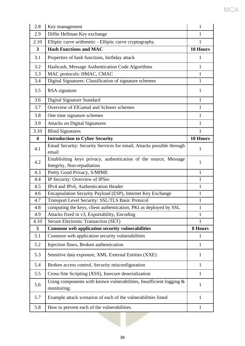| 2.8                     | Key management                                                                                 | 1            |
|-------------------------|------------------------------------------------------------------------------------------------|--------------|
| 2.9                     | Diffie Hellman Key exchange                                                                    | 1            |
| 2.10                    | Elliptic curve arithmetic - Elliptic curve cryptography.                                       | $\mathbf{1}$ |
| 3                       | <b>Hash Functions and MAC</b>                                                                  | 10 Hours     |
| 3.1                     | Properties of hash functions, birthday attack                                                  | 1            |
| 3.2                     | Hashcash, Message Authentication Code Algorithms                                               | $\mathbf{1}$ |
| 3.3                     | MAC protocols: HMAC, CMAC                                                                      | $\mathbf{1}$ |
| 3.4                     | Digital Signatures: Classification of signature schemes                                        | $\mathbf{1}$ |
| 3.5                     | RSA signature                                                                                  | 1            |
| 3.6                     | <b>Digital Signature Standard</b>                                                              | $\mathbf{1}$ |
| 3.7                     | Overview of ElGamal and Schnorr schemes                                                        | $\mathbf{1}$ |
| 3.8                     | One time signature schemes                                                                     | $\mathbf{1}$ |
| 3.9                     | <b>Attacks on Digital Signatures</b>                                                           | $\mathbf{1}$ |
| 3.10                    | <b>Blind Signatures</b>                                                                        | 1            |
| $\overline{\mathbf{4}}$ | <b>Introduction to Cyber Security</b>                                                          | 10 Hours     |
| 4.1                     | Email Security: Security Services for email, Attacks possible through<br>email                 | 1            |
| 4.2                     | Establishing keys privacy, authentication of the source, Message<br>Integrity, Non-repudiation | 1            |
| 4.3                     | Pretty Good Privacy, S/MIME                                                                    | $\mathbf{1}$ |
| 4.4                     | IP Security: Overview of IPSec                                                                 | $\mathbf{1}$ |
| 4.5                     | IPv4 and IPv6, Authentication Header                                                           | $\mathbf{1}$ |
| 4.6                     | Encapsulation Security Payload (ESP), Internet Key Exchange                                    | $\mathbf{1}$ |
| 4.7                     | Transport Level Security: SSL/TLS Basic Protocol                                               | $\mathbf{1}$ |
| 4.8                     | computing the keys, client authentication, PKI as deployed by SSL                              |              |
| 4.9                     | Attacks fixed in v3, Exportability, Encoding                                                   | 1            |
| 4.10                    | <b>Secure Electronic Transaction (SET)</b>                                                     | 1            |
| 5                       | Common web application security vulnerabilities                                                | 8 Hours      |
| 5.1                     | Common web application security vulnerabilities                                                | 1            |
| 5.2                     | Injection flaws, Broken authentication                                                         | $\mathbf{1}$ |
| 5.3                     | Sensitive data exposure, XML External Entities (XXE)                                           | $\mathbf{1}$ |
| 5.4                     | Broken access control, Security misconfiguration                                               | $\mathbf{1}$ |
| 5.5                     | Cross-Site Scripting (XSS), Insecure deserialization                                           | $\mathbf{1}$ |
| 5.6                     | Using components with known vulnerabilities, Insufficient logging &<br>monitoring.             | $\mathbf{1}$ |
| 5.7                     | Example attack scenarios of each of the vulnerabilities listed                                 | 1            |
| 5.8                     | How to prevent each of the vulnerabilities.                                                    | $\mathbf{1}$ |

MCA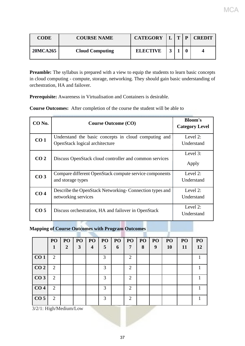| <b>CODE</b> | <b>COURSE NAME</b>     | <b>CATEGORY</b> | $T$   $P$ | <b>CREDIT</b> |
|-------------|------------------------|-----------------|-----------|---------------|
| 20MCA265    | <b>Cloud Computing</b> | <b>ELECTIVE</b> |           | 4             |

MCA

**Preamble:** The syllabus is prepared with a view to equip the students to learn basic concepts in cloud computing - compute, storage, networking. They should gain basic understanding of orchestration, HA and failover.

**Prerequisite:** Awareness in Virtualisation and Containers is desirable.

**Course Outcomes:** After completion of the course the student will be able to

| CO <sub>No.</sub> | <b>Course Outcome (CO)</b>                                                             | <b>Bloom's</b><br><b>Category Level</b> |
|-------------------|----------------------------------------------------------------------------------------|-----------------------------------------|
| CO <sub>1</sub>   | Understand the basic concepts in cloud computing and<br>OpenStack logical architecture | Level 2:<br>Understand                  |
| CO <sub>2</sub>   | Discuss OpenStack cloud controller and common services                                 | Level 3:<br>Apply                       |
| CO <sub>3</sub>   | Compare different OpenStack compute service components<br>and storage types            | Level 2:<br>Understand                  |
| CO <sub>4</sub>   | Describe the OpenStack Networking-Connection types and<br>networking services          | Level 2:<br>Understand                  |
| CO <sub>5</sub>   | Discuss orchestration, HA and failover in OpenStack                                    | Level 2:<br>Understand                  |

**Mapping of Course Outcomes with Program Outcomes**

|                        | PO             | PO | PO | PO                      | PO | PO | PO <sub>1</sub> | PO | PO | PO        | PO | PO |
|------------------------|----------------|----|----|-------------------------|----|----|-----------------|----|----|-----------|----|----|
|                        | 1              | 2  | 3  | $\overline{\mathbf{4}}$ | 5  | 6  | 7               | 8  | 9  | <b>10</b> | 11 | 12 |
| CO <sub>1</sub>        | $\overline{2}$ |    |    |                         | 3  |    | $\overline{2}$  |    |    |           |    |    |
| CO <sub>2</sub>        | $\overline{2}$ |    |    |                         | 3  |    | $\overline{2}$  |    |    |           |    | 1  |
| CO <sub>3</sub>        | $\overline{2}$ |    |    |                         | 3  |    | $\overline{2}$  |    |    |           |    |    |
| CO <sub>4</sub>        | $\overline{2}$ |    |    |                         | 3  |    | $\overline{2}$  |    |    |           |    |    |
| CO <sub>5</sub>        | $\overline{2}$ |    |    |                         | 3  |    | $\overline{2}$  |    |    |           |    |    |
| 3/2/1: High/Medium/Low |                |    |    |                         |    |    |                 |    |    |           |    |    |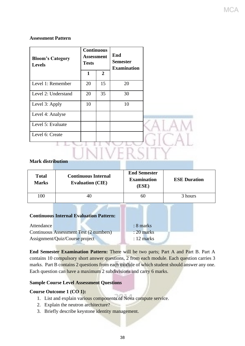## **Assessment Pattern**

| <b>Bloom's Category</b><br><b>Levels</b> | <b>Continuous</b><br><b>Tests</b> | <b>Assessment</b> | End<br><b>Semester</b><br><b>Examination</b> |  |
|------------------------------------------|-----------------------------------|-------------------|----------------------------------------------|--|
|                                          | $\mathbf{1}$                      | $\overline{2}$    |                                              |  |
| Level 1: Remember                        | 20                                | 15                | 20                                           |  |
| Level 2: Understand                      | 20                                | 35                | 30                                           |  |
| Level 3: Apply                           | 10                                |                   | 10                                           |  |
| Level 4: Analyse                         |                                   |                   |                                              |  |
| Level 5: Evaluate                        |                                   |                   |                                              |  |
| Level 6: Create                          |                                   |                   |                                              |  |
|                                          |                                   |                   |                                              |  |
| <b>Mark distribution</b>                 |                                   |                   |                                              |  |

# **Mark distribution**

| <b>Total</b><br><b>Marks</b> | <b>Continuous Internal</b><br><b>Evaluation (CIE)</b> | <b>End Semester</b><br><b>Examination</b><br>(ESE) | <b>ESE Duration</b> |  |  |  |  |
|------------------------------|-------------------------------------------------------|----------------------------------------------------|---------------------|--|--|--|--|
| 100                          | 40                                                    | 60                                                 | 3 hours             |  |  |  |  |
|                              | <b>Continuous Internal Evaluation Pattern:</b>        | $\Omega$                                           |                     |  |  |  |  |

| Attendance                             | $: 8$ marks  |
|----------------------------------------|--------------|
| Continuous Assessment Test (2 numbers) | $: 20$ marks |
| Assignment/Quiz/Course project         | $: 12$ marks |

**End Semester Examination Pattern:** There will be two parts; Part A and Part B. Part A contains 10 compulsory short answer questions, 2 from each module. Each question carries 3 marks. Part B contains 2 questions from each module of which student should answer any one. Each question can have a maximum 2 subdivisions and carry 6 marks.

# **Sample Course Level Assessment Questions**

# **Course Outcome 1 (CO 1):**

- 1. List and explain various components of Nova compute service.
- 2. Explain the neutron architecture?
- 3. Briefly describe keystone identity management.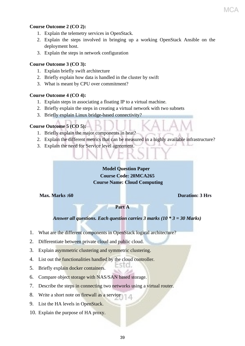# **Course Outcome 2 (CO 2):**

- 1. Explain the telemetry services in OpenStack.
- 2. Explain the steps involved in bringing up a working OpenStack Ansible on the deployment host.
- 3. Explain the steps in network configuration

# **Course Outcome 3 (CO 3):**

- 1. Explain briefly swift architecture
- 2. Briefly explain how data is handled in the cluster by swift
- 3. What is meant by CPU over commitment?

# **Course Outcome 4 (CO 4):**

- 1. Explain steps in associating a floating IP to a virtual machine.
- 2. Briefly explain the steps in creating a virtual network with two subnets
- 3. Briefly explain Linux bridge-based connectivity?

# **Course Outcome 5 (CO 5):**

- 1. Briefly explain the major components in heat?
- 2. Explain the different metrics that can be measured in a highly available infrastructure?
- 3. Explain the need for Service level agreement.

# **Model Question Paper Course Code: 20MCA265 Course Name: Cloud Computing**

# **Max. Marks :60 Duration: 3 Hrs**

**Part A**

# *Answer all questions. Each question carries 3 marks (10 \* 3 = 30 Marks)*

75 I O .

- 1. What are the different components in OpenStack logical architecture?
- 2. Differentiate between private cloud and public cloud.
- 3. Explain asymmetric clustering and symmetric clustering.
- 4. List out the functionalities handled by the cloud controller.
- 5. Briefly explain docker containers.
- 6. Compare object storage with NAS/SAN based storage.
- 7. Describe the steps in connecting two networks using a virtual router.
- 8. Write a short note on firewall as a service
- 9. List the HA levels in OpenStack.
- 10. Explain the purpose of HA proxy.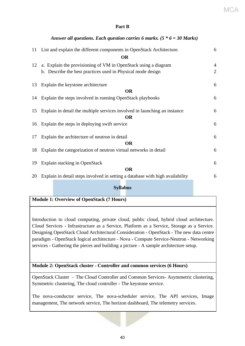MCA

# **Part B**

*Answer all questions. Each question carries 6 marks. (5 \* 6 = 30 Marks)*

|    | 11 List and explain the different components in OpenStack Architecture.                                                       | 6                                |
|----|-------------------------------------------------------------------------------------------------------------------------------|----------------------------------|
|    | <b>OR</b>                                                                                                                     |                                  |
| 12 | a. Explain the provisioning of VM in OpenStack using a diagram<br>b. Describe the best practices used in Physical mode design | $\overline{4}$<br>$\overline{2}$ |
| 13 | Explain the keystone architecture                                                                                             | 6                                |
|    | <b>OR</b>                                                                                                                     |                                  |
|    | 14 Explain the steps involved in running OpenStack playbooks                                                                  | 6                                |
| 15 | Explain in detail the multiple services involved in launching an instance<br><b>OR</b>                                        | 6                                |
|    | 16 Explain the steps in deploying swift service                                                                               | 6                                |
| 17 | Explain the architecture of neutron in detail<br><b>OR</b>                                                                    | 6                                |
| 18 | Explain the categorization of neutron virtual networks in detail                                                              | 6                                |
| 19 | Explain stacking in OpenStack                                                                                                 | 6                                |
|    | <b>OR</b>                                                                                                                     |                                  |
| 20 | Explain in detail steps involved in setting a database with high availability                                                 | 6                                |

# **Syllabus**

# **Module 1: Overview of OpenStack (7 Hours)**

Introduction to cloud computing, private cloud, public cloud, hybrid cloud architecture. Cloud Services - Infrastructure as a Service, Platform as a Service, Storage as a Service. Designing OpenStack Cloud Architectural Consideration - OpenStack - The new data centre paradigm - OpenStack logical architecture - Nova - Compute Service-Neutron - Networking services - Gathering the pieces and building a picture - A sample architecture setup.

# **Module 2: OpenStack cluster - Controller and common services (6 Hours)**

OpenStack Cluster – The Cloud Controller and Common Services- Asymmetric clustering, Symmetric clustering, The cloud controller - The keystone service.

The nova-conductor service, The nova-scheduler service, The API services, Image management, The network service, The horizon dashboard, The telemetry services.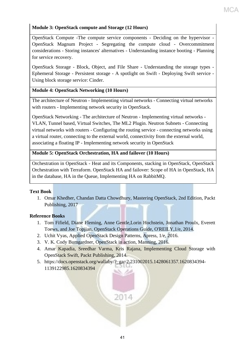# **Module 3: OpenStack compute and Storage (12 Hours)**

OpenStack Compute -The compute service components - Deciding on the hypervisor - OpenStack Magnum Project - Segregating the compute cloud - Overcommitment considerations - Storing instances' alternatives - Understanding instance booting - Planning for service recovery.

OpenStack Storage - Block, Object, and File Share - Understanding the storage types - Ephemeral Storage - Persistent storage - A spotlight on Swift - Deploying Swift service - Using block storage service: Cinder.

# **Module 4: OpenStack Networking (10 Hours)**

The architecture of Neutron - Implementing virtual networks - Connecting virtual networks with routers - Implementing network security in OpenStack.

OpenStack Networking - The architecture of Neutron - Implementing virtual networks - VLAN, Tunnel based, Virtual Switches, The ML2 Plugin. Neutron Subnets - Connecting virtual networks with routers - Configuring the routing service - connecting networks using a virtual router, connecting to the external world, connectivity from the external world, associating a floating IP - Implementing network security in OpenStack

# **Module 5: OpenStack Orchestration, HA and failover (10 Hours)**

Orchestration in OpenStack - Heat and its Components, stacking in OpenStack, OpenStack Orchestration with Terraform. OpenStack HA and failover: Scope of HA in OpenStack, HA in the database, HA in the Queue, Implementing HA on RabbitMQ.

# **Text Book**

1. Omar Khedher, Chandan Datta Chowdhury, Mastering OpenStack, 2nd Edition, Packt Publishing, 2017

# **Reference Books**

- 1. Tom Fifield, Diane Fleming, Anne Gentle,Lorin Hochstein, Jonathan Proulx, Everett Toews, and Joe Topjian, OpenStack Operations Guide, O'REILY,1/e, 2014.
- 2. Uchit Vyas, Applied OpenStack Design Patterns, Apress, 1/e, 2016.
- 3. V. K. Cody Bumgardner, OpenStack in action, Manning, 2016.
- 4. Amar Kapadia, Sreedhar Varma, Kris Rajana, Implementing Cloud Storage with OpenStack Swift, Packt Publishing, 2014.
- 5. https://docs.openstack.org/wallaby/?\_ga=2.231002015.1428061357.1620834394- 1139122985.1620834394

2014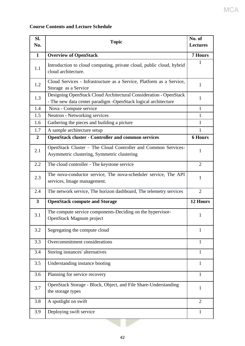# **Course Contents and Lecture Schedule**

| SI.<br>No.     | <b>Topic</b>                                                                                                                        |                |  |  |  |  |  |
|----------------|-------------------------------------------------------------------------------------------------------------------------------------|----------------|--|--|--|--|--|
| $\mathbf{1}$   | <b>Overview of OpenStack</b>                                                                                                        | <b>7 Hours</b> |  |  |  |  |  |
| 1.1            | Introduction to cloud computing, private cloud, public cloud, hybrid<br>cloud architecture.                                         |                |  |  |  |  |  |
| 1.2            | Cloud Services - Infrastructure as a Service, Platform as a Service,<br>Storage as a Service                                        | $\mathbf{1}$   |  |  |  |  |  |
| 1.3            | Designing OpenStack Cloud Architectural Consideration - OpenStack<br>- The new data center paradigm -OpenStack logical architecture | 1              |  |  |  |  |  |
| 1.4            | Nova - Compute service                                                                                                              | $\mathbf{1}$   |  |  |  |  |  |
| 1.5            | Neutron - Networking services                                                                                                       | $\mathbf{1}$   |  |  |  |  |  |
| 1.6            | Gathering the pieces and building a picture                                                                                         | $\mathbf{1}$   |  |  |  |  |  |
| 1.7            | A sample architecture setup                                                                                                         | $\mathbf{1}$   |  |  |  |  |  |
| $\overline{2}$ | <b>OpenStack cluster - Controller and common services</b>                                                                           | <b>6 Hours</b> |  |  |  |  |  |
| 2.1            | OpenStack Cluster - The Cloud Controller and Common Services-<br>Asymmetric clustering, Symmetric clustering                        | $\mathbf{1}$   |  |  |  |  |  |
| 2.2            | The cloud controller - The keystone service                                                                                         | $\overline{2}$ |  |  |  |  |  |
| 2.3            | The nova-conductor service, The nova-scheduler service, The API<br>services, Image management.                                      | 1              |  |  |  |  |  |
| 2.4            | The network service, The horizon dashboard, The telemetry services                                                                  | $\overline{2}$ |  |  |  |  |  |
| $\mathbf{3}$   | <b>OpenStack compute and Storage</b>                                                                                                | 12 Hours       |  |  |  |  |  |
| 3.1            | The compute service components-Deciding on the hypervisor-<br>OpenStack Magnum project                                              | 1              |  |  |  |  |  |
| 3.2            | Segregating the compute cloud                                                                                                       | $\mathbf{1}$   |  |  |  |  |  |
| 3.3            | Overcommitment considerations                                                                                                       | $\mathbf{1}$   |  |  |  |  |  |
| 3.4            | Storing instances' alternatives                                                                                                     | $\mathbf{1}$   |  |  |  |  |  |
| 3.5            | Understanding instance booting                                                                                                      | $\mathbf{1}$   |  |  |  |  |  |
| 3.6            | Planning for service recovery                                                                                                       | $\mathbf{1}$   |  |  |  |  |  |
| 3.7            | OpenStack Storage - Block, Object, and File Share-Understanding<br>the storage types                                                | $\mathbf{1}$   |  |  |  |  |  |
| 3.8            | A spotlight on swift                                                                                                                | $\overline{2}$ |  |  |  |  |  |
| 3.9            | Deploying swift service                                                                                                             | 1              |  |  |  |  |  |

MCA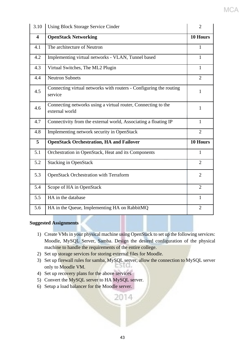| 3.10                    | <b>Using Block Storage Service Cinder</b>                                       | $\overline{2}$ |
|-------------------------|---------------------------------------------------------------------------------|----------------|
| $\overline{\mathbf{4}}$ | <b>OpenStack Networking</b>                                                     | 10 Hours       |
| 4.1                     | The architecture of Neutron                                                     | 1              |
| 4.2                     | Implementing virtual networks - VLAN, Tunnel based                              | 1              |
| 4.3                     | Virtual Switches, The ML2 Plugin                                                | $\mathbf{1}$   |
| 4.4                     | <b>Neutron Subnets</b>                                                          | $\overline{2}$ |
| 4.5                     | Connecting virtual networks with routers - Configuring the routing<br>service   | 1              |
| 4.6                     | Connecting networks using a virtual router, Connecting to the<br>external world | $\mathbf{1}$   |
| 4.7                     | Connectivity from the external world, Associating a floating IP                 | $\mathbf{1}$   |
| 4.8                     | Implementing network security in OpenStack                                      | $\overline{2}$ |
| 5                       | <b>OpenStack Orchestration, HA and Failover</b>                                 | 10 Hours       |
| 5.1                     | Orchestration in OpenStack, Heat and its Components                             | $\mathbf{1}$   |
| 5.2                     | <b>Stacking in OpenStack</b>                                                    | $\overline{2}$ |
| 5.3                     | <b>OpenStack Orchestration with Terraform</b>                                   | $\overline{2}$ |
| 5.4                     | Scope of HA in OpenStack                                                        | $\overline{2}$ |
| 5.5                     | HA in the database                                                              | $\mathbf{1}$   |
| 5.6                     | HA in the Queue, Implementing HA on RabbitMQ                                    | $\overline{2}$ |

MCA

# **Suggested Assignments**

- 1) Create VMs in your physical machine using OpenStack to set up the following services: Moodle, MySQL Server, Samba. Design the desired configuration of the physical machine to handle the requirements of the entire college.
- 2) Set up storage services for storing external files for Moodle.
- 3) Set up firewall rules for samba, MySQL server, allow the connection to MySQL server SIG. only to Moodle VM.

2014

- 4) Set up recovery plans for the above services
- 5) Convert the MySQL server to HA MySQL server.
- 6) Setup a load balancer for the Moodle server.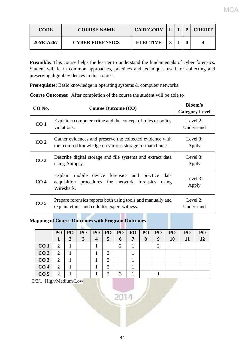| <b>CODE</b> | <b>COURSE NAME</b>     | <b>CATEGORY</b> | $\mathbf{T}$ | D | <b>CREDIT</b> |
|-------------|------------------------|-----------------|--------------|---|---------------|
| 20MCA267    | <b>CYBER FORENSICS</b> | <b>ELECTIVE</b> |              |   |               |

Preamble: This course helps the learner to understand the fundamentals of cyber forensics. Student will learn common approaches, practices and techniques used for collecting and preserving digital evidences in this course.

Prerequisite: Basic knowledge in operating systems & computer networks.

**Course Outcomes:** After completion of the course the student will be able to

| CO No.          | <b>Course Outcome (CO)</b>                                                                                               | <b>Bloom's</b><br><b>Category Level</b> |
|-----------------|--------------------------------------------------------------------------------------------------------------------------|-----------------------------------------|
| CO <sub>1</sub> | Explain a computer crime and the concept of rules or policy<br>violations.                                               | Level 2:<br>Understand                  |
| CO <sub>2</sub> | Gather evidences and preserve the collected evidence with<br>the required knowledge on various storage format choices.   | Level 3:<br>Apply                       |
| CO <sub>3</sub> | Describe digital storage and file systems and extract data<br>using Autopsy.                                             | Level 3:<br>Apply                       |
| CO <sub>4</sub> | Explain mobile device forensics and practice data<br>acquisition procedures for network forensics<br>using<br>Wireshark. | Level 3:<br>Apply                       |
| CO <sub>5</sub> | Prepare forensics reports both using tools and manually and<br>explain ethics and code for expert witness.               | Level 2:<br>Understand                  |

# **Mapping of Course Outcomes with Program Outcomes**

|                 | PO                          | P <sub>O</sub> | PO <sub>1</sub> |                | PO   PO                     | P <sub>O</sub>              | PO | <b>PO</b> | PO               | P <sub>O</sub> | PO | PO |
|-----------------|-----------------------------|----------------|-----------------|----------------|-----------------------------|-----------------------------|----|-----------|------------------|----------------|----|----|
|                 |                             | 2              | 3               | $\overline{4}$ | 5                           | 6                           | 7  | 8         | $\boldsymbol{9}$ | <b>10</b>      | 11 | 12 |
| CO <sub>1</sub> | 2                           |                |                 |                |                             | $\mathcal{D}_{\mathcal{L}}$ |    |           | ⌒                |                |    |    |
| CO <sub>2</sub> | 2                           |                |                 |                | 2                           |                             |    |           |                  |                |    |    |
| CO <sub>3</sub> | 2                           |                |                 |                | 2                           |                             |    |           |                  |                |    |    |
| CO <sub>4</sub> | $\mathcal{D}_{\mathcal{L}}$ |                |                 |                | $\mathcal{D}_{\mathcal{L}}$ |                             |    |           |                  |                |    |    |
| CO <sub>5</sub> | $\mathcal{D}_{\mathcal{A}}$ |                |                 |                | 2                           | 3                           |    |           |                  |                |    |    |

 $2014$ 

3/2/1: High/Medium/Low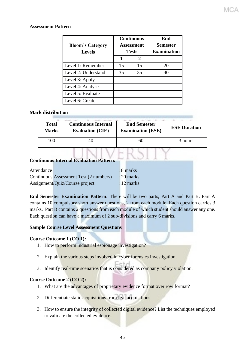# **Assessment Pattern**

| <b>Bloom's Category</b><br><b>Levels</b> |    | <b>Continuous</b><br><b>Assessment</b><br><b>Tests</b> | End<br>Semester<br><b>Examination</b> |  |  |
|------------------------------------------|----|--------------------------------------------------------|---------------------------------------|--|--|
|                                          | 1  | 2                                                      |                                       |  |  |
| Level 1: Remember                        | 15 | 15                                                     | 20                                    |  |  |
| Level 2: Understand                      | 35 | 35                                                     | 40                                    |  |  |
| Level 3: Apply                           |    |                                                        |                                       |  |  |
| Level 4: Analyse                         |    |                                                        |                                       |  |  |
| Level 5: Evaluate                        |    |                                                        |                                       |  |  |
| Level 6: Create                          |    |                                                        |                                       |  |  |

# **Mark distribution**

| <b>Total</b> | <b>Continuous Internal</b> | <b>End Semester</b>      | <b>ESE Duration</b> |
|--------------|----------------------------|--------------------------|---------------------|
| <b>Marks</b> | <b>Evaluation (CIE)</b>    | <b>Examination (ESE)</b> |                     |
| 100          |                            |                          | 3 hours             |

# **Continuous Internal Evaluation Pattern:**

| Attendance |                                        | $: 8$ marks  |
|------------|----------------------------------------|--------------|
|            | Continuous Assessment Test (2 numbers) | $: 20$ marks |
|            | Assignment/Quiz/Course project         | $: 12$ marks |

**End Semester Examination Pattern:** There will be two parts; Part A and Part B. Part A contains 10 compulsory short answer questions, 2 from each module. Each question carries 3 marks. Part B contains 2 questions from each module of which student should answer any one. Each question can have a maximum of 2 sub-divisions and carry 6 marks.

## **Sample Course Level Assessment Questions**

## **Course Outcome 1 (CO 1):**

- 1. How to perform industrial espionage investigation?
- 2. Explain the various steps involved in cyber forensics investigation.
- 3. Identify real-time scenarios that is considered as company policy violation.

## **Course Outcome 2 (CO 2):**

- 1. What are the advantages of proprietary evidence format over row format?
- 2. Differentiate static acquisitions from live acquisitions.
- 3. How to ensure the integrity of collected digital evidence? List the techniques employed to validate the collected evidence.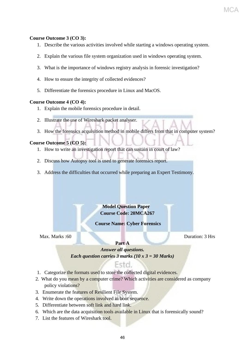# **Course Outcome 3 (CO 3):**

- 1. Describe the various activities involved while starting a windows operating system.
- 2. Explain the various file system organization used in windows operating system.
- 3. What is the importance of windows registry analysis in forensic investigation?
- 4. How to ensure the integrity of collected evidences?
- 5. Differentiate the forensics procedure in Linux and MacOS.

## **Course Outcome 4 (CO 4):**

- 1. Explain the mobile forensics procedure in detail.
- 2. Illustrate the use of Wireshark packet analyser.
- 3. How the forensics acquisition method in mobile differs from that in computer system?

# **Course Outcome 5 (CO 5):**

- 1. How to write an investigation report that can sustain in court of law?
- 2. Discuss how Autopsy tool is used to generate forensics report.
- 3. Address the difficulties that occurred while preparing an Expert Testimony.

# **Model Question Paper Course Code: 20MCA267**

# **Course Name: Cyber Forensics**

Max. Marks :60 Duration: 3 Hrs

# **Part A**

*Answer all questions. Each question carries 3 marks (10 x 3 = 30 Marks)*

# Fstd.

- 1. Categorize the formats used to store the collected digital evidences.
- 2. What do you mean by a computer crime? Which activities are considered as company policy violations?
- 3. Enumerate the features of Resilient File System.
- 4. Write down the operations involved in boot sequence.
- 5. Differentiate between soft link and hard link.
- 6. Which are the data acquisition tools available in Linux that is forensically sound?
- 7. List the features of Wireshark tool.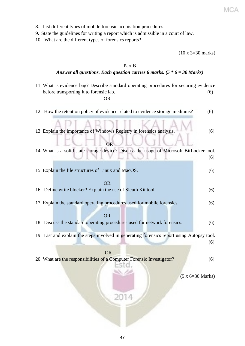- 8. List different types of mobile forensic acquisition procedures.
- 9. State the guidelines for writing a report which is admissible in a court of law.

10. What are the different types of forensics reports?

(10 x 3=30 marks)

# Part B *Answer all questions. Each question carries 6 marks. (5 \* 6 = 30 Marks)* 11. What is evidence bag? Describe standard operating procedures for securing evidence before transporting it to forensic lab. (6) *OR* 12. How the retention policy of evidence related to evidence storage mediums? (6) 13. Explain the importance of Windows Registry in forensics analysis. (6) **CORPORE LA CORPORA** 14. What is a solid-state storage device? Discuss the usage of Microsoft BitLocker tool. (6) 15. Explain the file structures of Linux and MacOS. (6) OR 16. Define write blocker? Explain the use of Sleuth Kit tool. (6) 17. Explain the standard operating procedures used for mobile forensics. (6) OR 18. Discuss the standard operating procedures used for network forensics. (6) 19. List and explain the steps involved in generating forensics report using Autopsy tool. (6) **OR** Service Service Service Service Service Service Service Service Service Service Service Service Service Service Service Service Service Service Service Service Service Service Service Service Service Service Service S 20. What are the responsibilities of a Computer Forensic Investigator? (6) (5 x 6=30 Marks) 2014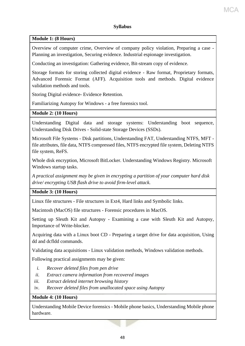# **Syllabus**

# **Module 1: (8 Hours)**

Overview of computer crime, Overview of company policy violation, Preparing a case - Planning an investigation, Securing evidence. Industrial espionage investigation.

Conducting an investigation: Gathering evidence, Bit-stream copy of evidence.

Storage formats for storing collected digital evidence - Raw format, Proprietary formats, Advanced Forensic Format (AFF). Acquisition tools and methods. Digital evidence validation methods and tools.

Storing Digital evidence- Evidence Retention.

Familiarizing Autopsy for Windows - a free forensics tool.

# **Module 2: (10 Hours)**

Understanding Digital data and storage systems: Understanding boot sequence, Understanding Disk Drives - Solid-state Storage Devices (SSDs).

Microsoft File Systems - Disk partitions, Understanding FAT, Understanding NTFS, MFT file attributes, file data, NTFS compressed files, NTFS encrypted file system, Deleting NTFS file system, ReFS.

Whole disk encryption, Microsoft BitLocker. Understanding Windows Registry. Microsoft Windows startup tasks.

*A practical assignment may be given in encrypting a partition of your computer hard disk drive/ encrypting USB flash drive to avoid firm-level attack.* 

# **Module 3: (10 Hours)**

Linux file structures - File structures in Ext4, Hard links and Symbolic links.

Macintosh (MacOS) file structures - Forensic procedures in MacOS.

Setting up Sleuth Kit and Autopsy - Examining a case with Sleuth Kit and Autopsy, Importance of Write-blocker.

Acquiring data with a Linux boot CD - Preparing a target drive for data acquisition, Using dd and dcfldd commands.

Validating data acquisitions - Linux validation methods, Windows validation methods.

Following practical assignments may be given:

- *i. Recover deleted files from pen drive*
- *ii. Extract camera information from recovered images*
- *iii. Extract deleted internet browsing history*
- iv. *Recover deleted files from unallocated space using Autopsy*

# **Module 4: (10 Hours)**

Understanding Mobile Device forensics - Mobile phone basics, Understanding Mobile phone hardware.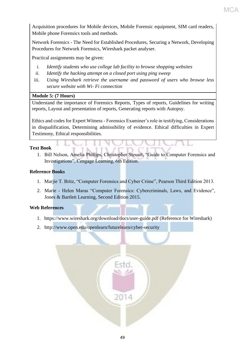Acquisition procedures for Mobile devices, Mobile Forensic equipment, SIM card readers, Mobile phone Forensics tools and methods.

Network Forensics - The Need for Established Procedures, Securing a Network, Developing Procedures for Network Forensics, Wireshark packet analyser.

Practical assignments may be given:

- *i. Identify students who use college lab facility to browse shopping websites*
- *ii. Identify the hacking attempt on a closed port using ping sweep*
- iii. *Using Wireshark retrieve the username and password of users who browse less secure website with Wi- Fi connection*

# **Module 5: (7 Hours)**

Understand the importance of Forensics Reports, Types of reports, Guidelines for writing reports, Layout and presentation of reports, Generating reports with Autopsy.

Ethics and codes for Expert Witness - Forensics Examiner's role in testifying, Considerations in disqualification, Determining admissibility of evidence. Ethical difficulties in Expert Testimony, Ethical responsibilities.

# **Text Book**

1. Bill Nelson, Amelia Phillips, Christopher Steuart, "Guide to Computer Forensics and Investigations", Cengage Learning, 6th Edition.

## **Reference Books**

- 1. Marjie T. Britz, "Computer Forensics and Cyber Crime", Pearson Third Edition 2013.
- 2. Marie Helen Maras "Computer Forensics: Cybercriminals, Laws, and Evidence", Jones & Bartlett Learning, Second Edition 2015.

## **Web References**

- 1. https://www.wireshark.org/download/docs/user-guide.pdf (Reference for Wireshark)
- 2. http://www.open.edu/openlearn/futurelearn/cyber-security

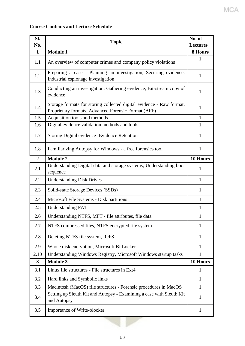# **Course Contents and Lecture Schedule**

| SI.                     | <b>Topic</b>                                                                                                                |                 |  |  |  |  |
|-------------------------|-----------------------------------------------------------------------------------------------------------------------------|-----------------|--|--|--|--|
| No.                     |                                                                                                                             | <b>Lectures</b> |  |  |  |  |
| $\mathbf{1}$            | <b>Module 1</b>                                                                                                             | 8 Hours         |  |  |  |  |
| 1.1                     | An overview of computer crimes and company policy violations                                                                | 1               |  |  |  |  |
| 1.2                     | Preparing a case - Planning an investigation, Securing evidence.<br>Industrial espionage investigation                      | $\mathbf{1}$    |  |  |  |  |
| 1.3                     | Conducting an investigation: Gathering evidence, Bit-stream copy of<br>evidence                                             | 1               |  |  |  |  |
| 1.4                     | Storage formats for storing collected digital evidence - Raw format,<br>Proprietary formats, Advanced Forensic Format (AFF) | $\mathbf{1}$    |  |  |  |  |
| 1.5                     | Acquisition tools and methods                                                                                               | $\mathbf{1}$    |  |  |  |  |
| 1.6                     | Digital evidence validation methods and tools                                                                               | $\mathbf{1}$    |  |  |  |  |
| 1.7                     | Storing Digital evidence - Evidence Retention                                                                               | 1               |  |  |  |  |
| 1.8                     | Familiarizing Autopsy for Windows - a free forensics tool                                                                   | $\mathbf{1}$    |  |  |  |  |
| $\overline{2}$          | <b>Module 2</b>                                                                                                             | 10 Hours        |  |  |  |  |
| 2.1                     | Understanding Digital data and storage systems, Understanding boot<br>sequence                                              | 1               |  |  |  |  |
| 2.2                     | <b>Understanding Disk Drives</b>                                                                                            | $\mathbf{1}$    |  |  |  |  |
| 2.3                     | Solid-state Storage Devices (SSDs)                                                                                          | 1               |  |  |  |  |
| 2.4                     | Microsoft File Systems - Disk partitions                                                                                    | $\mathbf{1}$    |  |  |  |  |
| 2.5                     | <b>Understanding FAT</b>                                                                                                    | $\mathbf{1}$    |  |  |  |  |
| 2.6                     | Understanding NTFS, MFT - file attributes, file data                                                                        | $\mathbf{1}$    |  |  |  |  |
| 2.7                     | NTFS compressed files, NTFS encrypted file system                                                                           | 1               |  |  |  |  |
| 2.8                     | Deleting NTFS file system, ReFS                                                                                             | 1               |  |  |  |  |
| 2.9                     | Whole disk encryption, Microsoft BitLocker                                                                                  | $\mathbf{1}$    |  |  |  |  |
| 2.10                    | Understanding Windows Registry, Microsoft Windows startup tasks                                                             | $\mathbf{1}$    |  |  |  |  |
| $\overline{\mathbf{3}}$ | <b>Module 3</b>                                                                                                             | 10 Hours        |  |  |  |  |
| 3.1                     | Linux file structures - File structures in Ext4                                                                             | 1               |  |  |  |  |
| 3.2                     | Hard links and Symbolic links                                                                                               | 1               |  |  |  |  |
| 3.3                     | Macintosh (MacOS) file structures - Forensic procedures in MacOS                                                            | 1               |  |  |  |  |
| 3.4                     | Setting up Sleuth Kit and Autopsy - Examining a case with Sleuth Kit<br>and Autopsy                                         | 1               |  |  |  |  |
| 3.5                     | Importance of Write-blocker                                                                                                 | $\mathbf{1}$    |  |  |  |  |

**MCA**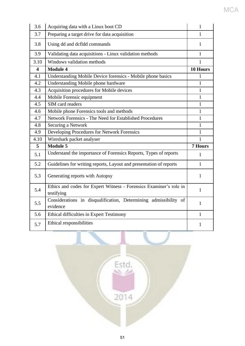| 3.6                     | Acquiring data with a Linux boot CD                                              | 1              |
|-------------------------|----------------------------------------------------------------------------------|----------------|
| 3.7                     | Preparing a target drive for data acquisition                                    | 1              |
| 3.8                     | Using dd and dcfldd commands                                                     | 1              |
| 3.9                     | Validating data acquisitions - Linux validation methods                          | $\mathbf{1}$   |
| 3.10                    | Windows validation methods                                                       | 1              |
| $\overline{\mathbf{4}}$ | <b>Module 4</b>                                                                  | 10 Hours       |
| 4.1                     | Understanding Mobile Device forensics - Mobile phone basics                      | 1              |
| 4.2                     | Understanding Mobile phone hardware                                              | $\mathbf{1}$   |
| 4.3                     | Acquisition procedures for Mobile devices                                        | $\mathbf{1}$   |
| 4.4                     | Mobile Forensic equipment                                                        | $\mathbf{1}$   |
| 4.5                     | SIM card readers                                                                 | 1              |
| 4.6                     | Mobile phone Forensics tools and methods                                         | $\mathbf{1}$   |
| 4.7                     | Network Forensics - The Need for Established Procedures                          | $\mathbf{1}$   |
| 4.8                     | Securing a Network                                                               | $\mathbf{1}$   |
| 4.9                     | Developing Procedures for Network Forensics                                      | $\mathbf{1}$   |
| 4.10                    | Wireshark packet analyser                                                        | 1              |
| 5                       | <b>Module 5</b>                                                                  | <b>7 Hours</b> |
| 5.1                     | Understand the importance of Forensics Reports, Types of reports                 | 1              |
| 5.2                     | Guidelines for writing reports, Layout and presentation of reports               | $\mathbf{1}$   |
| 5.3                     | Generating reports with Autopsy                                                  | $\mathbf{1}$   |
| 5.4                     | Ethics and codes for Expert Witness - Forensics Examiner's role in<br>testifying | $\mathbf{1}$   |
| 5.5                     | Considerations in disqualification, Determining admissibility of<br>evidence     | $\mathbf{1}$   |
| 5.6                     | Ethical difficulties in Expert Testimony                                         | $\mathbf{1}$   |
| 5.7                     |                                                                                  |                |

MCA

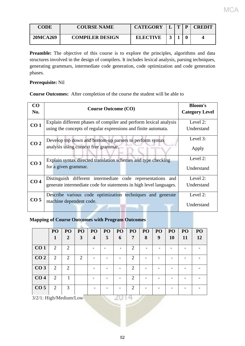| CODE            | <b>COURSE NAME</b>     | <b>CATEGORY</b> | $\mathbf{m}$ | <b>CREDIT</b> |
|-----------------|------------------------|-----------------|--------------|---------------|
| <b>20MCA269</b> | <b>COMPILER DESIGN</b> | <b>ELECTIVE</b> |              | 4             |

Preamble: The objective of this course is to explore the principles, algorithms and data structures involved in the design of compilers. It includes lexical analysis, parsing techniques, generating grammars, intermediate code generation, code optimization and code generation phases.

# **Prerequisite:** Nil

**Course Outcomes:** After completion of the course the student will be able to

| CO<br>No.       | <b>Course Outcome (CO)</b>                                                                                                          | <b>Bloom's</b><br><b>Category Level</b> |
|-----------------|-------------------------------------------------------------------------------------------------------------------------------------|-----------------------------------------|
| CO <sub>1</sub> | Explain different phases of compiler and perform lexical analysis<br>using the concepts of regular expressions and finite automata. | Level 2:<br>Understand                  |
| CO <sub>2</sub> | Develop top down and bottom-up parsers to perform syntax<br>analysis using context free grammar.                                    | Level 3:<br>Apply                       |
| CO <sub>3</sub> | Explain syntax directed translation schemes and type checking<br>for a given grammar.                                               | Level 2:<br>Understand                  |
| CO <sub>4</sub> | Distinguish different intermediate code representations and<br>generate intermediate code for statements in high level languages.   | Level 2:<br>Understand                  |
| CO <sub>5</sub> | Describe various code optimization techniques and generate<br>machine dependent code.                                               | Level 2:<br>Understand                  |

# **Mapping of Course Outcomes with Program Outcomes**

|                           | PO             | PO | PO | PO                      | PO | PO | PO                          | PO | PO | PO        | PO | PO |
|---------------------------|----------------|----|----|-------------------------|----|----|-----------------------------|----|----|-----------|----|----|
|                           | 1              | 2  | 3  | $\overline{\mathbf{4}}$ | 5  | 6  | 7                           | 8  | 9  | <b>10</b> | 11 | 12 |
| CO <sub>1</sub>           | 2              | 2  |    |                         |    |    | 2                           |    |    |           |    |    |
| CO <sub>2</sub>           | 2              | 2  | 2  |                         |    |    | 2                           |    |    |           |    |    |
| CO <sub>3</sub>           | 2              | 2  |    |                         |    |    | $\mathcal{D}_{\mathcal{L}}$ |    |    |           |    |    |
| CO <sub>4</sub>           | $\overline{2}$ |    |    |                         |    |    | $\overline{2}$              |    |    |           |    |    |
| CO <sub>5</sub>           | 2              | 3  |    |                         |    |    | $\overline{2}$              |    |    |           |    |    |
| $3/2/1$ : High/Medium/Low |                |    |    |                         |    |    |                             |    |    |           |    |    |

3/2/1: High/Medium/Low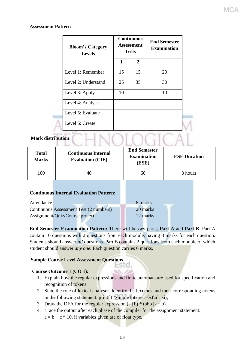# **Assessment Pattern**

| <b>Bloom's Category</b><br><b>Levels</b> |              | <b>Continuous</b><br>Assessment<br><b>Tests</b> | <b>End Semester</b><br><b>Examination</b> |
|------------------------------------------|--------------|-------------------------------------------------|-------------------------------------------|
|                                          | $\mathbf{1}$ | $\overline{2}$                                  |                                           |
| Level 1: Remember                        | 15           | 15                                              | 20                                        |
| Level 2: Understand                      | 25           | 35                                              | 30                                        |
| Level 3: Apply                           | 10           |                                                 | 10                                        |
| Level 4: Analyse                         |              |                                                 |                                           |
| Level 5: Evaluate                        |              |                                                 |                                           |
| Level 6: Create                          |              |                                                 |                                           |

# **Mark distribution**

| <b>Total</b><br><b>Marks</b> | <b>Continuous Internal</b><br><b>Evaluation (CIE)</b> | <b>End Semester</b><br><b>Examination</b><br>(ESE) | <b>ESE Duration</b> |
|------------------------------|-------------------------------------------------------|----------------------------------------------------|---------------------|
| 100                          | 40                                                    | 60                                                 | 3 hours             |

**IOLOGICA** 

## **Continuous Internal Evaluation Pattern:**

| Attendance |                                        | $: 8$ marks          |
|------------|----------------------------------------|----------------------|
|            | Continuous Assessment Test (2 numbers) | $: 20$ marks         |
|            | Assignment/Quiz/Course project         | $: 12 \text{ marks}$ |

# **End Semester Examination Pattern:** There will be *two* parts; **Part A** and **Part B**. Part A contain 10 questions with 2 questions from each module, having 3 marks for each question. Students should answer *all* questions. Part B contains 2 questions from each module of which student should answer *any one*. Each question carries 6 marks.

ESTO.

# **Sample Course Level Assessment Questions**

# **Course Outcome 1 (CO 1):**

- 1. Explain how the regular expressions and finite automata are used for specification and recognition of tokens.
- 2. State the role of lexical analyser. Identify the lexemes and their corresponding tokens in the following statement: printf ("Simple Interest=%f\n", si);
- 3. Draw the DFA for the regular expression  $(a | b) * (abb | a+b)$ .
- 4. Trace the output after each phase of the compiler for the assignment statement:  $a = b + c$  \* 10, if variables given are of float type.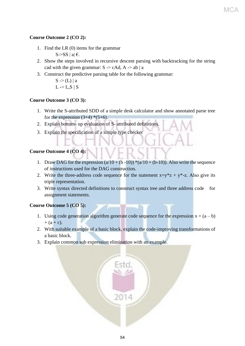# **Course Outcome 2 (CO 2):**

- 1. Find the LR (0) items for the grammar S- $>$ SS | a|  $\epsilon$ .
- 2. Show the steps involved in recursive descent parsing with backtracking for the string cad with the given grammar:  $S \rightarrow cAd$ ,  $A \rightarrow ab \mid a$
- 3. Construct the predictive parsing table for the following grammar:

 $S \rightarrow (L) | a$  $L > L, S \mid S$ 

# **Course Outcome 3 (CO 3):**

- 1. Write the S-attributed SDD of a simple desk calculator and show annotated parse tree for the expression  $(3+4)$  \*(5+6).
- 2. Explain bottom- up evaluation of S- attributed definitions.
- 3. Explain the specification of a simple type checker

# **Course Outcome 4 (CO 4):**

- 1. Draw DAG for the expression  $(a/10 + (b-10))^*(a/10 + (b-10))$ . Also write the sequence of instructions used for the DAG construction.
- 2. Write the three-address code sequence for the statement  $x=y^*z + y^*-z$ . Also give its triple representation.
- 3. Write syntax directed definitions to construct syntax tree and three address code for assignment statements.

# **Course Outcome 5 (CO 5):**

- 1. Using code generation algorithm generate code sequence for the expression  $x = (a b)$  $+ (a + c).$
- 2. With suitable example of a basic block, explain the code-improving transformations of a basic block.
- 3. Explain common sub expression elimination with an example.

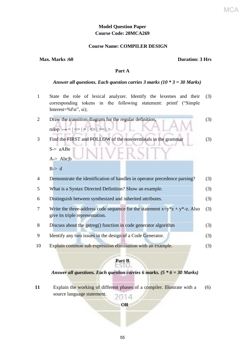# **Model Question Paper Course Code: 20MCA269**

# **Course Name: COMPILER DESIGN**

#### **Max. Marks :60 Duration: 3 Hrs**

#### **Part A**

#### *Answer all questions. Each question carries 3 marks (10 \* 3 = 30 Marks)*

1 State the role of lexical analyzer. Identify the lexemes and their corresponding tokens in the following statement: printf ("Simple Interest=% $f\$ <sup>n</sup>", si); (3) 2 Draw the transition diagram for the regular definition,  $relon \rightarrow \leq \mid \leq \mid = \mid \leq \mid \geq = \mid >$ (3) 3 Find the FIRST and FOLLOW of the non-terminals in the grammar S-> aABe A-> Abc|b  $B \geq d$ (3) 4 Demonstrate the identification of handles in operator precedence parsing? (3) 5 What is a Syntax Directed Definition? Show an example. (3) 6 Distinguish between synthesized and inherited attributes. (3) 7 Write the three-address code sequence for the statement  $x=y^*z + y^*-z$ . Also give its triple representation. (3) 8 Discuss about the getreg() function in code generator algorithm (3) 9 Identify any two issues in the design of a Code Generator. (3) 10 Explain common sub expression elimination with an example. (3)

# **Part B**

# *Answer all questions. Each question carries 6 marks. (5 \* 6 = 30 Marks)*

**11** Explain the working of different phases of a compiler. Illustrate with a (6) source language statement. 014

# **OR**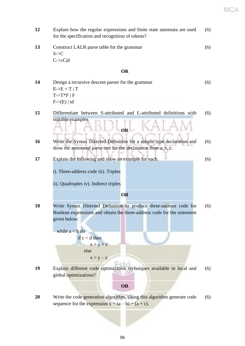**12** Explain how the regular expressions and finite state automata are used for the specification and recognition of tokens? (6) **13** Construct LALR parse table for the grammar  $S \rightarrow C$  $C\rightarrow cC|d$ (6) **OR 14** Design a recursive descent parser for the grammar  $E > E + T$  | T  $T\rightarrow T*F \mid F$  $F\rightarrow(E)$  | id (6) **15** Differentiate between S-attributed and L-attributed definitions with suitable examples (6) **OR 16** Write the Syntax Directed Definition for a simple type declaration and draw the annotated parse tree for the declaration float a, b, c. (6) **17** Explain the following and show an example for each. i). Three-address code iii). Triples ii). Quadruples iv). Indirect triples (6) **OR 18** Write Syntax Directed Definition to produce three-address code for Boolean expressions and obtain the three-address code for the statement given below: while  $a < b$  do if  $c < d$  then  $x = y + z$  else  $x = y - z$ (6) **19** Explain different code optimization techniques available in local and global optimizations? (6) **OR 20** Write the code generation algorithm. Using this algorithm generate code sequence for the expression  $x = (a - b) + (a + c)$ . (6) MCA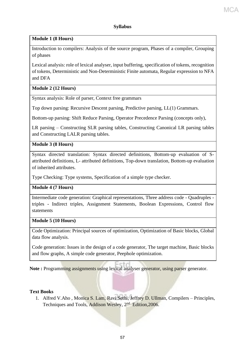# **Module 1 (8 Hours)**

Introduction to compilers: Analysis of the source program, Phases of a compiler, Grouping of phases

Lexical analysis: role of lexical analyser, input buffering, specification of tokens, recognition of tokens, Deterministic and Non-Deterministic Finite automata, Regular expression to NFA and DFA

# **Module 2 (12 Hours)**

Syntax analysis: Role of parser, Context free grammars

Top down parsing: Recursive Descent parsing, Predictive parsing, LL(1) Grammars.

Bottom-up parsing: Shift Reduce Parsing, Operator Precedence Parsing (concepts only),

LR parsing – Constructing SLR parsing tables, Constructing Canonical LR parsing tables and Constructing LALR parsing tables.

# **Module 3 (8 Hours)**

Syntax directed translation: Syntax directed definitions, Bottom-up evaluation of Sattributed definitions, L- attributed definitions, Top-down translation, Bottom-up evaluation of inherited attributes.

Type Checking: Type systems, Specification of a simple type checker.

# **Module 4 (7 Hours)**

Intermediate code generation: Graphical representations, Three address code - Quadruples triples - Indirect triples, Assignment Statements, Boolean Expressions, Control flow statements

# **Module 5 (10 Hours)**

Code Optimization: Principal sources of optimization, Optimization of Basic blocks, Global data flow analysis.

Code generation: Issues in the design of a code generator, The target machine, Basic blocks and flow graphs, A simple code generator, Peephole optimization.

Note : Programming assignments using lexical analyser generator, using parser generator.

# **Text Books**

1. Alfred V.Aho , Monica S. Lam, Ravi Sethi, Jeffrey D. Ullman, Compilers – Principles, Techniques and Tools, Addison Wesley, 2<sup>nd</sup> Edition, 2006.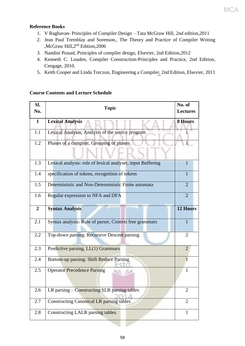# **Reference Books**

- 1. V Raghavan- Principles of Compiler Design Tata McGraw Hill, 2nd edition,2011
- 2. Jean Paul Tremblay and Sorenson., The Theory and Practice of Compiler Writing ,McGraw Hill,2nd Edition,2006
- 3. Nandini Prasad, Principles of compiler design, Elsevier, 2nd Edition,2012
- 4. Kenneth C. Louden, Compiler Construction-Principles and Practice, 2nd Edition, Cengage, 2010.
- 5. Keith Cooper and Linda Torczon, Engineering a Compiler, 2nd Edition, Elsevier, 2011

# **Course Contents and Lecture Schedule**

| SI.<br>No.     | <b>Topic</b>                                                | No. of<br><b>Lectures</b> |
|----------------|-------------------------------------------------------------|---------------------------|
| $\mathbf{1}$   | <b>Lexical Analysis</b>                                     | <b>8 Hours</b>            |
| 1.1            | Lexical Analysis: Analysis of the source program            |                           |
| 1.2            | Phases of a compiler, Grouping of phases                    | 1                         |
| 1.3            | Lexical analysis: role of lexical analyser, input Buffering | $\mathbf{1}$              |
| 1.4            | specification of tokens, recognition of tokens              | $\mathbf{1}$              |
| 1.5            | Deterministic and Non-Deterministic Finite automata         | $\overline{2}$            |
| 1.6            | Regular expression to NFA and DFA                           | $\overline{2}$            |
| $\overline{2}$ | <b>Syntax Analysis</b>                                      | <b>12 Hours</b>           |
| 2.1            | Syntax analysis: Role of parser, Context free grammars      | $\mathbf{1}$              |
| 2.2            | Top-down parsing: Recursive Descent parsing                 | $\overline{2}$            |
| 2.3            | Predictive parsing, LL(1) Grammars                          | $\overline{2}$            |
| 2.4            | Bottom-up parsing: Shift Reduce Parsing                     | 1                         |
| 2.5            | <b>Operator Precedence Parsing</b>                          | 1                         |
| 2.6            | LR parsing – Constructing SLR parsing tables                | $\overline{2}$            |
| 2.7            | <b>Constructing Canonical LR parsing tables</b>             | $\overline{2}$            |
| 2.8            | Constructing LALR parsing tables.                           | $\mathbf{1}$              |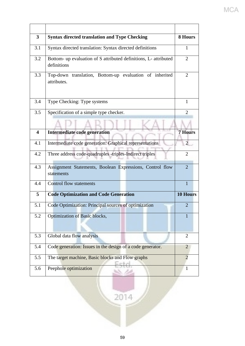| $\overline{\mathbf{3}}$ | <b>Syntax directed translation and Type Checking</b>                            | 8 Hours         |
|-------------------------|---------------------------------------------------------------------------------|-----------------|
| 3.1                     | Syntax directed translation: Syntax directed definitions                        | $\mathbf{1}$    |
| 3.2                     | Bottom- up evaluation of S attributed definitions, L- attributed<br>definitions | $\overline{2}$  |
| 3.3                     | Top-down translation, Bottom-up evaluation of inherited<br>attributes.          | $\overline{2}$  |
| 3.4                     | Type Checking: Type systems                                                     | $\mathbf{1}$    |
| 3.5                     | Specification of a simple type checker.                                         | 2               |
|                         |                                                                                 |                 |
| $\overline{\mathbf{4}}$ | Intermediate code generation                                                    | <b>7 Hours</b>  |
| 4.1                     | Intermediate code generation: Graphical representations                         | $\overline{2}$  |
| 4.2                     | Three address code-quadruples -triples-Indirect triples                         | $\overline{2}$  |
| 4.3                     | Assignment Statements, Boolean Expressions, Control flow<br>statements          | $\overline{2}$  |
| 4.4                     | Control flow statements                                                         | $\mathbf{1}$    |
| 5                       | <b>Code Optimization and Code Generation</b>                                    | <b>10 Hours</b> |
| 5.1                     | Code Optimization: Principal sources of optimization                            | $\overline{2}$  |
| 5.2                     | Optimization of Basic blocks,                                                   | I.              |
| 5.3                     | Global data flow analysis                                                       | $\overline{2}$  |
| 5.4                     | Code generation: Issues in the design of a code generator.                      | $\overline{2}$  |
| 5.5                     | The target machine, Basic blocks and Flow graphs                                | $\overline{2}$  |
| 5.6                     | Peephole optimization                                                           | $\mathbf{1}$    |

# MCA

 $\frac{1}{2014}$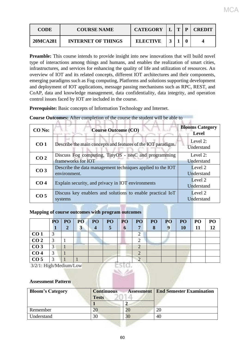| CODE            | <b>COURSE NAME</b>        | <b>CATEGORY</b> |  | P | <b>CREDIT</b> |
|-----------------|---------------------------|-----------------|--|---|---------------|
| <b>20MCA281</b> | <b>INTERNET OF THINGS</b> | <b>ELECTIVE</b> |  |   |               |

**Preamble:** This course intends to provide insight into new innovations that will build novel type of interactions among things and humans, and enables the realization of smart cities, infrastructures, and services for enhancing the quality of life and utilization of resources. An overview of IOT and its related concepts, different IOT architectures and their components, emerging paradigms such as Fog computing, Platforms and solutions supporting development and deployment of IOT applications, message passing mechanisms such as RPC, REST, and CoAP, data and knowledge management, data confidentiality, data integrity, and operation control issues faced by IOT are included in the course.

**Prerequisite:** Basic concepts of Information Technology and Internet.

| CO No:          | <b>Course Outcome (CO)</b>                                                 | <b>Blooms Category</b><br><b>Level</b> |
|-----------------|----------------------------------------------------------------------------|----------------------------------------|
| CO <sub>1</sub> | Describe the main concepts and features of the IOT paradigm.               | Level 2:<br>Understand                 |
| CO <sub>2</sub> | Discuss Fog computing, TinyOS - nesC and programming<br>frameworks for IOT | Level 2:<br>Understand                 |
| CO <sub>3</sub> | Describe the data management techniques applied to the IOT<br>environment. | Level 2<br>Understand                  |
| CO <sub>4</sub> | Explain security, and privacy in IOT environments                          | Level 2<br>Understand                  |
| CO <sub>5</sub> | Discuss key enablers and solutions to enable practical IoT<br>systems      | Level 2<br>Understand                  |

**Course Outcomes:** After completion of the course the student will be able to

# **Mapping of course outcomes with program outcomes**

|                 | PO          | PO | PO | PO <sub>1</sub> | PO | PO      | PO <sub>1</sub> | PO <sub>1</sub> | P <sub>O</sub> | PO | PO | PO |
|-----------------|-------------|----|----|-----------------|----|---------|-----------------|-----------------|----------------|----|----|----|
|                 |             |    | 3  | 4               |    | 6       |                 | 8               |                | 10 | 11 | 12 |
| CO <sub>1</sub> | ◠           |    |    |                 |    |         |                 |                 |                |    |    |    |
| CO <sub>2</sub> | 2           |    |    |                 |    |         |                 |                 |                |    |    |    |
| CO <sub>3</sub> | $\mathbf 2$ |    |    |                 |    |         |                 |                 |                |    |    |    |
| CO <sub>4</sub> |             |    |    |                 |    |         |                 |                 |                |    |    |    |
| CO <sub>5</sub> |             |    |    |                 |    | $-0.00$ |                 |                 |                |    |    |    |

3/2/1: High/Medium/Low

# **Assessment Pattern**

| <b>Bloom's Category</b> | <b>Continuous</b><br><b>Tests</b> | <b>Assessment</b>   End Semester Examination |
|-------------------------|-----------------------------------|----------------------------------------------|
|                         |                                   |                                              |
| Remember                | 20                                |                                              |
| Understand              | 30                                | 40                                           |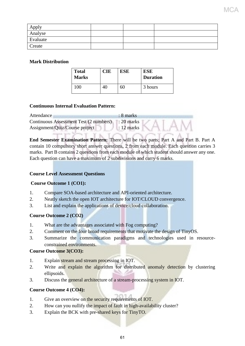| Apply    |  |  |
|----------|--|--|
| Analyse  |  |  |
| Evaluate |  |  |
| Create   |  |  |

MCJ

# **Mark Distribution**

| <b>Total</b><br><b>Marks</b> | CIE | <b>ESE</b> | ESE<br><b>Duration</b> |
|------------------------------|-----|------------|------------------------|
| .00                          |     | hU         | 3 hours                |

# **Continuous Internal Evaluation Pattern:**

| Attendance                             | $\therefore$ 8 marks |
|----------------------------------------|----------------------|
| Continuous Assessment Test (2 numbers) | $: 20$ marks         |
| Assignment/Quiz/Course project         | $: 12$ marks         |

**End Semester Examination Pattern:** There will be two parts; Part A and Part B. Part A contain 10 compulsory short answer questions, 2 from each module. Each question carries 3 marks. Part B contains 2 questions from each module of which student should answer any one. Each question can have a maximum of 2 subdivisions and carry 6 marks.

# **Course Level Assessment Questions**

# **Course Outcome 1 (CO1):**

- 1. Compare SOA-based architecture and API-oriented architecture.
- 2. Neatly sketch the open IOT architecture for IOT/CLOUD convergence.
- 3. List and explain the applications of device/cloud collaboration.

# **Course Outcome 2 (CO2)**

- 1. What are the advantages associated with Fog computing?
- 2. Comment on the four broad requirements that motivate the design of TinyOS.
- 3. Summarize the communication paradigms and technologies used in resourceconstrained environments.

# **Course Outcome 3(CO3):**

- 1. Explain stream and stream processing in IOT.
- 2. Write and explain the algorithm for distributed anomaly detection by clustering ellipsoids.
- 3. Discuss the general architecture of a stream-processing system in IOT.

# **Course Outcome 4 (CO4):**

- 1. Give an overview on the security requirements of IOT.
- 2. How can you nullify the impact of fault in high-availability cluster?
- 3. Explain the BCK with pre-shared keys for TinyTO.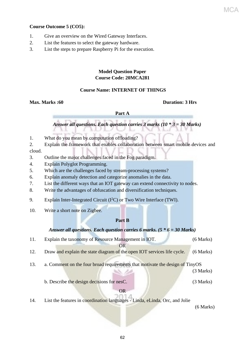# **Course Outcome 5 (CO5):**

- 1. Give an overview on the Wired Gateway Interfaces.
- 2. List the features to select the gateway hardware.
- 3. List the steps to prepare Raspberry Pi for the execution.

# **Model Question Paper Course Code: 20MCA281**

# **Course Name: INTERNET OF THINGS**

## **Max. Marks :60 Duration: 3 Hrs**

#### **Part A**

 *Answer all questions. Each question carries 3 marks (10 \* 3 = 30 Marks)*

- 1. What do you mean by computation offloading?
- 2. Explain the framework that enables collaboration between smart mobile devices and cloud.
- 3. Outline the major challenges faced in the Fog paradigm.
- 4. Explain Polyglot Programming.
- 5. Which are the challenges faced by stream-processing systems?
- 6. Explain anomaly detection and categorize anomalies in the data.
- 7. List the different ways that an IOT gateway can extend connectivity to nodes.
- 8. Write the advantages of obfuscation and diversification techniques.
- 9. Explain Inter-Integrated Circuit  $(I<sup>2</sup>C)$  or Two Wire Interface (TWI).
- 10. Write a short note on Zigbee.

## **Part B**

## *Answer all questions. Each question carries 6 marks. (5 \* 6 = 30 Marks)*

- 11. Explain the taxonomy of Resource Management in IOT. (6 Marks) OR
- 12. Draw and explain the state diagram of the open IOT services life cycle.(6 Marks)
- 13. a. Comment on the four broad requirements that motivate the design of TinyOS

(3 Marks)

b. Describe the design decisions for nesC. (3 Marks)

# OR

14. List the features in coordination languages - Linda, eLinda, Orc, and Jolie

(6 Marks)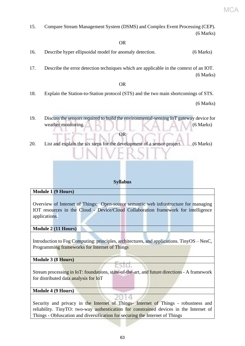15. Compare Stream Management System (DSMS) and Complex Event Processing (CEP). (6 Marks)

# OR

- 16. Describe hyper ellipsoidal model for anomaly detection. (6 Marks)
- 17. Describe the error detection techniques which are applicable in the context of an IOT. (6 Marks)

## OR

18. Explain the Station-to-Station protocol (STS) and the two main shortcomings of STS.

(6 Marks)

19. Discuss the sensors required to build the environmental-sensing IoT gateway device for weather monitoring. (6 Marks)

# 20. List and explain the six steps for the development of a sensor project. (6 Marks)

OR

## **Syllabus**

#### **Module 1 (9 Hours)**

Overview of Internet of Things: Open-source semantic web infrastructure for managing IOT resources in the Cloud - Device/Cloud Collaboration framework for intelligence applications.

**Module 2 (11 Hours)**

Introduction to Fog Computing: principles, architectures, and applications. TinyOS – NesC, Programming frameworks for Internet of Things

## **Module 3 (8 Hours)**

Stream processing in IoT: foundations, state-of-the-art, and future directions - A framework for distributed data analysis for IoT

ESIG.

## **Module 4 (9 Hours)**

Security and privacy in the Internet of Things- Internet of Things - robustness and reliability. TinyTO: two-way authentication for constrained devices in the Internet of Things - Obfuscation and diversification for securing the Internet of Things

A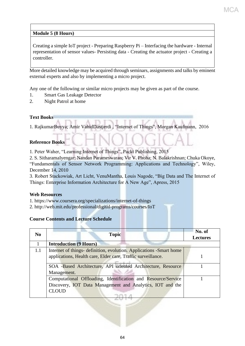**Module 5 (8 Hours)**

Creating a simple IoT project - Preparing Raspberry Pi – Interfacing the hardware - Internal representation of sensor values- Persisting data - Creating the actuator project - Creating a controller.

More detailed knowledge may be acquired through seminars, assignments and talks by eminent external experts and also by implementing a micro project.

Any one of the following or similar micro projects may be given as part of the course.

- 1. Smart Gas Leakage Detector
- 2. Night Patrol at home

# **Text Books**

1. RajkumarBuyya; Amir VahidDastjerdi , "Internet of Things", Morgan Kaufmann, 2016

# **Reference Books**

1. Peter Waher, "Learning Internet of Things", Packt Publishing, 2015

2. S. SitharamaIyengar; Nandan Parameswaran; Vir V. Phoha; N. Balakrishnan; Chuka Okoye, "Fundamentals of Sensor Network Programming: Applications and Technology", Wiley, December 14, 2010

3. Robert Stackowiak, Art Licht, VenuMantha, Louis Nagode, "Big Data and The Internet of Things: Enterprise Information Architecture for A New Age", Apress, 2015

## **Web Resources**

1. https://www.coursera.org/specializations/internet-of-things

2.<http://web.mit.edu/professional/digital-programs/courses/IoT>

# **Course Contents and Lecture Schedule**

| N <sub>0</sub> | <b>Topic</b>                                                                                                                               | No. of<br><b>Lectures</b> |
|----------------|--------------------------------------------------------------------------------------------------------------------------------------------|---------------------------|
|                | <b>Introduction (9 Hours)</b>                                                                                                              |                           |
| 1.1            | Internet of things- definition, evolution. Applications -Smart home<br>applications, Health care, Elder care, Traffic surveillance.        |                           |
|                | SOA -Based Architecture, API oriented Architecture, Resource<br>Management.                                                                |                           |
|                | Computational Offloading, Identification and Resource/Service<br>Discovery, IOT Data Management and Analytics, IOT and the<br><b>CLOUD</b> |                           |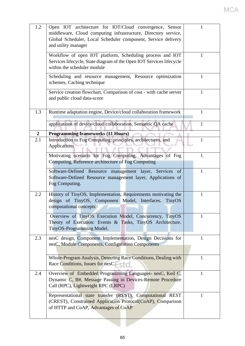| 1.2                   | Open IOT architecture for IOT/Cloud convergence, Sensor<br>middleware, Cloud computing infrastructure, Directory service,<br>Global Scheduler, Local Scheduler component, Service delivery<br>and utility manager |              |
|-----------------------|-------------------------------------------------------------------------------------------------------------------------------------------------------------------------------------------------------------------|--------------|
|                       | Workflow of open IOT platform, Scheduling process and IOT<br>Services lifecycle, State diagram of the Open IOT Services lifecycle<br>within the scheduler module                                                  | 1            |
|                       | Scheduling and resource management, Resource optimization<br>schemes, Caching technique                                                                                                                           | 1            |
|                       | Service creation flowchart, Comparison of cost - with cache server<br>and public cloud data-score                                                                                                                 | $\mathbf{1}$ |
| 1.3                   | Runtime adaptation engine, Device/cloud collaboration framework                                                                                                                                                   | 1            |
|                       | applications of device/cloud collaboration, Semantic QA cache                                                                                                                                                     | 1            |
| $\overline{2}$<br>2.1 | <b>Programming frameworks (11 Hours)</b><br>Introduction to Fog Computing: principles, architectures, and<br><b>Applications</b>                                                                                  | 1            |
|                       | Motivating scenario for Fog Computing, Advantages of Fog<br>Computing, Reference architecture of Fog Computing                                                                                                    | 1            |
|                       | Software-Defined Resource management layer,<br>Services<br>of<br>Software-Defined Resource management layer, Applications of<br>Fog Computing.                                                                    | $\mathbf{1}$ |
| 2.2                   | History of TinyOS, Implementation, Requirements motivating the<br>design of TinyOS, Component Model, Interfaces.<br><b>TinyOS</b><br>computational concepts                                                       | 1            |
|                       | Overview of TinyOS Execution Model, Concurrency, TinyOS<br>Theory of Execution: Events & Tasks, TinyOS Architecture.<br>TinyOS-Programming Model.                                                                 | 1            |
| 2.3                   | nesC design, Component Implementation, Design Decisions for<br>nesC, Module Components, Configuration Components                                                                                                  | 1            |
|                       | Whole-Program Analysis, Detecting Race Conditions, Dealing with<br>Race Conditions, Issues for nesC.                                                                                                              | 1            |
| 2.4                   | Overview of Embedded Programming Languages- nesC, Keil C,<br>Dynamic C, B#, Message Passing in Devices-Remote Procedure<br>Call (RPC), Lightweight RPC (LRPC)                                                     | 1            |
|                       | Representational state transfer (REST), Computational REST<br>(CREST), Constrained Application Protocol(CoAP), Comparison<br>of HTTP and CoAP, Advantages of CoAP                                                 | 1            |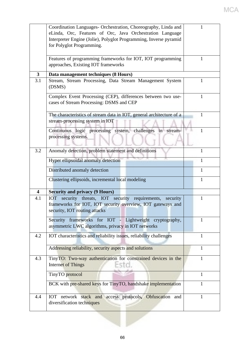|                         | Coordination Languages- Orchestration, Choreography, Linda and<br>eLinda, Orc, Features of Orc, Java Orchestration Language<br>Interpreter Engine (Jolie), Polyglot Programming, Inverse pyramid<br>for Polyglot Programming. |              |
|-------------------------|-------------------------------------------------------------------------------------------------------------------------------------------------------------------------------------------------------------------------------|--------------|
|                         |                                                                                                                                                                                                                               |              |
|                         | Features of programming frameworks for IOT, IOT programming<br>approaches, Existing IOT frameworks                                                                                                                            | 1            |
| $\overline{\mathbf{3}}$ | Data management techniques (8 Hours)                                                                                                                                                                                          |              |
| 3.1                     | Stream, Stream Processing, Data Stream Management System<br>(DSMS)                                                                                                                                                            | 1            |
|                         | Complex Event Processing (CEP), differences between two use-<br>cases of Stream Processing: DSMS and CEP                                                                                                                      | 1            |
|                         | The characteristics of stream data in IOT, general architecture of a<br>stream-processing system in IOT                                                                                                                       | 1            |
|                         | Continuous logic processing system, challenges in stream-<br>processing systems.                                                                                                                                              | 1            |
| 3.2                     | Anomaly detection, problem statement and definitions                                                                                                                                                                          | 1            |
|                         | Hyper ellipsoidal anomaly detection                                                                                                                                                                                           | 1            |
|                         | Distributed anomaly detection                                                                                                                                                                                                 | 1            |
|                         | Clustering ellipsoids, incremental local modeling                                                                                                                                                                             | $\mathbf{1}$ |
| $\overline{\mathbf{4}}$ | <b>Security and privacy (9 Hours)</b>                                                                                                                                                                                         |              |
| 4.1                     | security<br>threats, IOT security requirements,<br><b>IOT</b><br>security<br>frameworks for IOT, IOT security overview, IOT gateways and<br>security, IOT routing attacks                                                     | 1            |
|                         | Security frameworks for IOT - Lightweight cryptography,<br>asymmetric LWC algorithms, privacy in IOT networks                                                                                                                 | 1            |
| 4.2                     | IOT characteristics and reliability issues, reliability challenges                                                                                                                                                            | 1            |
|                         | Addressing reliability, security aspects and solutions                                                                                                                                                                        | 1            |
| 4.3                     | TinyTO: Two-way authentication for constrained devices in the<br><b>Internet of Things</b>                                                                                                                                    | 1            |
|                         | TinyTO protocol                                                                                                                                                                                                               | 1            |
|                         | BCK with pre-shared keys for TinyTO, handshake implementation                                                                                                                                                                 | 1            |
| 4.4                     | network stack and access protocols, Obfuscation and<br><b>IOT</b><br>diversification techniques                                                                                                                               | $\mathbf{1}$ |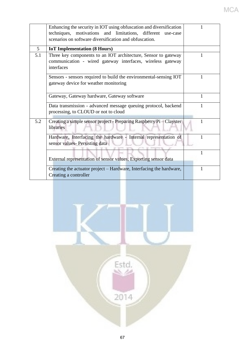|                | Enhancing the security in IOT using obfuscation and diversification<br>techniques, motivations and limitations, different use-case<br>scenarios on software diversification and obfuscation. |   |
|----------------|----------------------------------------------------------------------------------------------------------------------------------------------------------------------------------------------|---|
| 5 <sup>5</sup> | <b>IoT</b> Implementation (8 Hours)                                                                                                                                                          |   |
| 5.1            | Three key components to an IOT architecture, Sensor to gateway<br>communication - wired gateway interfaces, wireless gateway<br>interfaces                                                   | 1 |
|                | Sensors - sensors required to build the environmental-sensing IOT<br>gateway device for weather monitoring                                                                                   | 1 |
|                | Gateway, Gateway hardware, Gateway software                                                                                                                                                  | 1 |
|                | Data transmission - advanced message queuing protocol, backend<br>processing, to CLOUD or not to cloud                                                                                       | 1 |
| 5.2            | Creating a simple sensor project - Preparing Raspberry Pi - Clayster<br>libraries                                                                                                            | 1 |
|                | Hardware, Interfacing the hardware - Internal representation of<br>sensor values- Persisting data                                                                                            | 1 |
|                | External representation of sensor values, Exporting sensor data                                                                                                                              | 1 |
|                | Creating the actuator project – Hardware, Interfacing the hardware,<br>Creating a controller                                                                                                 | 1 |

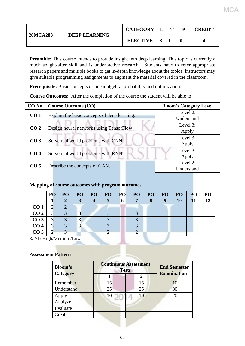| <b>20MCA283</b> | <b>DEEP LEARNING</b> | <b>CATEGORY</b> | m | <b>CREDIT</b> |
|-----------------|----------------------|-----------------|---|---------------|
|                 |                      | <b>ELECTIVE</b> |   |               |

MG.

**Preamble:** This course intends to provide insight into deep learning. This topic is currently a much sought-after skill and is under active research.Students have to refer appropriate research papers and multiple books to get in-depth knowledge about the topics**.** Instructors may give suitable programming assignments to augment the material covered in the classroom.

Prerequisite: Basic concepts of linear algebra, probability and optimization.

**Course Outcomes:** After the completion of the course the student will be able to

| CO No.          | <b>Course Outcome (CO)</b>                   | <b>Bloom's Category Level</b> |  |  |
|-----------------|----------------------------------------------|-------------------------------|--|--|
| CO <sub>1</sub> | Explain the basic concepts of deep learning. | Level 2:                      |  |  |
|                 |                                              | Understand                    |  |  |
| CO <sub>2</sub> | Design neural networks using TensorFlow      | Level 3:                      |  |  |
|                 |                                              | Apply                         |  |  |
| CO <sub>3</sub> | Solve real world problems with CNN.          | Level 3:                      |  |  |
|                 |                                              | Apply                         |  |  |
| CO <sub>4</sub> |                                              | Level 3:                      |  |  |
|                 | Solve real world problems with RNN.          | Apply                         |  |  |
| CO <sub>5</sub> | Describe the concepts of GAN.                | Level 2:                      |  |  |
|                 |                                              | Understand                    |  |  |

# **Mapping of course outcomes with program outcomes**

|                 | PO | PO <sub>1</sub> | PO <sub>1</sub>   | PO <sub>1</sub> | PO | PO | PO | P <sub>O</sub> | PO       | <b>PO</b> | P <sub>O</sub> | PO |
|-----------------|----|-----------------|-------------------|-----------------|----|----|----|----------------|----------|-----------|----------------|----|
|                 |    |                 | 2                 |                 |    | 6  |    | $\bullet$      | $\bf{Q}$ | 10        |                |    |
| CO <sub>1</sub> |    |                 |                   |                 |    |    |    |                |          |           |                |    |
| CO <sub>2</sub> |    |                 |                   |                 |    |    |    |                |          |           |                |    |
| CO <sub>3</sub> | 3  |                 | っ                 |                 |    |    |    |                |          |           |                |    |
| CO <sub>4</sub> |    |                 | $\mathbf{\Omega}$ |                 |    |    |    |                |          |           |                |    |
| CO <sub>5</sub> | ◠  |                 |                   |                 |    |    |    |                |          |           |                |    |

3/2/1: High/Medium/Low

## **Assessment Pattern**

| <b>Bloom's</b>  | <b>Continuous Assessment</b><br><b>Tests</b> | <b>End Semester</b> |                    |  |  |  |  |
|-----------------|----------------------------------------------|---------------------|--------------------|--|--|--|--|
| <b>Category</b> |                                              | $\mathbf 2$         | <b>Examination</b> |  |  |  |  |
| Remember        | 15                                           | 15                  | 10                 |  |  |  |  |
| Understand      | 25                                           | 25                  | 30                 |  |  |  |  |
| Apply           | 10                                           | 10                  | 20                 |  |  |  |  |
| Analyze         |                                              |                     |                    |  |  |  |  |
| Evaluate        |                                              |                     |                    |  |  |  |  |
| Create          |                                              |                     |                    |  |  |  |  |
|                 |                                              |                     |                    |  |  |  |  |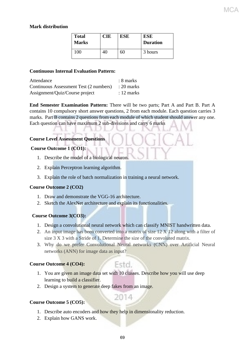# **Mark distribution**

| <b>Total</b><br><b>Marks</b> | CIE | <b>ESE</b> | ESE<br><b>Duration</b> |
|------------------------------|-----|------------|------------------------|
| $100^{\circ}$                |     | 60         | 3 hours                |

# **Continuous Internal Evaluation Pattern:**

| Attendance                                        | $: 8$ marks |
|---------------------------------------------------|-------------|
| Continuous Assessment Test (2 numbers) : 20 marks |             |
| Assignment/Quiz/Course project                    | : 12 marks  |

**End Semester Examination Pattern:** There will be two parts; Part A and Part B. Part A contains 10 compulsory short answer questions, 2 from each module. Each question carries 3 marks. Part B contains 2 questions from each module of which student should answer any one. Each question can have maximum 2 sub-divisions and carry 6 marks

# **Course Level Assessment Questions**

# **Course Outcome 1 (CO1):**

- 1. Describe the model of a biological neuron.
- 2. Explain Perceptron learning algorithm.
- 3. Explain the role of batch normalization in training a neural network.

## **Course Outcome 2 (CO2)**

- 1. Draw and demonstrate the VGG-16 architecture.
- 2. Sketch the AlexNet architecture and explain its functionalities.

# **Course Outcome 3(CO3):**

- 1. Design a convolutional neural network which can classify MNIST handwritten data.
- 2. An input image has been converted into a matrix of size 12 X 12 along with a filter of size 3 X 3 with a Stride of 1. Determine the size of the convoluted matrix.
- 3. Why do we prefer Convolutional Neural networks (CNN) over Artificial Neural networks (ANN) for image data as input?

# **Course Outcome 4 (CO4):**

1. You are given an image data set with 10 classes. Describe how you will use deep learning to build a classifier.

Estd.

2014

2. Design a system to generate deep fakes from an image.

# **Course Outcome 5 (CO5):**

- 1. Describe auto encoders and how they help in dimensionality reduction.
- 2. Explain how GANS work.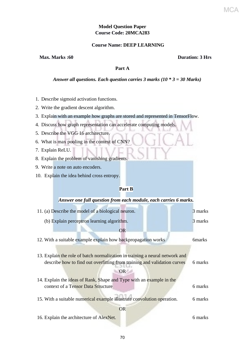# **Model Question Paper Course Code: 20MCA283**

#### **Course Name: DEEP LEARNING**

# **Max. Marks :60 Duration: 3 Hrs**

#### **Part A**

#### *Answer all questions. Each question carries 3 marks (10 \* 3 = 30 Marks)*

- 1. Describe sigmoid activation functions.
- 2. Write the gradient descent algorithm.
- 3. Explain with an example how graphs are stored and represented in TensorFlow.
- 4. Discuss how graph representation can accelerate computing models.
- 5. Describe the VGG 16 architecture.
- 6. What is max pooling in the context of CNN?
- 7. Explain ReLU.
- 8. Explain the problem of vanishing gradients.
- 9. Write a note on auto encoders.
- 10. Explain the idea behind cross entropy.

## **Part B**

| 11. (a) Describe the model of a biological neuron.                           | 3 marks        |
|------------------------------------------------------------------------------|----------------|
| (b) Explain perceptron learning algorithm.                                   | 3 marks        |
| <b>OR</b>                                                                    |                |
| 12. With a suitable example explain how backpropagation works                | <b>6</b> marks |
|                                                                              |                |
| 13. Explain the role of batch normalization in training a neural network and |                |
| describe how to find out overfitting from training and validation curves     | 6 marks        |
| <b>OR</b>                                                                    |                |
| 14. Explain the ideas of Rank, Shape and Type with an example in the         |                |
| context of a Tensor Data Structure                                           | 6 marks        |
| 15. With a suitable numerical example illustrate convolution operation.      | 6 marks        |
| <b>OR</b>                                                                    |                |
| 16. Explain the architecture of AlexNet.                                     | 6 marks        |
|                                                                              |                |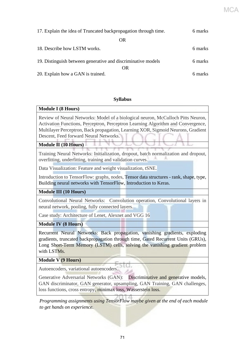| 17. Explain the idea of Truncated backpropagation through time. |         |  |
|-----------------------------------------------------------------|---------|--|
| OR                                                              |         |  |
| 18. Describe how LSTM works.                                    | 6 marks |  |
| 19. Distinguish between generative and discriminative models    | 6 marks |  |
| OR.                                                             |         |  |
| 20. Explain how a GAN is trained.                               | 6 marks |  |

# **Syllabus**

# **Module I (8 Hours)**

Review of Neural Networks: Model of a biological neuron, McCulloch Pitts Neuron, Activation Functions, Perceptron, Perceptron Learning Algorithm and Convergence, Multilayer Perceptron, Back propagation, Learning XOR, Sigmoid Neurons, Gradient Descent, Feed forward Neural Networks.

# **Module II (10 Hours)**

Training Neural Networks: Initialization, dropout, batch normalization and dropout, overfitting, underfitting, training and validation curves.

Data Visualization: Feature and weight visualization, tSNE.

Introduction to TensorFlow: graphs, nodes, Tensor data structures - rank, shape, type, Building neural networks with TensorFlow, Introduction to Keras.

# **Module III (10 Hours)**

Convolutional Neural Networks: Convolution operation, Convolutional layers in neural network, pooling, fully connected layers.

Case study: Architecture of Lenet, Alexnet and VGG 16

**Module IV (8 Hours)**

Recurrent Neural Networks: Back propagation, vanishing gradients, exploding gradients, truncated backpropagation through time, Gated Recurrent Units (GRUs), Long Short-Term Memory (LSTM) cells, solving the vanishing gradient problem with LSTMs.

# **Module V (9 Hours)**

Autoencoders, variational autoencoders.

Generative Adversarial Networks (GAN): Discriminative and generative models, GAN discriminator, GAN generator, upsampling, GAN Training, GAN challenges, loss functions, cross entropy, minimax loss, Wasserstein loss.

 *Programming assignments using TensorFlow maybe given at the end of each module to get hands on experience.*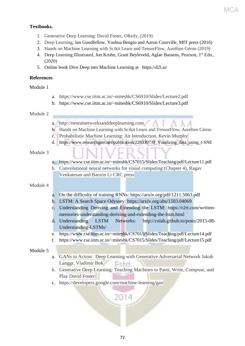# **Textbooks.**

- 1. Generative Deep Learning: David Foster, OReily, (2019)
- 2. [Deep Learning,](https://www.deeplearningbook.org/front_matter.pdf) Ian Goodfellow, Yoshua Bengio and Aaron Courville, MIT press (2016)
- 3. Hands on Machine Learning with Scikit Learn and TensorFlow, Aurélien Géron (2019)
- 4. Deep Learning Illustrated, Jon Krohn, Grant Beyleveld, Aglae Bassens, Pearson, 1<sup>st</sup> Edn., (2020)
- 5. Online book Dive Deep into Machine Learning at https://d2l.ai/

# **References**

# Module 1

- a. https://www.cse.iitm.ac.in/~miteshk/CS6910/Slides/Lecture2.pdf
- b. https://www.cse.iitm.ac.in/~miteshk/CS6910/Slides/Lecture3.pdf

## Module 2

- a. http://neuralnetworksanddeeplearning.com
- b. Hands on Machine Learning with Scikit Learn and TensorFlow, Aurélien Géron
- c. Probabilistic Machine Learning: An Introduction, Kevin Murphy
- d. https://www.researchgate.net/publication/228339739 Viualizing data using t-SNE

# Module 3

- a. https://www.cse.iitm.ac.in/~miteshk/CS7015/Slides/Teaching/pdf/Lecture11.pdf
- b. Convolutional neural networks for visual computing (Chapter 4), Ragav Venkatesan and Baoxin Li CRC press

# Module 4

- a. [On the difficulty of training RNNs:](https://arxiv.org/pdf/1211.5063.pdf) https://arxiv.org/pdf/1211.5063.pdf
- b. LSTM: A Search Space Odyssey: https://arxiv.org/abs/1503.04069
- c. Understanding Deriving and Extending the LSTM: https://r2rt.com/writtenmemories-understanding-deriving-and-extending-the-lstm.html
- d. Understanding LSTM Networks: http://colah.github.io/posts/2015-08- Understanding-LSTMs/
- e. https://www.cse.iitm.ac.in/~miteshk/CS7015/Slides/Teaching/pdf/Lecture14.pdf
- f. https://www.cse.iitm.ac.in/~miteshk/CS7015/Slides/Teaching/pdf/Lecture15.pdf

## Module 5

- a. GANs in Action: Deep Learning with Generative Adversarial Network Jakub Langgr, Vladimir Bok Fetd
- b. Generative Deep Learning: Teaching Machines to Paint, Write, Compose, and Play David Foster
- c. https://developers.google.com/machine-learning/gan

2014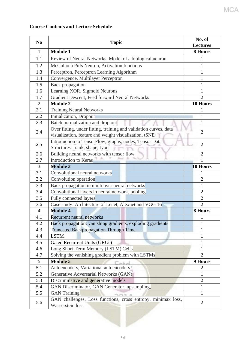#### **Course Contents and Lecture Schedule**

| N <sub>0</sub> | <b>Topic</b>                                                                     | No. of<br><b>Lectures</b> |
|----------------|----------------------------------------------------------------------------------|---------------------------|
| 1              | <b>Module 1</b>                                                                  | 8 Hours                   |
| 1.1            | Review of Neural Networks: Model of a biological neuron                          | 1                         |
| 1.2            | McCulloch Pitts Neuron, Activation functions                                     | 1                         |
| 1.3            | Perceptron, Perceptron Learning Algorithm                                        | 1                         |
| 1.4            | Convergence, Multilayer Perceptron                                               | 1                         |
| 1.5            | <b>Back</b> propagation                                                          | 1                         |
| 1.6            | Learning XOR, Sigmoid Neurons                                                    | 1                         |
| 1.7            | Gradient Descent, Feed forward Neural Networks                                   | $\overline{2}$            |
| 2              | <b>Module 2</b>                                                                  | 10 Hours                  |
| 2.1            | <b>Training Neural Networks</b>                                                  | 1                         |
| 2.2            | Initialization, Dropout                                                          | 1                         |
| 2.3            | Batch normalization and drop out                                                 | $\mathbf{1}$              |
|                | Over fitting, under fitting, training and validation curves, data                |                           |
| 2.4            | visualization, feature and weight visualization, tSNE                            | $\overline{2}$            |
|                | Introduction to TensorFlow, graphs, nodes, Tensor Data                           |                           |
| 2.5            | Structures - rank, shape, type                                                   | $\overline{2}$            |
| 2.6            | Building neural networks with tensor flow                                        | $\overline{2}$            |
| 2.7            | Introduction to Keras                                                            | 1                         |
| 3              | <b>Module 3</b>                                                                  | 10 Hours                  |
| 3.1            | Convolutional neural networks                                                    | 1                         |
| 3.2            | Convolution operation                                                            | $\overline{2}$            |
| 3.3            | Back propagation in multilayer neural networks                                   | $\mathbf{1}$              |
| 3.4            | Convolutional layers in neural network, pooling                                  | $\overline{2}$            |
| 3.5            | Fully connected layers                                                           | $\overline{2}$            |
| 3.6            | Case study: Architecture of Lenet, Alexnet and VGG 16                            | $\overline{2}$            |
| $\overline{4}$ | <b>Module 4</b>                                                                  | <b>8 Hours</b>            |
| 4.1            | <b>Recurrent neural networks</b>                                                 | 1                         |
| 4.2            | Back propagation: vanishing gradients, exploding gradients                       | 1                         |
| 4.3            | <b>Truncated Backpropagation Through Time</b>                                    | 1                         |
| 4.4            | <b>LSTM</b>                                                                      | 1                         |
| 4.5            | Gated Recurrent Units (GRUs)                                                     | $\mathbf{1}$              |
| 4.6            | Long Short-Term Memory (LSTM) Cells                                              | 1                         |
| 4.7            | Solving the vanishing gradient problem with LSTMs                                | $\overline{2}$            |
| 5              | <b>Module 5</b>                                                                  | 9 Hours                   |
| 5.1            | Autoencoders, Variational autoencoders                                           | $\overline{c}$            |
| 5.2            | Generative Adversarial Networks (GAN)                                            | 1                         |
| 5.3            | Discriminative and generative models                                             | $\overline{2}$            |
| 5.4            | GAN Discriminator, GAN Generator, upsampling,                                    | 1                         |
| 5.5            | <b>GAN Training</b>                                                              | 1                         |
| 5.6            | GAN challenges, Loss functions, cross entropy, minimax loss,<br>Wasserstein loss | $\overline{2}$            |
|                |                                                                                  |                           |

**MCA**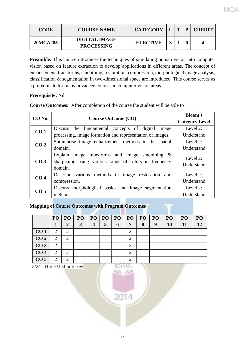| <b>CODE</b>     | <b>COURSE NAME</b>                        | <b>CATEGORY</b> | $\mathbf{r}$ | <b>CREDIT</b> |
|-----------------|-------------------------------------------|-----------------|--------------|---------------|
| <b>20MCA285</b> | <b>DIGITAL IMAGE</b><br><b>PROCESSING</b> | <b>ELECTIVE</b> |              |               |

**Preamble:** This course introduces the techniques of simulating human vision into computer vision based on feature extraction to develop applications in different areas. The concept of enhancement, transforms, smoothing, restoration, compression, morphological image analysis, classification & segmentation in two-dimensional space are introduced. This course serves as a prerequisite for many advanced courses in computer vision areas.

#### **Prerequisite:** Nil

|  | <b>Course Outcomes:</b> After completion of the course the student will be able to |
|--|------------------------------------------------------------------------------------|
|  |                                                                                    |

| CO <sub>No.</sub> | <b>Course Outcome (CO)</b>                                                                                                | <b>Bloom's</b><br><b>Category Level</b> |  |  |  |
|-------------------|---------------------------------------------------------------------------------------------------------------------------|-----------------------------------------|--|--|--|
| CO <sub>1</sub>   | Discuss the fundamental concepts of digital<br>image                                                                      | Level $2$ :                             |  |  |  |
|                   | processing, image formation and representation of images.                                                                 | Understand                              |  |  |  |
| CO <sub>2</sub>   | Summarise image enhancement methods in the spatial                                                                        | Level 2:                                |  |  |  |
|                   | domain.                                                                                                                   |                                         |  |  |  |
| CO <sub>3</sub>   | Explain image transforms and image<br>smoothing $\&$<br>sharpening using various kinds of filters in frequency<br>domain. | Level $2$ :<br>Understand               |  |  |  |
| CO <sub>4</sub>   | methods in image restoration<br>Describe various<br>and                                                                   | Level $2$ :                             |  |  |  |
|                   | compression.                                                                                                              | Understand                              |  |  |  |
| CO <sub>5</sub>   | Discuss morphological basics and image segmentation                                                                       | Level 2:                                |  |  |  |
|                   | methods.                                                                                                                  | Understand                              |  |  |  |

#### **Mapping of Course Outcomes with Program Outcomes**

|                 | PO <sub>1</sub> | PO                          | P <sub>O</sub> | PO <sub>1</sub>         | PQ | PO | P()            | P <sub>O</sub> | <b>PO</b> | PO <sub>1</sub> | PO | PO |
|-----------------|-----------------|-----------------------------|----------------|-------------------------|----|----|----------------|----------------|-----------|-----------------|----|----|
|                 | 1               | 2                           | 3              | $\overline{\mathbf{4}}$ | 5  | 6  | $\overline{7}$ | 8              | 9         | <b>10</b>       | 11 | 12 |
| CO <sub>1</sub> | 2               | 2                           |                |                         |    |    | 2              |                |           |                 |    |    |
| CO <sub>2</sub> | 2               | $\overline{2}$              |                |                         |    |    | 2              |                |           |                 |    |    |
| CO <sub>3</sub> | 2               | $\overline{2}$              |                |                         |    |    | $\mathcal{D}$  |                |           |                 |    |    |
| CO <sub>4</sub> | 2               | 2                           |                |                         |    |    | ⌒              |                |           |                 |    |    |
| CO <sub>5</sub> | 2               | $\mathcal{D}_{\mathcal{L}}$ |                |                         |    |    | ◠              |                |           |                 |    |    |

3/2/1: High/Medium/Low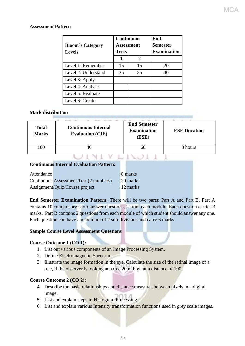#### **Assessment Pattern**

| <b>Bloom's Category</b><br><b>Levels</b> | <b>Continuous</b><br>Assessment<br><b>Tests</b> |    | End<br>Semester<br><b>Examination</b> |
|------------------------------------------|-------------------------------------------------|----|---------------------------------------|
|                                          | 1                                               | 2  |                                       |
| Level 1: Remember                        | 15                                              | 15 | 20                                    |
| Level 2: Understand                      | 35                                              | 35 | 40                                    |
| Level 3: Apply                           |                                                 |    |                                       |
| Level 4: Analyse                         |                                                 |    |                                       |
| Level 5: Evaluate                        |                                                 |    |                                       |
| Level 6: Create                          |                                                 |    |                                       |

#### **Mark distribution**

| <b>Total</b><br><b>Marks</b> | <b>Continuous Internal</b><br><b>Evaluation (CIE)</b> | <b>End Semester</b><br><b>Examination</b><br>(ESE) | <b>ESE Duration</b> |
|------------------------------|-------------------------------------------------------|----------------------------------------------------|---------------------|
| 100                          | 40                                                    | 60                                                 | 3 hours             |
|                              |                                                       |                                                    |                     |

#### **Continuous Internal Evaluation Pattern:**

| Attendance |                                        | $: 8$ marks  |
|------------|----------------------------------------|--------------|
|            | Continuous Assessment Test (2 numbers) | $: 20$ marks |
|            | Assignment/Quiz/Course project         | $: 12$ marks |

**End Semester Examination Pattern:** There will be two parts; Part A and Part B. Part A contains 10 compulsory short answer questions, 2 from each module. Each question carries 3 marks. Part B contains 2 questions from each module of which student should answer any one. Each question can have a maximum of 2 sub-divisions and carry 6 marks.

#### **Sample Course Level Assessment Questions**

#### **Course Outcome 1 (CO 1):**

- 1. List out various components of an Image Processing System.
- 2. Define Electromagnetic Spectrum.
- 3. Illustrate the image formation in the eye. Calculate the size of the retinal image of a tree, if the observer is looking at a tree 20 m high at a distance of 100.

#### **Course Outcome 2 (CO 2):**

- 4. Describe the basic relationships and distance measures between pixels in a digital image.
- 5. List and explain steps in Histogram Processing.
- 6. List and explain various Intensity transformation functions used in grey scale images.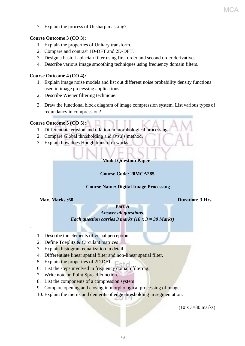7. Explain the process of Unsharp masking?

#### **Course Outcome 3 (CO 3):**

- 1. Explain the properties of Unitary transform.
- 2. Compare and contrast 1D-DFT and 2D-DFT.
- 3. Design a basic Laplacian filter using first order and second order derivatives.
- 4. Describe various image smoothing techniques using frequency domain filters.

#### **Course Outcome 4 (CO 4):**

- 1. Explain image noise models and list out different noise probability density functions used in image processing applications.
- 2. Describe Wiener filtering technique.
- 3. Draw the functional block diagram of image compression system. List various types of redundancy in compression?

#### **Course Outcome 5 (CO 5):**

- 1. Differentiate erosion and dilation in morphological processing.
- 2. Compare Global thresholding and Otsu's method.
- 3. Explain how does Hough transform works.

#### **Model Question Paper**

#### **Course Code: 20MCA285**

#### **Course Name: Digital Image Processing**

#### **Max. Marks :60 Duration: 3 Hrs**

.

MC

#### **Part A** *Answer all questions. Each question carries 3 marks (10 x 3 = 30 Marks)*

- 1. Describe the elements of visual perception.
- 2. Define Toeplitz & Circulant matrices
- 3. Explain histogram equalization in detail.
- 4. Differentiate linear spatial filter and non-linear spatial filter.
- 5. Explain the properties of 2D DFT.  $\Box$
- 6. List the steps involved in frequency domain filtering.
- 7. Write note on Point Spread Function.
- 8. List the components of a compression system.
- 9. Compare opening and closing in morphological processing of images.
- 10. Explain the merits and demerits of edge thresholding in segmentation.

(10 x 3=30 marks)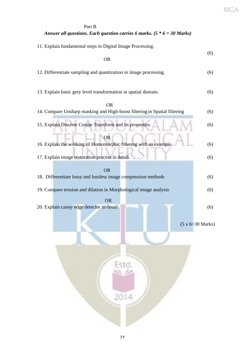# Part B *Answer all questions. Each question carries 6 marks. (5 \* 6 = 30 Marks)* 11. Explain fundamental steps in Digital Image Processing. (6) **OR** OR 12. Differentiate sampling and quantization in image processing. (6) 13. Explain basic grey level transformation in spatial domain. (6) **OR** OF THE STATE OF THE STATE OF THE STATE OF THE STATE OF THE STATE OF THE STATE OF THE STATE OF THE STATE OF THE STATE OF THE STATE OF THE STATE OF THE STATE OF THE STATE OF THE STATE OF THE STATE OF THE STATE OF THE ST 14. Compare Unsharp masking and High-boost filtering in Spatial filtering (6) 15. Explain Discrete Cosine Transform and its properties. (6) OR 16. Explain the working of Homomorphic filtering with an example. (6) 17. Explain image restoration process in detail. (6) OR 18. Differentiate lossy and lossless image compression methods (6) 19. Compare erosion and dilation in Morphological image analysis (6) **OR** Service Service Service Service Service Service Service Service Service Service Service Service Service Service Service Service Service Service Service Service Service Service Service Service Service Service Service S 20. Explain canny edge detector in detail (6) (5 x 6=30 Marks) 2014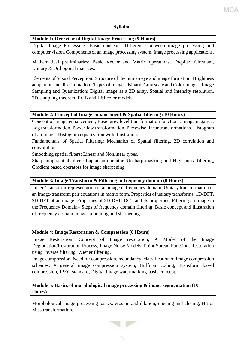#### **Syllabus**

#### **Module 1: Overview of Digital Image Processing (9 Hours)**

Digital Image Processing: Basic concepts, Difference between image processing and computer vision, Components of an image processing system. Image processing applications.

Mathematical preliminaries: Basic Vector and Matrix operations, Toeplitz, Circulant, Unitary & Orthogonal matrices.

Elements of Visual Perception: Structure of the human eye and image formation, Brightness adaptation and discrimination. Types of Images: Binary, Gray scale and Color Images. Image Sampling and Quantization: Digital image as a 2D array, Spatial and Intensity resolution, 2D-sampling theorem. RGB and HSI color models.

#### **Module 2: Concept of Image enhancement & Spatial filtering (10 Hours)**

Concept of Image enhancement, Basic grey level transformation functions: Image negative, Log transformation, Power-law transformation, Piecewise linear transformations. Histogram of an Image, Histogram equalization with illustration.

Fundamentals of Spatial Filtering: Mechanics of Spatial filtering, 2D correlation and convolution.

Smoothing spatial filters: Linear and Nonlinear types.

Sharpening spatial filters: Laplacian operator, Unsharp masking and High-boost filtering, Gradient based operators for image sharpening.

#### **Module 3: Image Transform & Filtering in frequency domain (8 Hours)**

Image Transform-representation of an image in frequency domain, Unitary transformation of an Image-transform pair equations in matrix form, Properties of unitary transforms. 1D-DFT, 2D-DFT of an image- Properties of 2D-DFT. DCT and its properties, Filtering an Image in the Frequency Domain– Steps of frequency domain filtering. Basic concept and illustration of frequency domain image smoothing and sharpening.

#### **Module 4: Image Restoration & Compression (8 Hours)**

Image Restoration: Concept of Image restoration, A Model of the Image Degradation/Restoration Process, Image Noise Models, Point Spread Function, Restoration using Inverse filtering, Wiener filtering.

Image compression: Need for compression, redundancy, classification of image compression schemes, A general image compression system, Huffman coding, Transform based compression, JPEG standard, Digital image watermarking-basic concept.

#### **Module 5: Basics of morphological image processing & image segmentation (10 Hours)**

Morphological image processing basics: erosion and dilation, opening and closing, Hit or Miss transformation.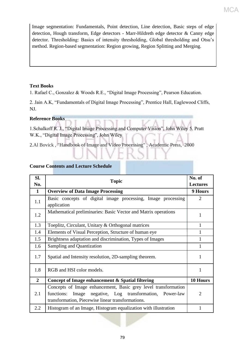Image segmentation: Fundamentals, Point detection, Line detection, Basic steps of edge detection, Hough transform, Edge detectors - Marr-Hildreth edge detector & Canny edge detector. Thresholding: Basics of intensity thresholding, Global thresholding and Otsu's method. Region-based segmentation: Region growing, Region Splitting and Merging.

MCA

#### **Text Books**

1. Rafael C., Gonzalez & Woods R.E., "Digital Image Processing", Pearson Education.

2. Jain A.K, "Fundamentals of Digital Image Processing", Prentice Hall, Eaglewood Cliffs, NJ.

#### **Reference Books**

1.Schalkoff R. J., "Digital Image Processing and Computer Vision", John Wiley 5. Pratt W.K., "Digital Image Processing", John Wiley

2.Al Bovick , "Handbook of Image and Video Processing" , Academic Press, 2000

#### **Course Contents and Lecture Schedule**

| SI.            | <b>Topic</b>                                                                                                                                                                          | No. of          |
|----------------|---------------------------------------------------------------------------------------------------------------------------------------------------------------------------------------|-----------------|
| No.            |                                                                                                                                                                                       | <b>Lectures</b> |
| $\mathbf{1}$   | <b>Overview of Data Image Processing</b>                                                                                                                                              | 9 Hours         |
| 1.1            | Basic concepts of digital image processing, Image processing<br>application                                                                                                           | $\mathfrak{D}$  |
| 1.2            | Mathematical preliminaries: Basic Vector and Matrix operations                                                                                                                        | 1               |
| 1.3            | Toeplitz, Circulant, Unitary & Orthogonal matrices                                                                                                                                    | 1               |
| 1.4            | Elements of Visual Perception, Structure of human eye                                                                                                                                 |                 |
| 1.5            | Brightness adaptation and discrimination, Types of Images                                                                                                                             |                 |
| 1.6            | Sampling and Quantization                                                                                                                                                             | 1               |
| 1.7            | Spatial and Intensity resolution, 2D-sampling theorem.                                                                                                                                | 1               |
| 1.8            | RGB and HSI color models.                                                                                                                                                             | 1               |
| $\overline{2}$ | Concept of Image enhancement & Spatial filtering                                                                                                                                      | 10 Hours        |
| 2.1            | Concepts of Image enhancement, Basic grey level transformation<br>negative, Log transformation, Power-law<br>functions:<br>Image<br>transformation, Piecewise linear transformations. | $\overline{2}$  |
| 2.2            | Histogram of an Image, Histogram equalization with illustration                                                                                                                       |                 |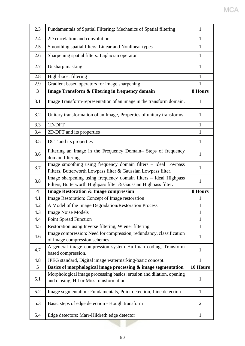| 2.3                     | Fundamentals of Spatial Filtering: Mechanics of Spatial filtering                                                                    | 1              |
|-------------------------|--------------------------------------------------------------------------------------------------------------------------------------|----------------|
| 2.4                     | 2D correlation and convolution                                                                                                       | $\mathbf{1}$   |
| 2.5                     | Smoothing spatial filters: Linear and Nonlinear types                                                                                | $\mathbf{1}$   |
| 2.6                     | Sharpening spatial filters: Laplacian operator                                                                                       | $\mathbf{1}$   |
| 2.7                     | Unsharp masking                                                                                                                      | 1              |
| 2.8                     | High-boost filtering                                                                                                                 | $\mathbf{1}$   |
| 2.9                     | Gradient based operators for image sharpening                                                                                        | 1              |
| $\overline{\mathbf{3}}$ | Image Transform & Filtering in frequency domain                                                                                      | 8 Hours        |
| 3.1                     | Image Transform-representation of an image in the transform domain.                                                                  | 1              |
| 3.2                     | Unitary transformation of an Image, Properties of unitary transforms                                                                 | 1              |
| 3.3                     | 1D-DFT                                                                                                                               | $\mathbf{1}$   |
| 3.4                     | 2D-DFT and its properties                                                                                                            | $\mathbf{1}$   |
| 3.5                     | DCT and its properties                                                                                                               | $\mathbf{1}$   |
| 3.6                     | Filtering an Image in the Frequency Domain- Steps of frequency<br>domain filtering                                                   | 1              |
| 3.7                     | Image smoothing using frequency domain filters - Ideal Lowpass<br>Filters, Butterworth Lowpass filter & Gaussian Lowpass filter.     | 1              |
| 3.8                     | Image sharpening using frequency domain filters - Ideal Highpass<br>Filters, Butterworth Highpass filter & Gaussian Highpass filter. | 1              |
| $\overline{\mathbf{4}}$ | <b>Image Restoration &amp; Image compression</b>                                                                                     | 8 Hours        |
| 4.1                     | Image Restoration: Concept of Image restoration                                                                                      | 1              |
| 4.2                     | A Model of the Image Degradation/Restoration Process                                                                                 | $\mathbf{1}$   |
| 4.3                     | <b>Image Noise Models</b>                                                                                                            | $\mathbf{1}$   |
| 4.4                     | <b>Point Spread Function</b>                                                                                                         | $\mathbf{1}$   |
| 4.5                     | Restoration using Inverse filtering, Wiener filtering                                                                                | $\mathbf{1}$   |
| 4.6                     | Image compression: Need for compression, redundancy, classification<br>of image compression schemes                                  | 1              |
| 4.7                     | A general image compression system Huffman coding, Transform<br>based compression.                                                   | $\mathbf{1}$   |
| 4.8                     | JPEG standard, Digital image watermarking-basic concept.                                                                             | $\mathbf{1}$   |
| 5                       | Basics of morphological image processing & image segmentation                                                                        | 10 Hours       |
| 5.1                     | Morphological image processing basics: erosion and dilation, opening<br>and closing, Hit or Miss transformation.                     | 1              |
| 5.2                     | Image segmentation: Fundamentals, Point detection, Line detection                                                                    | $\mathbf{1}$   |
| 5.3                     | Basic steps of edge detection - Hough transform                                                                                      | $\overline{2}$ |
| 5.4                     | Edge detectors: Marr-Hildreth edge detector                                                                                          | $\mathbf{1}$   |

MCA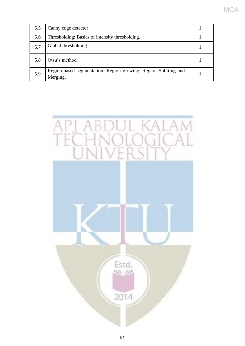| 5.5 | Canny edge detector                                                         |  |
|-----|-----------------------------------------------------------------------------|--|
| 5.6 | Thresholding: Basics of intensity thresholding.                             |  |
| 5.7 | Global thresholding                                                         |  |
| 5.8 | Otsu's method                                                               |  |
| 5.9 | Region-based segmentation: Region growing, Region Splitting and<br>Merging. |  |

MCA

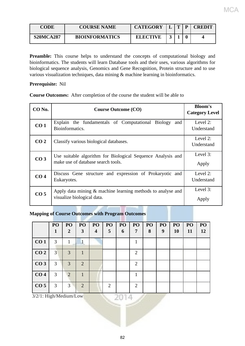| <b>CODE</b>      | <b>COURSE NAME</b>    | <b>CATEGORY</b> | $\mathbf{r}$ | D | <b>CREDIT</b> |
|------------------|-----------------------|-----------------|--------------|---|---------------|
| <b>S20MCA287</b> | <b>BIOINFORMATICS</b> | <b>ELECTIVE</b> |              |   |               |

**Preamble:** This course helps to understand the concepts of computational biology and bioinformatics. The students will learn Database tools and their uses, various algorithms for biological sequence analysis, Genomics and Gene Recognition, Protein structure and to use various visualization techniques, data mining & machine learning in bioinformatics.

#### **Prerequisite:** Nil

**Course Outcomes:** After completion of the course the student will be able to

| CO No.          | <b>Course Outcome (CO)</b>                                                                        | <b>Bloom's</b><br><b>Category Level</b> |
|-----------------|---------------------------------------------------------------------------------------------------|-----------------------------------------|
| CO <sub>1</sub> | Explain the fundamentals of Computational Biology<br>and<br>Bioinformatics.                       | Level 2:<br>Understand                  |
| CO <sub>2</sub> | Classify various biological databases.                                                            | Level 2:<br>Understand                  |
| CO <sub>3</sub> | Use suitable algorithm for Biological Sequence Analysis and<br>make use of database search tools. | Level 3:<br>Apply                       |
| CO <sub>4</sub> | Discuss Gene structure and expression of Prokaryotic and<br>Eukaryotes.                           | Level 2:<br>Understand                  |
| CO <sub>5</sub> | Apply data mining $\&$ machine learning methods to analyse and<br>visualize biological data.      | Level 3:<br>Apply                       |

#### **Mapping of Course Outcomes with Program Outcomes**

|                 | PO<br>1        | PO <sub>1</sub><br>2 | PO<br>3                     | PO <sub>1</sub><br>$\boldsymbol{4}$ | PO <sub>1</sub><br>5 <sup>5</sup> | P <sub>O</sub><br>6 | <b>PO</b><br>7        | PO<br>8 | PO<br>9 | PO <sub>1</sub><br><b>10</b> | PO<br><b>11</b> | PO<br>12 |
|-----------------|----------------|----------------------|-----------------------------|-------------------------------------|-----------------------------------|---------------------|-----------------------|---------|---------|------------------------------|-----------------|----------|
| CO <sub>1</sub> | 3              |                      |                             |                                     |                                   |                     |                       |         |         |                              |                 |          |
| CO <sub>2</sub> | $\overline{3}$ | 3                    |                             |                                     |                                   |                     | $\overline{2}$        |         |         |                              |                 |          |
| CO <sub>3</sub> | 3              | 3                    | $\mathcal{D}_{\mathcal{L}}$ |                                     |                                   |                     | 2                     |         |         |                              |                 |          |
| CO <sub>4</sub> | 3              | $\overline{2}$       |                             |                                     |                                   |                     |                       |         |         |                              |                 |          |
| CO <sub>5</sub> | 3              | 3                    | $\mathcal{D}_{\mathcal{L}}$ |                                     | $\mathcal{D}_{\mathcal{L}}$       |                     | $\mathcal{D}_{\cdot}$ |         |         |                              |                 |          |

3/2/1: High/Medium/Low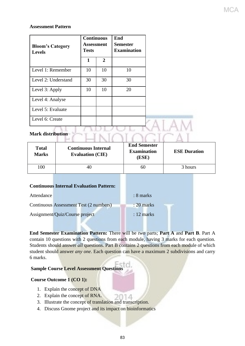#### **Assessment Pattern**

| <b>Bloom's Category</b><br><b>Levels</b> | <b>Continuous</b><br><b>Assessment</b><br><b>Tests</b> |              | End<br><b>Semester</b><br><b>Examination</b> |  |
|------------------------------------------|--------------------------------------------------------|--------------|----------------------------------------------|--|
|                                          | 1                                                      | $\mathbf{2}$ |                                              |  |
| Level 1: Remember                        | 10                                                     | 10           | 10                                           |  |
| Level 2: Understand                      | 30                                                     | 30           | 30                                           |  |
| Level 3: Apply                           | 10                                                     | 10           | 20                                           |  |
| Level 4: Analyse                         |                                                        |              |                                              |  |
| Level 5: Evaluate                        |                                                        |              |                                              |  |
| Level 6: Create                          |                                                        |              |                                              |  |
|                                          |                                                        |              |                                              |  |

MC

### Mark distribution<br>  $\Box \Box \Box \Box \Box \Box \Box \Box \Box \Box \Box \Box \Box \Box$

| <b>Total</b><br><b>Marks</b> | <b>Continuous Internal</b><br><b>Evaluation (CIE)</b> | <b>End Semester</b><br><b>Examination</b><br>(ESE) | <b>ESE Duration</b> |  |
|------------------------------|-------------------------------------------------------|----------------------------------------------------|---------------------|--|
| 100                          | 40                                                    | 60                                                 | 3 hours             |  |

#### **Continuous Internal Evaluation Pattern:**

| Attendance |                                        | $\therefore$ 8 marks |
|------------|----------------------------------------|----------------------|
|            | Continuous Assessment Test (2 numbers) | $: 20$ marks         |
|            | Assignment/Quiz/Course project         | $: 12 \text{ marks}$ |

**End Semester Examination Pattern:** There will be *two* parts; **Part A** and **Part B**. Part A contain 10 questions with 2 questions from each module, having 3 marks for each question. Students should answer *all* questions. Part B contains 2 questions from each module of which student should answer *any one*. Each question can have a maximum 2 subdivisions and carry 6 marks.

#### **Sample Course Level Assessment Questions**

#### **Course Outcome 1 (CO 1):**

- 1. Explain the concept of DNA
- 2. Explain the concept of RNA.
- 3. Illustrate the concept of translation and transcription.
- 4. Discuss Gnome project and its impact on bioinformatics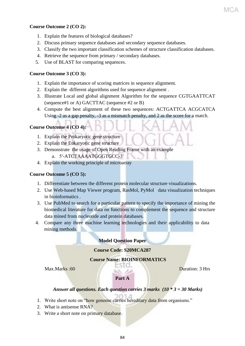### MC

#### **Course Outcome 2 (CO 2):**

- 1. Explain the features of biological databases?
- 2. Discuss primary sequence databases and secondary sequence databases.
- 3. Classify the two important classification schemes of structure classification databases.
- 4. Retrieve the sequence from primary / secondary databases.
- 5. Use of BLAST for comparing sequences.

#### **Course Outcome 3 (CO 3):**

- 1. Explain the importance of scoring matrices in sequence alignment.
- 2. Explain the different algorithms used for sequence alignment .
- 3. Illustrate Local and global alignment Algorithm for the sequence CGTGAATTCAT (sequence#1 or A) GACTTAC (sequence #2 or B)
- 4. Compute the best alignment of these two sequences: ACTGATTCA ACGCATCA Using -2 as a gap penalty, -3 as a mismatch penalty, and 2 as the score for a match.

#### **Course Outcome 4 (CO 4):**

- 1. Explain the Prokaryotic gene structure
- 2. Explain the Eukaryotic gene structure
- 3. Demonstrate the usage of Open Reading Frame with an example
	- a. 5′-ATCTAAAATGGGTGCC-3′
- 4. Explain the working principle of microarray

#### **Course Outcome 5 (CO 5):**

- 1. Differentiate between the different protein molecular structure visualizations.
- 2. Use Web-based Map Viewer program, RasMol, PyMol data visualization techniques in bioinformatics .
- 3. Use PubMed to search for a particular pattern to specify the importance of mining the biomedical literature for data on functions to complement the sequence and structure data mined from nucleotide and protein databases.
- 4. Compare any three machine learning technologies and their applicability to data mining methods.

#### **Model Question Paper**

**Course Code: S20MCA287** 

#### **Course Name: BIOINFORMATICS**

Max. Marks :60 **Duration: 3 Hrs** 

#### **Part A**

#### *Answer all questions. Each question carries 3 marks (10 \* 3 = 30 Marks)*

- 1. Write short note on "how genome carries hereditary data from organisms."
- 2. What is antisense RNA?
- 3. Write a short note on primary database.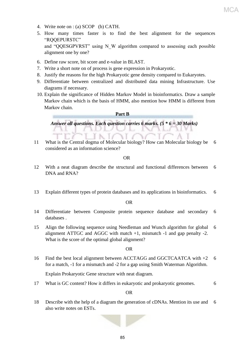- 4. Write note on : (a) SCOP (b) CATH.
- 5. How many times faster is to find the best alignment for the sequences "RQQEPURSTC"

and "QQESGPVRST" using N\_W algorithm compared to assessing each possible alignment one by one?

- 6. Define raw score, bit score and e-value in BLAST.
- 7. Write a short note on of process is gene expression in Prokaryotic.

N. 17

- 8. Justify the reasons for the high Prokaryotic gene density compared to Eukaryotes.
- 9. Differentiate between centralized and distributed data mining Infrastructure. Use diagrams if necessary.
- 10. Explain the significance of Hidden Markov Model in bioinformatics. Draw a sample Markov chain which is the basis of HMM, also mention how HMM is different from Markov chain.

**Part B** 

*Answer all questions. Each question carries 6 marks. (5 \* 6 = 30 Marks)*

11 What is the Central dogma of Molecular biology? How can Molecular biology be 6 considered as an information science?

OR

- 12 With a neat diagram describe the structural and functional differences between DNA and RNA? 6
- 13 Explain different types of protein databases and its applications in bioinformatics. 6

OR

- 14 Differentiate between Composite protein sequence database and secondary databases . 6
- 15 Align the following sequence using Needleman and Wunch algorithm for global alignment ATTGC and AGGC with match +1, mismatch -1 and gap penalty -2. What is the score of the optimal global alignment? 6

#### OR

16 Find the best local alignment between ACCTAGG and GGCTCAATCA with +2 for a match, -1 for a mismatch and -2 for a gap using Smith Waterman Algorithm. 6

Explain Prokaryotic Gene structure with neat diagram.

17 What is GC content? How it differs in eukaryotic and prokaryotic genomes. 6

OR

18 Describe with the help of a diagram the generation of cDNAs. Mention its use and 6 also write notes on ESTs.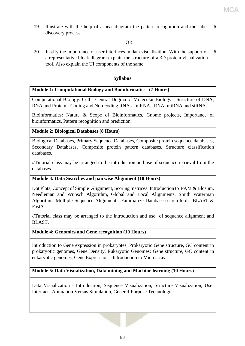19 Illustrate with the help of a neat diagram the pattern recognition and the label 6 discovery process.

#### OR

20 Justify the importance of user interfaces in data visualization. With the support of a representative block diagram explain the structure of a 3D protein visualization tool. Also explain the UI components of the same. 6

#### **Syllabus**

#### **Module 1: Computational Biology and Bioinformatics (7 Hours)**

Computational Biology: Cell - Central Dogma of Molecular Biology - Structure of DNA, RNA and Protein - Coding and Non-coding RNAs - mRNA, tRNA, miRNA and siRNA.

Bioinformatics: Nature & Scope of Bioinformatics, Gnome projects, Importance of bioinformatics, Pattern recognition and prediction.

#### **Module 2: Biological Databases (8 Hours)**

Biological Databases, Primary Sequence Databases, Composite protein sequence databases, Secondary Databases, Composite protein pattern databases, Structure classification databases.

//Tutorial class may be arranged to the introduction and use of sequence retrieval from the databases.

#### **Module 3: Data Searches and pairwise Alignment (10 Hours)**

Dot Plots, Concept of Simple Alignment, Scoring matrices: Introduction to PAM & Blosum, Needleman and Wunsch Algorithm, Global and Local Alignments, Smith Waterman Algorithm, Multiple Sequence Alignment. Familiarize Database search tools: BLAST & FastA

//Tutorial class may be arranged to the introduction and use of sequence alignment and BLAST.

#### **Module 4: Genomics and Gene recognition (10 Hours)**

Introduction to Gene expression in prokaryotes, Prokaryotic Gene structure, GC content in prokaryotic genomes, Gene Density. Eukaryotic Genomes: Gene structure, GC content in eukaryotic genomes, Gene Expression – Introduction to Microarrays.

#### **Module 5: Data Visualization, Data mining and Machine learning (10 Hours)**

Data Visualization - Introduction, Sequence Visualization, Structure Visualization, User Interface, Animation Versus Simulation, General-Purpose Technologies.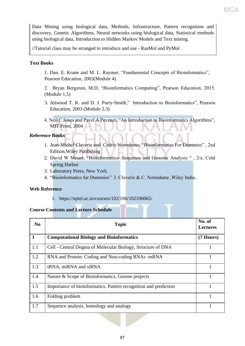Data Mining using biological data, Methods, Infrastructure, Pattern recognition and discovery, Genetic Algorithms, Neural networks using biological data, Statistical methods using biological data, Introduction to Hidden Markov Models and Text mining.

//Tutorial class may be arranged to introduce and use - RasMol and PyMol .

#### **Text Books**

1. Dan. E. Krane and M. L. Raymer, "Fundamental Concepts of Bioinformatics", Pearson Education, 2003(Module 4)

2. Bryan Bergeron, M.D, "Bioinformatics Computing", Pearson Education, 2015. (Module 1,5)

- 3. Attwood T. K. and D. J. Parry-Smith," Introduction to Bioinformatics", Pearson Education, 2003 (Module 2,3)
- 4. Neil C Jones and Pavel A Pevzner, "An Introduction to Bioinformatics Algorithms", MIT Press, 2004

#### **Reference Books**

- 1. Jean-Michel Claverie and Cedric Notredame, "Bioinformatics For Dummies" , 2nd Edition,Wiley Publishing
- 2. David W Mount, "Bioinformatics- Sequence and Genome Analysis " , 2/e, Cold Spring Harbor
- 3. Laboratory Press, New York.
- 4. "Bioinformatics for Dummies" J. Claverie & C. Notredame ,Wiley India..

#### **Web Reference**

1. https://nptel.ac.in/courses/102/106/102106065/

#### **Course Contents and Lecture Schedule**

| N <sub>0</sub> | <b>Topic</b>                                                     | No. of<br><b>Lectures</b> |
|----------------|------------------------------------------------------------------|---------------------------|
| $\mathbf{1}$   | <b>Computational Biology and Bioinformatics</b>                  | (7 Hours)                 |
| 1.1            | Cell - Central Dogma of Molecular Biology, Structure of DNA      |                           |
| 1.2            | RNA and Protein: Coding and Non-coding RNAs -mRNA                |                           |
| 1.3            | tRNA, miRNA and siRNA                                            |                           |
| 1.4            | Nature & Scope of Bioinformatics, Gnome projects                 |                           |
| 1.5            | Importance of bioinformatics, Pattern recognition and prediction |                           |
| 1.6            | Folding problem                                                  |                           |
| 1.7            | Sequence analysis, homology and analogy                          |                           |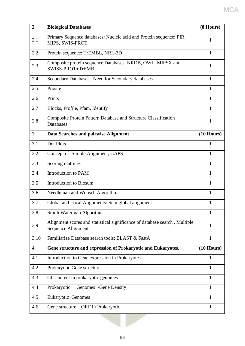| $\overline{2}$          | <b>Biological Databases</b>                                                                       | (8 Hours)    |
|-------------------------|---------------------------------------------------------------------------------------------------|--------------|
| 2.1                     | Primary Sequence databases: Nucleic acid and Protein sequence: PIR,<br>MIPS, SWIS-PROT            | 1            |
| 2.2                     | Protein sequence: TrEMBL, NRL-3D                                                                  | 1            |
| 2.3                     | Composite protein sequence Databases: NRDB, OWL, MIPSX and<br>SWISS-PROT+TrEMBL                   | 1            |
| 2.4                     | Secondary Databases, Need for Secondary databases                                                 | $\mathbf{1}$ |
| 2.5                     | Prosite                                                                                           | 1            |
| 2.6                     | Prints                                                                                            | 1            |
| 2.7                     | Blocks, Profile, Pfam, Identify                                                                   | 1            |
| 2.8                     | <b>Composite Protein Pattern Database and Structure Classification</b><br>Databases               | 1            |
| 3                       | Data Searches and pairwise Alignment                                                              | $(10$ Hours) |
| 3.1                     | Dot Plots                                                                                         | 1            |
| 3.2                     | Concept of Simple Alignment, GAPS                                                                 | 1            |
| 3.3                     | Scoring matrices                                                                                  | 1            |
| 3.4                     | Introduction to PAM                                                                               | 1            |
| 3.5                     | <b>Introduction to Blosum</b>                                                                     | 1            |
| 3.6                     | Needleman and Wunsch Algorithm                                                                    | 1            |
| 3.7                     | Global and Local Alignments: Semiglobal alignment                                                 | 1            |
| 3.8                     | Smith Waterman Algorithm                                                                          | 1            |
| 3.9                     | Alignment scores and statistical significance of database search, Multiple<br>Sequence Alignment. | 1            |
| 3.10                    | Familiarize Database search tools: BLAST & FastA                                                  | $\mathbf{1}$ |
| $\overline{\mathbf{4}}$ | Gene structure and expression of Prokaryotic and Eukaryotes.                                      | $(10$ Hours) |
| 4.1                     | Introduction to Gene expression in Prokaryotes                                                    | $\mathbf{1}$ |
| 4.2                     | Prokaryotic Gene structure                                                                        | $\mathbf{1}$ |
| 4.3                     | GC content in prokaryotic genomes                                                                 | $\mathbf{1}$ |
| 4.4                     | Prokaryotic<br>Genomes - Gene Density                                                             | $\mathbf{1}$ |
| 4.5                     | Eukaryotic Genomes                                                                                | 1            |
| 4.6                     | Gene structure, ORF in Prokaryotic                                                                | $\mathbf{1}$ |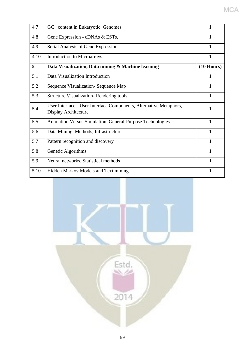| 4.7  | GC content in Eukaryotic Genomes                                                           |              |  |  |  |  |  |
|------|--------------------------------------------------------------------------------------------|--------------|--|--|--|--|--|
| 4.8  | Gene Expression - cDNAs & ESTs,                                                            |              |  |  |  |  |  |
| 4.9  | Serial Analysis of Gene Expression                                                         | 1            |  |  |  |  |  |
| 4.10 | Introduction to Microarrays.                                                               | $\mathbf{1}$ |  |  |  |  |  |
| 5    | Data Visualization, Data mining & Machine learning                                         | $(10$ Hours) |  |  |  |  |  |
| 5.1  | Data Visualization Introduction                                                            | 1            |  |  |  |  |  |
| 5.2  | Sequence Visualization- Sequence Map                                                       | 1            |  |  |  |  |  |
| 5.3  | <b>Structure Visualization-Rendering tools</b>                                             | 1            |  |  |  |  |  |
| 5.4  | User Interface - User Interface Components, Alternative Metaphors,<br>Display Architecture | 1            |  |  |  |  |  |
| 5.5  | Animation Versus Simulation, General-Purpose Technologies.                                 | 1            |  |  |  |  |  |
| 5.6  | Data Mining, Methods, Infrastructure                                                       | 1            |  |  |  |  |  |
| 5.7  | Pattern recognition and discovery                                                          | 1            |  |  |  |  |  |
| 5.8  | Genetic Algorithms                                                                         | $\mathbf{1}$ |  |  |  |  |  |
| 5.9  | Neural networks, Statistical methods                                                       | 1            |  |  |  |  |  |
| 5.10 | Hidden Markov Models and Text mining                                                       | 1            |  |  |  |  |  |

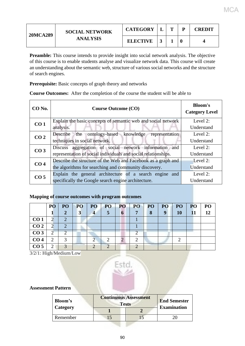| <b>20MCA289</b> | <b>SOCIAL NETWORK</b> | <b>CATEGORY</b> | m | D | <b>CREDIT</b> |
|-----------------|-----------------------|-----------------|---|---|---------------|
|                 | <b>ANALYSIS</b>       | <b>ELECTIVE</b> |   | 0 |               |

MCA

**Preamble:** This course intends to provide insight into social network analysis. The objective of this course is to enable students analyse and visualize network data. This course will create an understanding about the semantic web, structure of various social networks and the structure of search engines.

**Prerequisite:** Basic concepts of graph theory and networks

**Course Outcomes:** After the completion of the course the student will be able to

| CO No.          | <b>Course Outcome (CO)</b>                                                                                              | <b>Bloom's</b><br><b>Category Level</b> |
|-----------------|-------------------------------------------------------------------------------------------------------------------------|-----------------------------------------|
| CO <sub>1</sub> | Explain the basic concepts of semantic web and social network<br>analysis.                                              | Level $2$ :<br>Understand               |
| CO <sub>2</sub> | ontology-based knowledge representation<br>Describe<br>the<br>techniques in social network.                             | Level 2:<br>Understand                  |
| CO <sub>3</sub> | Discuss aggregation of social network information and<br>representation of social individuals and social relationships. | Level 2:<br>Understand                  |
| CO <sub>4</sub> | Describe the structure of the Web and Facebook as a graph and<br>the algorithms for searching and community discovery.  | Level 2:<br>Understand                  |
| CO <sub>5</sub> | Explain the general architecture of a search engine and<br>specifically the Google search engine architecture.          | Level 2:<br>Understand                  |

#### **Mapping of course outcomes with program outcomes**

|                 | PO        | PO | PO | PO | PO <sub>1</sub> | PO | PO | PO <sub>1</sub> | PO          | PO <sub>1</sub> | P <sub>O</sub> | PO |
|-----------------|-----------|----|----|----|-----------------|----|----|-----------------|-------------|-----------------|----------------|----|
|                 |           | 2  | 3  |    |                 | 6  |    | 8               | $\mathbf Q$ | 10              | 11             | 12 |
| CO <sub>1</sub> | ◠         |    |    |    |                 |    |    |                 |             |                 |                |    |
| CO <sub>2</sub> | ◠         |    |    |    |                 |    |    |                 |             |                 |                |    |
| CO <sub>3</sub> | $\bigcap$ |    |    |    |                 |    |    |                 |             |                 |                |    |
| CO <sub>4</sub> | ◠         |    |    |    |                 |    |    |                 |             |                 |                |    |
| CO <sub>5</sub> | ↑         |    |    |    |                 |    |    |                 |             |                 |                |    |

3/2/1: High/Medium/Low



**Assessment Pattern**

| Bloom's  | <b>Continuous Assessment</b><br><b>Tests</b> | <b>End Semester</b> |                    |
|----------|----------------------------------------------|---------------------|--------------------|
| Category |                                              |                     | <b>Examination</b> |
| Remember |                                              |                     |                    |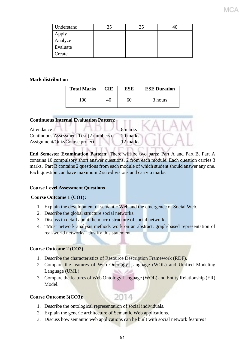| Understand | 35 |  |
|------------|----|--|
| Apply      |    |  |
| Analyze    |    |  |
| Evaluate   |    |  |
| Create     |    |  |

#### **Mark distribution**

| <b>Total Marks</b> | <b>CIE</b> | ESE | <b>ESE Duration</b> |
|--------------------|------------|-----|---------------------|
| 100.               | 40         | 60  | 3 hours             |

| <b>Continuous Internal Evaluation Pattern:</b> |                      |  |
|------------------------------------------------|----------------------|--|
| Attendance                                     | $\therefore$ 8 marks |  |
| Continuous Assessment Test (2 numbers)         | $: 20$ marks         |  |
| Assignment/Quiz/Course project                 | $: 12$ marks         |  |
|                                                |                      |  |

**End Semester Examination Pattern:** There will be two parts; Part A and Part B. Part A contains 10 compulsory short answer questions, 2 from each module. Each question carries 3 marks. Part B contains 2 questions from each module of which student should answer any one. Each question can have maximum 2 sub-divisions and carry 6 marks.

#### **Course Level Assessment Questions**

#### **Course Outcome 1 (CO1):**

- 1. Explain the development of semantic Web and the emergence of Social Web.
- 2. Describe the global structure social networks.
- 3. Discuss in detail about the macro-structure of social networks.
- 4. "Most network analysis methods work on an abstract, graph-based representation of real-world networks". Justify this statement.

#### **Course Outcome 2 (CO2)**

- 1. Describe the characteristics of Resource Description Framework (RDF).
- 2. Compare the features of Web Ontology Language (WOL) and Unified Modeling Language (UML).
- 3. Compare the features of Web Ontology Language (WOL) and Entity Relationship (ER) Model.

2014

#### **Course Outcome 3(CO3):**

- 1. Describe the ontological representation of social individuals.
- 2. Explain the generic architecture of Semantic Web applications.
- 3. Discuss how semantic web applications can be built with social network features?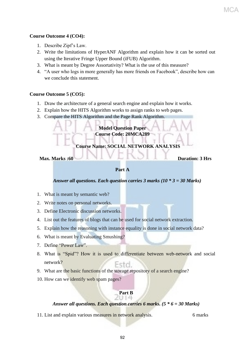#### **Course Outcome 4 (CO4):**

- 1. Describe Zipf's Law.
- 2. Write the limitations of HyperANF Algorithm and explain how it can be sorted out using the Iterative Fringe Upper Bound (iFUB) Algorithm.
- 3. What is meant by Degree Assortativity? What is the use of this measure?
- 4. "A user who logs in more generally has more friends on Facebook", describe how can we conclude this statement.

#### **Course Outcome 5 (CO5):**

- 1. Draw the architecture of a general search engine and explain how it works.
- 2. Explain how the HITS Algorithm works to assign ranks to web pages.
- 3. Compare the HITS Algorithm and the Page Rank Algorithm.

#### **Model Question Paper Course Code: 20MCA289**

**Course Name: SOCIAL NETWORK ANALYSIS**

Max. Marks :60 **Duration: 3 Hrs** 

#### **Part A**

#### *Answer all questions. Each question carries 3 marks (10 \* 3 = 30 Marks)*

- 1. What is meant by semantic web?
- 2. Write notes on personal networks.
- 3. Define Electronic discussion networks.
- 4. List out the features of blogs that can be used for social network extraction.
- 5. Explain how the reasoning with instance equality is done in social network data?
- 6. What is meant by Evaluating Smushing?
- 7. Define "Power Law".
- 8. What is "Spid"? How it is used to differentiate between web-network and social network? Esto.
- 9. What are the basic functions of the storage repository of a search engine?
- 10. How can we identify web spam pages?

#### **Part B** 6 H 4

#### *Answer all questions. Each question carries 6 marks. (5 \* 6 = 30 Marks)*

11. List and explain various measures in network analysis. 6 marks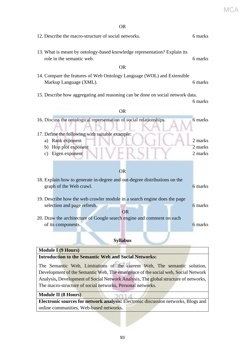MCA

| 12. Describe the macro-structure of social networks.                                                                                              |         |  |  |  |
|---------------------------------------------------------------------------------------------------------------------------------------------------|---------|--|--|--|
| 13. What is meant by ontology-based knowledge representation? Explain its<br>role in the semantic web.<br><b>OR</b>                               |         |  |  |  |
| 14. Compare the features of Web Ontology Language (WOL) and Extensible<br>Markup Language (XML).                                                  | 6 marks |  |  |  |
| 15. Describe how aggregating and reasoning can be done on social network data.                                                                    | 6 marks |  |  |  |
| <b>OR</b>                                                                                                                                         |         |  |  |  |
| 16. Discuss the ontological representation of social relationships.<br>17. Define the following with suitable example:                            | 6 marks |  |  |  |
| Rank exponent<br>a)                                                                                                                               | 2 marks |  |  |  |
| b) Hop plot exponent                                                                                                                              | 2 marks |  |  |  |
| Eigen exponent<br>c)                                                                                                                              | 2 marks |  |  |  |
| <b>OR</b><br>18. Explain how to generate in-degree and out-degree distributions on the<br>graph of the Web crawl.                                 | 6 marks |  |  |  |
| 19. Describe how the web crawler module in a search engine does the page<br>selection and page refresh.<br><b>OR</b>                              | 6 marks |  |  |  |
| 20. Draw the architecture of Google search engine and comment on each<br>of its components.                                                       | 6 marks |  |  |  |
| <b>Syllabus</b>                                                                                                                                   |         |  |  |  |
| <b>Module I</b> (9 Hours)                                                                                                                         |         |  |  |  |
| <b>Introduction to the Semantic Web and Social Networks:</b>                                                                                      |         |  |  |  |
| The Semantic Web, Limitations of the current Web, The semantic solution,                                                                          |         |  |  |  |
| Development of the Semantic Web, The emergence of the social web, Social Network                                                                  |         |  |  |  |
| Analysis, Development of Social Network Analysis, The global structure of networks,<br>The macro-structure of social networks, Personal networks. |         |  |  |  |
|                                                                                                                                                   |         |  |  |  |

**Module II (8 Hours)**

**Electronic sources for network analysis:** Electronic discussion networks, Blogs and online communities, Web-based networks.

A

DO11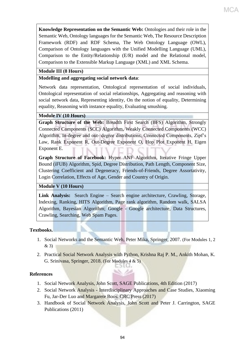**Knowledge Representation on the Semantic Web:** Ontologies and their role in the Semantic Web, Ontology languages for the Semantic Web, The Resource Description Framework (RDF) and RDF Schema, The Web Ontology Language (OWL), Comparison of Ontology languages with the Unified Modelling Language (UML), Comparison to the Entity/Relationship (E/R) model and the Relational model, Comparison to the Extensible Markup Language (XML) and XML Schema.

МСА

#### **Module III (8 Hours)**

#### **Modelling and aggregating social network data**:

Network data representation, Ontological representation of social individuals, Ontological representation of social relationships, Aggregating and reasoning with social network data, Representing identity, On the notion of equality, Determining equality, Reasoning with instance equality, Evaluating smushing.

#### **Module IV (10 Hours)**

**Graph Structure of the Web:** Breadth First Search (BFS) Algorithm, Strongly Connected Components (SCC) Algorithm, Weakly Connected Components (WCC) Algorithm, In-degree and out- degree distributions, Connected Components, Zipf's Law, Rank Exponent R, Out-Degree Exponent O, Hop Plot Exponent H, Eigen Exponent E.

**Graph Structure of Facebook:** Hyper ANF Algorithm, Iterative Fringe Upper Bound (iFUB) Algorithm, Spid, Degree Distribution, Path Length, Component Size, Clustering Coefficient and Degeneracy, Friends-of-Friends, Degree Assortativity, Login Correlation, Effects of Age, Gender and Country of Origin.

**Module V (10 Hours)**

**Link Analysis:** Search Engine – Search engine architecture, Crawling, Storage, Indexing, Ranking, HITS Algorithm, Page rank algorithm, Random walk, SALSA Algorithm, Bayesian Algorithm; Google - Google architecture, Data Structures, Crawling, Searching, Web Spam Pages.

#### **Textbooks.**

- 1. Social Networks and the Semantic Web, Peter Mika, Springer, 2007. (For Modules 1, 2 & 3)
- 2. Practical Social Network Analysis with Python, Krishna Raj P. M., Ankith Mohan, K. G. Srinivasa, Springer, 2018. (For Modules 4 & 5)

no. es

#### **References**

- 1. Social Network Analysis, John Scott, SAGE Publications, 4th Edition (2017)
- 2. Social Network Analysis Interdisciplinary Approaches and Case Studies, Xiaoming Fu, Jar-Der Luo and Margarete Boos, CRC Press (2017)
- 3. Handbook of Social Network Analysis, John Scott and Peter J. Carrington, SAGE Publications (2011)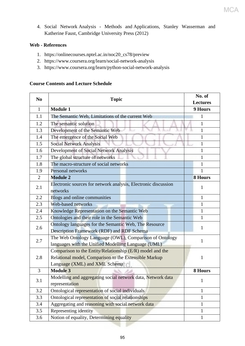4. Social Network Analysis - Methods and Applications, Stanley Wasserman and Katherine Faust, Cambridge University Press (2012)

#### **Web - References**

- 1. https://onlinecourses.nptel.ac.in/noc20\_cs78/preview
- 2. https://www.coursera.org/learn/social-network-analysis
- 3. https://www.coursera.org/learn/python-social-network-analysis

#### **Course Contents and Lecture Schedule**

| N <sub>0</sub> | <b>Topic</b>                                                                                                                                        | No. of<br><b>Lectures</b> |
|----------------|-----------------------------------------------------------------------------------------------------------------------------------------------------|---------------------------|
| $\mathbf{1}$   | <b>Module 1</b>                                                                                                                                     | 9 Hours                   |
| 1.1            | The Semantic Web, Limitations of the current Web                                                                                                    | 1                         |
| 1.2            | The semantic solution                                                                                                                               | 1                         |
| 1.3            | Development of the Semantic Web                                                                                                                     | 1                         |
| 1.4            | The emergence of the Social Web                                                                                                                     | $\mathbf{1}$              |
| 1.5            | <b>Social Network Analysis</b>                                                                                                                      | 1                         |
| 1.6            | Development of Social Network Analysis                                                                                                              | 1                         |
| 1.7            | The global structure of networks                                                                                                                    | 1                         |
| 1.8            | The macro-structure of social networks                                                                                                              | 1                         |
| 1.9            | Personal networks                                                                                                                                   | 1                         |
| $\overline{2}$ | <b>Module 2</b>                                                                                                                                     | <b>8 Hours</b>            |
| 2.1            | Electronic sources for network analysis, Electronic discussion<br>networks                                                                          | 1                         |
| 2.2            | Blogs and online communities                                                                                                                        | 1                         |
| 2.3            | Web-based networks                                                                                                                                  | 1                         |
| 2.4            | Knowledge Representation on the Semantic Web                                                                                                        | $\mathbf{1}$              |
| 2.5            | Ontologies and their role in the Semantic Web                                                                                                       | 1                         |
| 2.6            | Ontology languages for the Semantic Web, The Resource<br>Description Framework (RDF) and RDF Schema                                                 | 1                         |
| 2.7            | The Web Ontology Language (OWL), Comparison of Ontology<br>languages with the Unified Modelling Language (UML)                                      | 1                         |
| 2.8            | Comparison to the Entity/Relationship (E/R) model and the<br>Relational model, Comparison to the Extensible Markup<br>Language (XML) and XML Schema | 1                         |
| 3              | <b>Module 3</b>                                                                                                                                     | 8 Hours                   |
| 3.1            | Modelling and aggregating social network data, Network data<br>representation                                                                       | $\mathbf{1}$              |
| 3.2            | Ontological representation of social individuals                                                                                                    | $\mathbf{1}$              |
| 3.3            | Ontological representation of social relationships                                                                                                  | $\mathbf{1}$              |
| 3.4            | Aggregating and reasoning with social network data                                                                                                  | $\mathbf{1}$              |
| 3.5            | Representing identity                                                                                                                               | $\mathbf{1}$              |
| 3.6            | Notion of equality, Determining equality                                                                                                            | 1                         |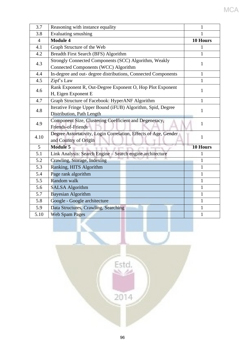| 3.7            | Reasoning with instance equality                                | 1            |  |  |
|----------------|-----------------------------------------------------------------|--------------|--|--|
|                |                                                                 |              |  |  |
| 3.8            | Evaluating smushing                                             |              |  |  |
| $\overline{4}$ | <b>Module 4</b>                                                 | 10 Hours     |  |  |
| 4.1            | Graph Structure of the Web                                      | 1            |  |  |
| 4.2            | Breadth First Search (BFS) Algorithm                            | 1            |  |  |
| 4.3            | Strongly Connected Components (SCC) Algorithm, Weakly           | 1            |  |  |
|                | Connected Components (WCC) Algorithm                            |              |  |  |
| 4.4            | In-degree and out- degree distributions, Connected Components   | 1            |  |  |
| 4.5            | Zipf's Law                                                      | 1            |  |  |
| 4.6            | Rank Exponent R, Out-Degree Exponent O, Hop Plot Exponent       |              |  |  |
|                | H, Eigen Exponent E                                             | 1            |  |  |
| 4.7            | Graph Structure of Facebook: HyperANF Algorithm                 | $\mathbf{1}$ |  |  |
| 4.8            | Iterative Fringe Upper Bound (iFUB) Algorithm, Spid, Degree     |              |  |  |
|                | Distribution, Path Length                                       | 1            |  |  |
| 4.9            | Component Size, Clustering Coefficient and Degeneracy,          |              |  |  |
|                | Friends-of-Friends                                              | $\mathbf{1}$ |  |  |
| 4.10           | Degree Assortativity, Login Correlation, Effects of Age, Gender | 1            |  |  |
|                | and Country of Origin                                           |              |  |  |
| $\overline{5}$ | <b>Module 5</b>                                                 | 10 Hours     |  |  |
| 5.1            | Link Analysis: Search Engine - Search engine architecture       | 1            |  |  |
| 5.2            | Crawling, Storage, Indexing                                     | 1            |  |  |
| 5.3            | Ranking, HITS Algorithm                                         | 1            |  |  |
| 5.4            | Page rank algorithm                                             | 1            |  |  |
| 5.5            | Random walk                                                     | 1            |  |  |
| 5.6            | <b>SALSA Algorithm</b>                                          | 1            |  |  |
| 5.7            | <b>Bayesian Algorithm</b>                                       | 1            |  |  |
| 5.8            | Google - Google architecture                                    | 1            |  |  |
| 5.9            | Data Structures, Crawling, Searching                            | 1            |  |  |
|                |                                                                 |              |  |  |

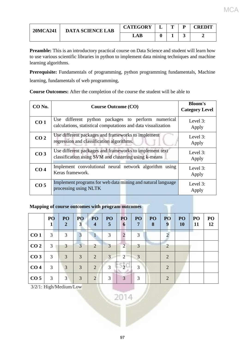| <b>20MCA241</b> | <b>DATA SCIENCE LAB</b> | <b>CATEGORY</b> |  | <b>REDIT</b> |
|-----------------|-------------------------|-----------------|--|--------------|
|                 |                         | LAB             |  |              |

**Preamble:** This is an introductory practical course on Data Science and student will learn how to use various scientific libraries in python to implement data mining techniques and machine learning algorithms.

**Prerequisite:** Fundamentals of programming, python programming fundamentals, Machine learning, fundamentals of web programming,

**Course Outcomes:** After the completion of the course the student will be able to

| CO No.          | <b>Course Outcome (CO)</b>                                                                                          | <b>Bloom's</b><br><b>Category Level</b> |
|-----------------|---------------------------------------------------------------------------------------------------------------------|-----------------------------------------|
| CO <sub>1</sub> | Use different python packages to perform numerical<br>calculations, statistical computations and data visualization | Level 3:<br>Apply                       |
| CO <sub>2</sub> | Use different packages and frameworks to implement<br>regression and classification algorithms.                     | Level 3:<br>Apply                       |
| CO <sub>3</sub> | Use different packages and frameworks to implement text<br>classification using SVM and clustering using k-means    | Level 3:<br>Apply                       |
| CO <sub>4</sub> | Implement convolutional neural network algorithm using<br>Keras framework.                                          | Level 3:<br>Apply                       |
| CO <sub>5</sub> | Implement programs for web data mining and natural language<br>processing using NLTK                                | Level 3:<br>Apply                       |

#### **Mapping of course outcomes with program outcomes**

|                 | P <sub>O</sub> | PO <sub>1</sub><br>$\overline{2}$ | PO<br>$\mathbf{3}$ | PO <sub>1</sub><br>$\overline{4}$ | PO <sub>1</sub><br>$5\overline{)}$ | PO<br>6                     | PO <sub>1</sub><br>7 | PO <sub>1</sub><br>8 | PO <sub>1</sub><br>9  | PO<br><b>10</b> | PO<br><b>11</b> | PO<br>12 |
|-----------------|----------------|-----------------------------------|--------------------|-----------------------------------|------------------------------------|-----------------------------|----------------------|----------------------|-----------------------|-----------------|-----------------|----------|
| CO <sub>1</sub> | 3              | 3                                 | 3                  |                                   | 3                                  | 2                           | 3                    |                      |                       |                 |                 |          |
| CO <sub>2</sub> | 3              | 3                                 | 3                  | 2                                 | 3                                  | 2                           | $\overline{3}$       |                      | $\mathcal{L}$         |                 |                 |          |
| CO <sub>3</sub> | 3              | 3                                 | 3                  | 2                                 | $\mathbf{3}$                       | $\mathcal{D}_{\mathcal{L}}$ | 3                    |                      | $\mathcal{D}_{\cdot}$ |                 |                 |          |
| CO <sub>4</sub> | 3              | 3                                 | 3                  | 2                                 | 3                                  |                             | $\mathcal{R}$        |                      | $\mathcal{L}$         |                 |                 |          |
| CO <sub>5</sub> | 3              | 3                                 | 3                  | $\overline{2}$                    | 3                                  | 3                           | 3                    |                      | 2                     |                 |                 |          |

3/2/1: High/Medium/Low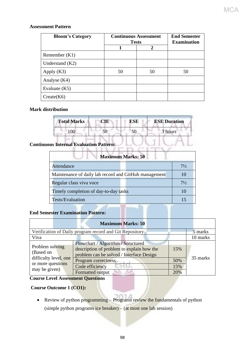#### **Assessment Pattern**

| <b>Bloom's Category</b> | <b>Continuous Assessment</b><br><b>Tests</b> | <b>End Semester</b><br><b>Examination</b> |    |  |
|-------------------------|----------------------------------------------|-------------------------------------------|----|--|
|                         |                                              | $\mathbf{2}$                              |    |  |
| Remember $(K1)$         |                                              |                                           |    |  |
| Understand $(K2)$       |                                              |                                           |    |  |
| Apply $(K3)$            | 50                                           | 50                                        | 50 |  |
| Analyse $(K4)$          |                                              |                                           |    |  |
| Evaluate $(K5)$         |                                              |                                           |    |  |
| Create(K6)              |                                              |                                           |    |  |

#### **Mark distribution**

| <b>Total Marks</b> | <b>CIE</b> | <b>ESE</b> | <b>ESE Duration</b> |
|--------------------|------------|------------|---------------------|
| 0 <sup>0</sup>     |            |            | 3 hours             |

#### **Continuous Internal Evaluation Pattern:**

| <b>Maximum Marks: 50</b>                              |                |  |  |  |  |
|-------------------------------------------------------|----------------|--|--|--|--|
| Attendance                                            | $7\frac{1}{2}$ |  |  |  |  |
| Maintenance of daily lab record and GitHub management | 10             |  |  |  |  |
| Regular class viva voce                               | $7\frac{1}{2}$ |  |  |  |  |
| Timely completion of day-to-day tasks                 | 10             |  |  |  |  |
| <b>Tests/Evaluation</b>                               | 15             |  |  |  |  |

#### **End Semester Examination Pattern:**

|                                    | <b>Maximum Marks: 50</b>                                                                                                    |     |          |
|------------------------------------|-----------------------------------------------------------------------------------------------------------------------------|-----|----------|
|                                    | Verification of Daily program record and Git Repository                                                                     |     | 5 marks  |
| Viva                               |                                                                                                                             |     | 10 marks |
| Problem solving<br>(Based on       | Flowchart / Algorithm / Structured<br>description of problem to explain how the<br>problem can be solved / Interface Design | 15% |          |
| difficulty level, one              | Program correctness                                                                                                         | 50% | 35 marks |
| or more questions<br>may be given) | Code efficiency<br>- 345.4                                                                                                  | 15% |          |
|                                    | Formatted output                                                                                                            | 20% |          |

#### **Course Level Assessment Questions**

#### **Course Outcome 1 (CO1):**

• Review of python programming – Programs review the fundamentals of python (simple python programs ice breaker) – (at most one lab session)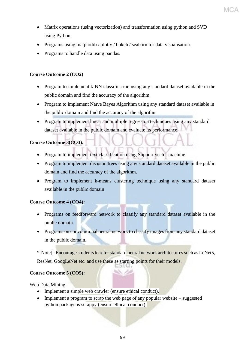• Matrix operations (using vectorization) and transformation using python and SVD using Python.

MC

- Programs using matplotlib / plotly / bokeh / seaborn for data visualisation.
- Programs to handle data using pandas.

#### **Course Outcome 2 (CO2)**

- Program to implement k-NN classification using any standard dataset available in the public domain and find the accuracy of the algorithm.
- Program to implement Naïve Bayes Algorithm using any standard dataset available in the public domain and find the accuracy of the algorithm
- Program to implement linear and multiple regression techniques using any standard dataset available in the public domain and evaluate its performance.

#### **Course Outcome 3(CO3):**

- Program to implement text classification using Support vector machine.
- Program to implement decision trees using any standard dataset available in the public domain and find the accuracy of the algorithm.
- Program to implement k-means clustering technique using any standard dataset available in the public domain

#### **Course Outcome 4 (CO4):**

- Programs on feedforward network to classify any standard dataset available in the public domain.
- Programs on convolutional neural network to classify images from any standard dataset in the public domain.

\*[Note] : Encourage students to refer standard neural network architectures such as LeNet5, ResNet, GoogLeNet etc. and use these as starting points for their models.

#### **Course Outcome 5 (CO5):**

#### Web Data Mining

- Implement a simple web crawler (ensure ethical conduct).
- Implement a program to scrap the web page of any popular website suggested python package is scrappy (ensure ethical conduct).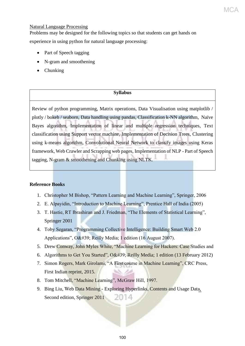#### Natural Language Processing

Problems may be designed for the following topics so that students can get hands on experience in using python for natural language processing:

MC.

- Part of Speech tagging
- N-gram and smoothening
- Chunking

#### **Syllabus**

Review of python programming, Matrix operations, Data Visualisation using matplotlib / plotly / bokeh / seaborn, Data handling using pandas, Classification k-NN algorithm, Naïve Bayes algorithm, Implementation of linear and multiple regression techniques, Text classification using Support vector machine, Implementation of Decision Trees, Clustering using k-means algorithm, Convolutional Neural Network to classify images using Keras framework, Web Crawler and Scrapping web pages, Implementation of NLP - Part of Speech tagging, N-gram & smoothening and Chunking using NLTK.

#### **Reference Books**

- 1. Christopher M Bishop, "Pattern Learning and Machine Learning", Springer, 2006
- 2. E. Alpayidin, "Introduction to Machine Learning", Prentice Hall of India (2005)
- 3. T. Hastie, RT Ibrashiran and J. Friedman, "The Elements of Statistical Learning", Springer 2001
- 4. Toby Segaran, "Programming Collective Intelligence: Building Smart Web 2.0 Applications", O' Reilly Media; 1 edition (16 August 2007).
- 5. Drew Conway, John Myles White, "Machine Learning for Hackers: Case Studies and
- 6. Algorithms to Get You Started", O' Reilly Media; 1 edition (13 February 2012)
- 7. Simon Rogers, Mark Girolami, "A First course in Machine Learning", CRC Press, First Indian reprint, 2015.
- 8. Tom Mitchell, "Machine Learning", McGraw Hill, 1997.
- 9. Bing Liu, Web Data Mining Exploring Hyperlinks, Contents and Usage Data, 2014 Second edition, Springer 2011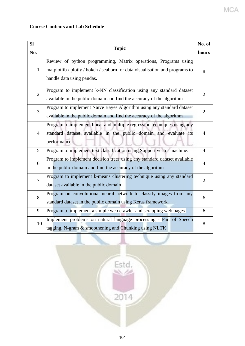#### MCA

#### **Course Contents and Lab Schedule**

| SI             |                                                                              | No. of         |  |  |  |  |
|----------------|------------------------------------------------------------------------------|----------------|--|--|--|--|
| No.            | <b>Topic</b>                                                                 | hours          |  |  |  |  |
|                | Review of python programming, Matrix operations, Programs using              |                |  |  |  |  |
| $\mathbf{1}$   | matplotlib / plotly / bokeh / seaborn for data visualisation and programs to | 8              |  |  |  |  |
|                | handle data using pandas.                                                    |                |  |  |  |  |
| $\overline{2}$ | Program to implement k-NN classification using any standard dataset          | $\overline{2}$ |  |  |  |  |
|                | available in the public domain and find the accuracy of the algorithm        |                |  |  |  |  |
| $\overline{3}$ | Program to implement Naïve Bayes Algorithm using any standard dataset        | $\overline{2}$ |  |  |  |  |
|                | available in the public domain and find the accuracy of the algorithm        |                |  |  |  |  |
|                | Program to implement linear and multiple regression techniques using any     |                |  |  |  |  |
| $\overline{4}$ | standard dataset available in the public domain and evaluate its             |                |  |  |  |  |
|                | performance.                                                                 |                |  |  |  |  |
| 5              | Program to implement text classification using Support vector machine.       | $\overline{4}$ |  |  |  |  |
| 6              | Program to implement decision trees using any standard dataset available     | 4              |  |  |  |  |
|                | in the public domain and find the accuracy of the algorithm                  |                |  |  |  |  |
| $\overline{7}$ | Program to implement k-means clustering technique using any standard         | $\overline{2}$ |  |  |  |  |
|                | dataset available in the public domain                                       |                |  |  |  |  |
| 8              | Program on convolutional neural network to classify images from any          | 6              |  |  |  |  |
|                | standard dataset in the public domain using Keras framework.                 |                |  |  |  |  |
| 9              | Program to implement a simple web crawler and scrapping web pages.           | 6              |  |  |  |  |
| 10             | Implement problems on natural language processing - Part of Speech           | 8              |  |  |  |  |
|                | tagging, N-gram & smoothening and Chunking using NLTK                        |                |  |  |  |  |

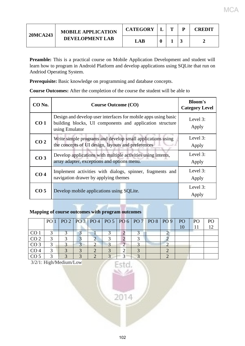| <b>20MCA243</b> | <b>MOBILE APPLICATION</b> | <b>CATEGORY</b> | m | CREDIT |
|-----------------|---------------------------|-----------------|---|--------|
|                 | <b>DEVELOPMENT LAB</b>    | LAB             |   |        |

MCA

**Preamble:** This is a practical course on Mobile Application Development and student will learn how to program in Android Platform and develop applications using SQLite that run on Andriod Operating System.

**Prerequisite:** Basic knowledge on programming and database concepts.

**Course Outcomes:** After the completion of the course the student will be able to

| CO No.          | <b>Course Outcome (CO)</b>                                                                                                                   | <b>Bloom's</b><br><b>Category Level</b> |
|-----------------|----------------------------------------------------------------------------------------------------------------------------------------------|-----------------------------------------|
| CO <sub>1</sub> | Design and develop user interfaces for mobile apps using basic<br>building blocks, UI components and application structure<br>using Emulator | Level 3:<br>Apply                       |
| CO <sub>2</sub> | Write simple programs and develop small applications using<br>the concepts of UI design, layouts and preferences                             | Level 3:<br>Apply                       |
| CO <sub>3</sub> | Develop applications with multiple activities using intents,<br>array adapter, exceptions and options menu.                                  | Level 3:<br>Apply                       |
| CO <sub>4</sub> | Implement activities with dialogs, spinner, fragments and<br>navigation drawer by applying themes                                            | Level 3:<br>Apply                       |
| CO <sub>5</sub> | Develop mobile applications using SQLite.                                                                                                    | Level 3:<br>Apply                       |

#### **Mapping of course outcomes with program outcomes**

|                 | $PQ1   PQ2   PQ3   PQ4   PQ5   PQ6   PQ7   PQ8   PQ9   PQ$ |  |  |  |  | <b>PO</b> |  |
|-----------------|------------------------------------------------------------|--|--|--|--|-----------|--|
|                 |                                                            |  |  |  |  |           |  |
| CO <sub>1</sub> |                                                            |  |  |  |  |           |  |
| CO <sub>2</sub> |                                                            |  |  |  |  |           |  |
| CO <sub>3</sub> |                                                            |  |  |  |  |           |  |
| CO <sub>4</sub> |                                                            |  |  |  |  |           |  |
| CO <sub>5</sub> |                                                            |  |  |  |  |           |  |

3/2/1: High/Medium/Low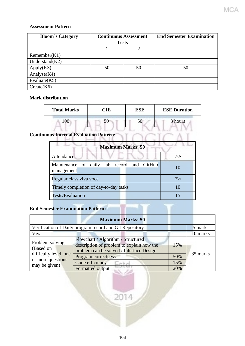#### **Assessment Pattern**

| <b>Bloom's Category</b> | <b>Continuous Assessment</b> |    | <b>End Semester Examination</b> |
|-------------------------|------------------------------|----|---------------------------------|
|                         | <b>Tests</b>                 |    |                                 |
|                         |                              |    |                                 |
| Remember(K1)            |                              |    |                                 |
| Understand $(K2)$       |                              |    |                                 |
| Apply(K3)               | 50                           | 50 | 50                              |
| Analyse $(K4)$          |                              |    |                                 |
| Evaluate $(K5)$         |                              |    |                                 |
| Create(K6)              |                              |    |                                 |

#### **Mark distribution**

| <b>Total Marks</b> | CIE | ESE | <b>ESE Duration</b> |  |  |
|--------------------|-----|-----|---------------------|--|--|
| .UU                | эU  | 50  | 3 hours             |  |  |

## **Continuous Internal Evaluation Pattern:**

| <b>Maximum Marks: 50</b>                                 |                |
|----------------------------------------------------------|----------------|
| Attendance                                               | $7\frac{1}{2}$ |
| Maintenance of daily lab record and GitHub<br>management |                |
| Regular class viva voce                                  | $7\frac{1}{2}$ |
| Timely completion of day-to-day tasks                    |                |
| Tests/Evaluation                                         |                |

#### **End Semester Examination Pattern:**

| <b>End Semester Examination Pattern:</b> |                                                                                                                             |     |          |
|------------------------------------------|-----------------------------------------------------------------------------------------------------------------------------|-----|----------|
|                                          | <b>Maximum Marks: 50</b>                                                                                                    |     |          |
|                                          | Verification of Daily program record and Git Repository                                                                     |     | 5 marks  |
| Viva                                     |                                                                                                                             |     | 10 marks |
| Problem solving<br>(Based on             | Flowchart / Algorithm / Structured<br>description of problem to explain how the<br>problem can be solved / Interface Design | 15% |          |
| difficulty level, one                    | Program correctness                                                                                                         | 50% | 35 marks |
| or more questions<br>may be given)       | Code efficiency                                                                                                             | 15% |          |
|                                          | <b>Formatted output</b>                                                                                                     | 20% |          |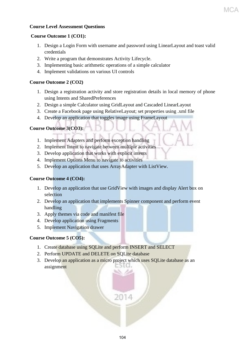#### **Course Level Assessment Questions**

#### **Course Outcome 1 (CO1):**

- 1. Design a Login Form with username and password using LinearLayout and toast valid credentials
- 2. Write a program that demonstrates Activity Lifecycle.
- 3. Implementing basic arithmetic operations of a simple calculator
- 4. Implement validations on various UI controls

#### **Course Outcome 2 (CO2)**

- 1. Design a registration activity and store registration details in local memory of phone using Intents and SharedPreferences
- 2. Design a simple Calculator using GridLayout and Cascaded LinearLayout
- 3. Create a Facebook page using RelativeLayout; set properties using .xml file
- 4. Develop an application that toggles image using FrameLayout

#### **Course Outcome 3(CO3):**

- 1. Implement Adapters and perform exception handling
- 2. Implement Intent to navigate between multiple activities
- 3. Develop application that works with explicit intents
- 4. Implement Options Menu to navigate to activities
- 5. Develop an application that uses ArrayAdapter with ListView.

#### **Course Outcome 4 (CO4):**

- 1. Develop an application that use GridView with images and display Alert box on selection
- 2. Develop an application that implements Spinner component and perform event handling
- 3. Apply themes via code and manifest file
- 4. Develop application using Fragments
- 5. Implement Navigation drawer

#### **Course Outcome 5 (CO5):**

- 1. Create database using SQLite and perform INSERT and SELECT
- 2. Perform UPDATE and DELETE on SQLite database
- 3. Develop an application as a micro project which uses SQLite database as an 5101 assignment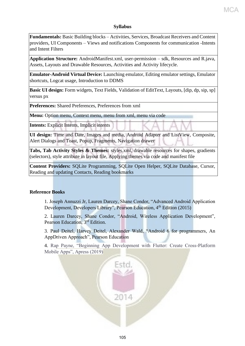#### **Syllabus**

**Fundamentals:** Basic Building blocks – Activities, Services, Broadcast Receivers and Content providers, UI Components – Views and notifications Components for communication -Intents and Intent Filters

**Application Structure:** AndroidManifest.xml, user-permission – sdk, Resources and R.java, Assets, Layouts and Drawable Resources, Activities and Activity lifecycle.

**Emulator-Android Virtual Device:** Launching emulator, Editing emulator settings, Emulator shortcuts, Logcat usage, Introduction to DDMS

**Basic UI design:** Form widgets, Text Fields, Validation of EditText, Layouts, [dip, dp, sip, sp] versus px

**Preferences:** Shared Preferences, Preferences from xml

**Menu:** Option menu, Context menu, menu from xml, menu via code

**Intents:** Explicit Intents, Implicit intents

**UI design:** Time and Date, Images and media, Android Adapter and ListView, Composite, Alert Dialogs and Toast, Popup, Fragments, Navigation drawer

**Tabs, Tab Activity Styles & Themes:** styles.xml, drawable resources for shapes, gradients (selectors), style attribute in layout file, Applying themes via code and manifest file

**Content Providers:** SQLite Programming, SQLite Open Helper, SQLite Database, Cursor, Reading and updating Contacts, Reading bookmarks

#### **Reference Books**

1. Joseph Annuzzi Jr, Lauren Darcey, Shane Condor, "Advanced Android Application Development, Developers Library", Pearson Education, 4<sup>th</sup> Edition (2015)

2. Lauren Darcey, Shane Condor, "Android, Wireless Application Development", Pearson Education, 3<sup>rd</sup> Edition.

3. Paul Deitel, Harvey Deitel, Alexander Wald, "Android 6 for programmers, An AppDriven Approach", Pearson Education

4. Rap Payne, "Beginning App Development with Flutter: Create Cross-Platform Mobile Apps", Apress (2019)

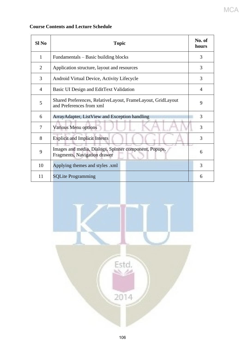#### **Course Contents and Lecture Schedule**

| Sl No | <b>Topic</b>                                                                            | No. of<br>hours |
|-------|-----------------------------------------------------------------------------------------|-----------------|
| 1     | Fundamentals – Basic building blocks                                                    | 3               |
| 2     | Application structure, layout and resources                                             | 3               |
| 3     | Android Virtual Device, Activity Lifecycle                                              | 3               |
| 4     | Basic UI Design and EditText Validation                                                 | 4               |
| 5     | Shared Preferences, RelativeLayout, FrameLayout, GridLayout<br>and Preferences from xml | 9               |
| 6     | ArrayAdapter, ListView and Exception handling                                           | 3               |
| 7     | Various Menu options                                                                    | 3               |
| 8     | <b>Explicit and Implicit Intents</b>                                                    | 3               |
| 9     | Images and media, Dialogs, Spinner component, Popups,<br>Fragments, Navigation drawer   | 6               |
| 10    | Applying themes and styles .xml                                                         | 3               |
| 11    | <b>SQLite Programming</b>                                                               | 6               |

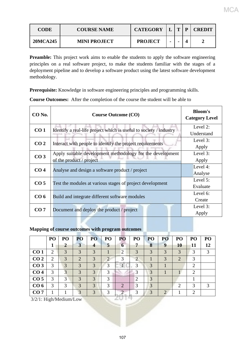| <b>CODE</b> | <b>COURSE NAME</b>  | <b>CATEGORY</b> |                | m | D | <b>CREDIT</b> |
|-------------|---------------------|-----------------|----------------|---|---|---------------|
| 20MCA245    | <b>MINI PROJECT</b> | <b>PROJECT</b>  | $\blacksquare$ |   |   |               |

**Preamble:** This project work aims to enable the students to apply the software engineering principles on a real software project, to make the students familiar with the stages of a deployment pipeline and to develop a software product using the latest software development methodology.

**Prerequisite:** Knowledge in software engineering principles and programming skills.

| $CO$ No.        | <b>Course Outcome (CO)</b>                                         | <b>Bloom's</b><br><b>Category Level</b> |
|-----------------|--------------------------------------------------------------------|-----------------------------------------|
| CO <sub>1</sub> | Identify a real-life project which is useful to society / industry | Level 2:                                |
|                 |                                                                    | Understand                              |
| CO <sub>2</sub> |                                                                    | Level 3:                                |
|                 | Interact with people to identify the project requirements          | Apply                                   |
| CO <sub>3</sub> | Apply suitable development methodology for the development         | Level 3:                                |
|                 | of the product / project                                           | Apply                                   |
| CO <sub>4</sub> |                                                                    | Level 4:                                |
|                 | Analyse and design a software product / project                    | Analyse                                 |
| CO <sub>5</sub> |                                                                    | Level 5:                                |
|                 | Test the modules at various stages of project development          | Evaluate                                |
| CO <sub>6</sub> | Build and integrate different software modules                     | Level 6:                                |
|                 |                                                                    | Create                                  |
| CO <sub>7</sub> |                                                                    | Level 3:                                |
|                 | Document and deploy the product / project                          | Apply                                   |

**Course Outcomes:** After the completion of the course the student will be able to

#### **Mapping of course outcomes with program outcomes**

|                          | P <sub>O</sub> | PO             | PO             | PO               | PO | PO             | PO             | PO            | PO | PO                          | PO             | PO            |
|--------------------------|----------------|----------------|----------------|------------------|----|----------------|----------------|---------------|----|-----------------------------|----------------|---------------|
|                          |                | $\overline{2}$ | 3              | $\boldsymbol{4}$ | 5  | 6              | 7              | 8             | 9  | 10                          | 11             | 12            |
| CO <sub>1</sub>          | 2              | 3              | 3              | 3                |    | $\overline{2}$ | 3              | 3             | 3  | 3                           | 3              | 3             |
| CO <sub>2</sub>          | $\overline{2}$ | 3              | $\overline{2}$ | 3                | 2  | 3              | $\overline{2}$ |               | 3  | $\overline{2}$              | 3              |               |
| CO <sub>3</sub>          | 3              | 3              | 3              | 3                | 3  |                | 3              | 3             |    |                             | $\overline{2}$ |               |
| CO <sub>4</sub>          | 3              | 3              | 3              | 3                | 3  |                | 3              | 3             |    |                             | $\overline{2}$ |               |
| CO <sub>5</sub>          | 3              | 3              | 3              | 3                | 3  |                | $\overline{2}$ | 3             |    |                             |                |               |
| CO <sub>6</sub>          | 3              | 3              | 3              | 3                | 3  | 2              | 3              | 3             |    | $\mathcal{D}_{\mathcal{A}}$ | 3              | $\mathcal{R}$ |
| CO <sub>7</sub>          |                |                | 3              | 3                | 3  |                | 3              | $\mathcal{R}$ | ി  |                             | $\overline{2}$ |               |
| $3/2/1.$ High/Medium/Low |                |                |                |                  |    |                |                |               |    |                             |                |               |

3/2/1: High/Medium/Low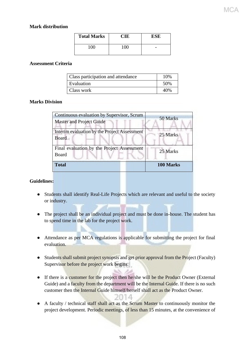#### **Mark distribution**

| <b>Total Marks</b> | `HE | ESE |
|--------------------|-----|-----|
| 100                | 100 |     |

#### **Assessment Criteria**

| Class participation and attendance | 10% |
|------------------------------------|-----|
| Evaluation                         | 50% |
| Class work                         | 40% |

#### **Marks Division**

| Continuous evaluation by Supervisor, Scrum<br><b>Master and Project Guide</b> | 50 Marks  |
|-------------------------------------------------------------------------------|-----------|
| Interim evaluation by the Project Assessment<br><b>Board</b>                  | 25 Marks  |
| Final evaluation by the Project Assessment<br>Board                           | 25 Marks  |
| <b>Total</b>                                                                  | 100 Marks |

#### **Guidelines:**

- Students shall identify Real-Life Projects which are relevant and useful to the society or industry.
- The project shall be an individual project and must be done in-house. The student has to spend time in the lab for the project work.
- Attendance as per MCA regulations is applicable for submitting the project for final evaluation.
- Students shall submit project synopsis and get prior approval from the Project (Faculty) Supervisor before the project work begins.
- If there is a customer for the project then he/she will be the Product Owner (External Guide) and a faculty from the department will be the Internal Guide. If there is no such customer then the Internal Guide himself/herself shall act as the Product Owner.
- A faculty / technical staff shall act as the Scrum Master to continuously monitor the project development. Periodic meetings, of less than 15 minutes, at the convenience of

1a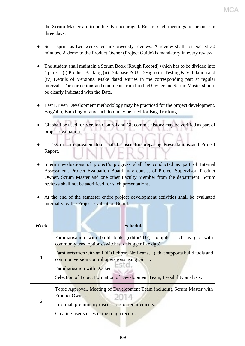the Scrum Master are to be highly encouraged. Ensure such meetings occur once in three days.

- Set a sprint as two weeks, ensure biweekly reviews. A review shall not exceed 30 minutes. A demo to the Product Owner (Project Guide) is mandatory in every review.
- The student shall maintain a Scrum Book (Rough Record) which has to be divided into 4 parts – (i) Product Backlog (ii) Database & UI Design (iii) Testing & Validation and (iv) Details of Versions. Make dated entries in the corresponding part at regular intervals. The corrections and comments from Product Owner and Scrum Master should be clearly indicated with the Date.
- Test Driven Development methodology may be practiced for the project development. BugZilla, BackLog or any such tool may be used for Bug Tracking.
- Git shall be used for Version Control and Git commit history may be verified as part of project evaluation .
- LaTeX or an equivalent tool shall be used for preparing Presentations and Project Report.
- Interim evaluations of project's progress shall be conducted as part of Internal Assessment. Project Evaluation Board may consist of Project Supervisor, Product Owner, Scrum Master and one other Faculty Member from the department. Scrum reviews shall not be sacrificed for such presentations.
- At the end of the semester entire project development activities shall be evaluated internally by the Project Evaluation Board.

| Week           | <b>Schedule</b>                                                                                                                                                                                                                                                                                                                                                                   |
|----------------|-----------------------------------------------------------------------------------------------------------------------------------------------------------------------------------------------------------------------------------------------------------------------------------------------------------------------------------------------------------------------------------|
| $\mathbf{1}$   | Familiarisation with build tools (editor/IDE, compiler such as gcc with<br>commonly used options/switches, debugger like dgb).<br>Familiarisation with an IDE (Eclipse, NetBeans), that supports build tools and<br>common version control operations using Git<br><b>Familiarisation with Docker</b><br>Selection of Topic, Formation of Development Team, Feasibility analysis. |
| $\overline{2}$ | Topic Approval, Meeting of Development Team including Scrum Master with<br>Product Owner.<br>2014<br>Informal, preliminary discussions of requirements.<br>Creating user stories in the rough record.                                                                                                                                                                             |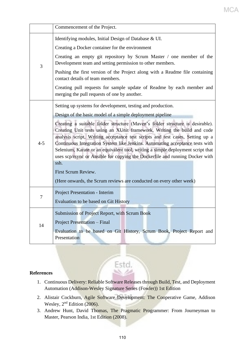|         | Commencement of the Project.                                                                                                                                                                                                                                                                                                                                                                                  |  |  |  |  |  |  |
|---------|---------------------------------------------------------------------------------------------------------------------------------------------------------------------------------------------------------------------------------------------------------------------------------------------------------------------------------------------------------------------------------------------------------------|--|--|--|--|--|--|
|         | Identifying modules, Initial Design of Database & UI.                                                                                                                                                                                                                                                                                                                                                         |  |  |  |  |  |  |
| 3       | Creating a Docker container for the environment                                                                                                                                                                                                                                                                                                                                                               |  |  |  |  |  |  |
|         | Creating an empty git repository by Scrum Master / one member of the<br>Development team and setting permission to other members.                                                                                                                                                                                                                                                                             |  |  |  |  |  |  |
|         | Pushing the first version of the Project along with a Readme file containing<br>contact details of team members.                                                                                                                                                                                                                                                                                              |  |  |  |  |  |  |
|         | Creating pull requests for sample update of Readme by each member and<br>merging the pull requests of one by another.                                                                                                                                                                                                                                                                                         |  |  |  |  |  |  |
|         | Setting up systems for development, testing and production.                                                                                                                                                                                                                                                                                                                                                   |  |  |  |  |  |  |
|         | Design of the basic model of a simple deployment pipeline                                                                                                                                                                                                                                                                                                                                                     |  |  |  |  |  |  |
| $4 - 5$ | Creating a suitable folder structure (Maven's folder structure is desirable).<br>Creating Unit tests using an XUnit framework, Writing the build and code<br>analysis script, Writing acceptance test scripts and test cases, Setting up a<br>Continuous Integration System like Jenkins. Automating acceptance tests with<br>Selenium, Karate or an equivalent tool, writing a simple deployment script that |  |  |  |  |  |  |
|         | uses scp/rsync or Ansible for copying the Dockerfile and running Docker with                                                                                                                                                                                                                                                                                                                                  |  |  |  |  |  |  |
|         | ssh.                                                                                                                                                                                                                                                                                                                                                                                                          |  |  |  |  |  |  |
|         | First Scrum Review.<br>(Here onwards, the Scrum reviews are conducted on every other week)                                                                                                                                                                                                                                                                                                                    |  |  |  |  |  |  |
|         | Project Presentation - Interim                                                                                                                                                                                                                                                                                                                                                                                |  |  |  |  |  |  |
| 7       | Evaluation to be based on Git History                                                                                                                                                                                                                                                                                                                                                                         |  |  |  |  |  |  |
|         | Submission of Project Report, with Scrum Book                                                                                                                                                                                                                                                                                                                                                                 |  |  |  |  |  |  |
| 14      | Project Presentation - Final                                                                                                                                                                                                                                                                                                                                                                                  |  |  |  |  |  |  |
|         | Evaluation to be based on Git History, Scrum Book, Project Report and<br>Presentation                                                                                                                                                                                                                                                                                                                         |  |  |  |  |  |  |

## **References**

1. Continuous Delivery: Reliable Software Releases through Build, Test, and Deployment Automation (Addison-Wesley Signature Series (Fowler)) 1st Edition

Estd.

- 2. Alistair Cockburn, Agile Software Development: The Cooperative Game, Addison Wesley,  $2<sup>nd</sup>$  Edition (2006).
- 3. Andrew Hunt, David Thomas, The Pragmatic Programmer: From Journeyman to Master, Pearson India, 1st Edition (2008).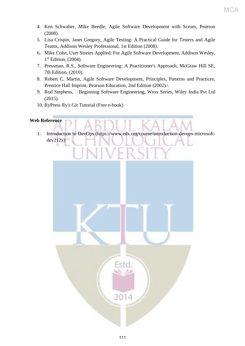- 4. Ken Schwaber, Mike Beedle, Agile Software Development with Scrum, Pearson (2008).
- 5. Lisa Crispin, Janet Gregory, Agile Testing: A Practical Guide for Testers and Agile Teams, Addison Wesley Professional, 1st Edition (2008).
- 6. Mike Cohn, User Stories Applied: For Agile Software Development, Addison Wesley, 1<sup>st</sup> Edition, (2004).
- 7. Pressman, R.S., Software Engineering: A Practitioner's Approach, McGraw Hill SE, 7th Edition, (2010).
- 8. Robert C. Martin, Agile Software Development, Principles, Patterns and Practices, Prentice Hall Imprint, Pearson Education, 2nd Edition (2002).
- 9. Rod Stephens, Beginning Software Engineering, Wrox Series, Wiley India Pvt Ltd (2015).
- 10. RyPress Ry's Git Tutorial (Free e-book)

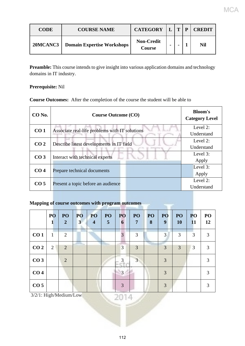| <b>CODE</b> | <b>COURSE NAME</b>                | CATEGORY $ L T$             |                          | D | <b>CREDIT</b> |
|-------------|-----------------------------------|-----------------------------|--------------------------|---|---------------|
| 20MCANC3    | <b>Domain Expertise Workshops</b> | <b>Non-Credit</b><br>Course | $\overline{\phantom{a}}$ |   | Nil           |

**Preamble:** This course intends to give insight into various application domains and technology domains in IT industry.

## **Prerequisite:** Nil

**Course Outcomes:** After the completion of the course the student will be able to

| CO No.          | <b>Course Outcome (CO)</b>                     | <b>Bloom's</b><br><b>Category Level</b> |
|-----------------|------------------------------------------------|-----------------------------------------|
| CO <sub>1</sub> | Associate real-life problems with IT solutions | Level 2:                                |
|                 |                                                | Understand                              |
|                 |                                                | Level 2:                                |
| CO <sub>2</sub> | Describe latest developments in IT field       | Understand                              |
| CO <sub>3</sub> |                                                | Level 3:                                |
|                 | Interact with technical experts                | Apply                                   |
|                 |                                                | Level 3:                                |
| CO <sub>4</sub> | Prepare technical documents                    | Apply                                   |
|                 |                                                | Level 2:                                |
| CO <sub>5</sub> | Present a topic before an audience             | Understand                              |

# **Mapping of course outcomes with program outcomes**

|                 | PO<br>1        | PO<br>$\overline{2}$ | PO<br>$\mathbf{3}$ | PO<br>$\overline{4}$ | PO<br>$\overline{5}$ | PO<br>6        | PO<br>7        | PO<br>8 | PO<br>9 | PO<br><b>10</b> | PO<br><b>11</b> | PO<br>12 |
|-----------------|----------------|----------------------|--------------------|----------------------|----------------------|----------------|----------------|---------|---------|-----------------|-----------------|----------|
| CO <sub>1</sub> | 1              | 2                    |                    |                      |                      | 3              | $\overline{3}$ |         | 3       | 3               | 3               | 3        |
| CO <sub>2</sub> | $\overline{2}$ | 2                    |                    |                      |                      | 3              | 3              |         | 3       | 3               | 3               | 3        |
| CO <sub>3</sub> |                | $\overline{2}$       |                    |                      |                      | 3              | 3              |         | 3       |                 |                 | 3        |
| CO <sub>4</sub> |                |                      |                    |                      |                      | $\overline{3}$ |                |         | 3       |                 |                 | 3        |
| CO <sub>5</sub> |                |                      |                    |                      |                      | 3              |                |         | 3       |                 |                 | 3        |

3/2/1: High/Medium/Low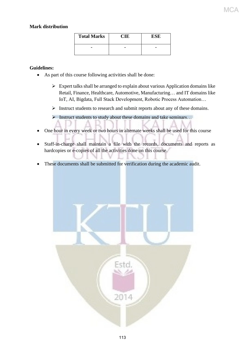### **Mark distribution**

| <b>Total Marks</b> | ESE |
|--------------------|-----|
|                    |     |

#### **Guidelines:**

- As part of this course following activities shall be done:
	- $\triangleright$  Expert talks shall be arranged to explain about various Application domains like Retail, Finance, Healthcare, Automotive, Manufacturing… and IT domains like IoT, AI, Bigdata, Full Stack Development, Robotic Process Automation…
	- ➢ Instruct students to research and submit reports about any of these domains.

➢ Instruct students to study about these domains and take seminars…

- One hour in every week or two hours in alternate weeks shall be used for this course
- Staff-in-charge shall maintain a file with the records, documents and reports as hardcopies or e-copies of all the activities done on this course.
- These documents shall be submitted for verification during the academic audit.

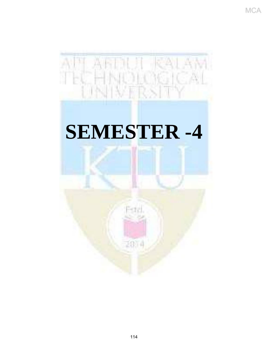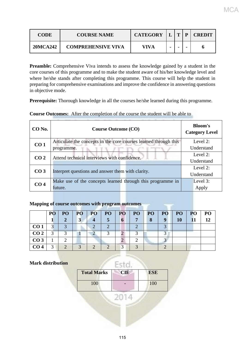| <b>CODE</b> | <b>COURSE NAME</b>        | <b>CATEGORY</b> |                          | $\mathbf{P}$ | <b>CREDIT</b> |
|-------------|---------------------------|-----------------|--------------------------|--------------|---------------|
| 20MCA242    | <b>COMPREHENSIVE VIVA</b> | <b>VIVA</b>     | $\overline{\phantom{a}}$ | -            | O             |

**Preamble:** Comprehensive Viva intends to assess the knowledge gained by a student in the core courses of this programme and to make the student aware of his/her knowledge level and where he/she stands after completing this programme. This course will help the student in preparing for comprehensive examinations and improve the confidence in answering questions in objective mode.

**Prerequisite:** Thorough knowledge in all the courses he/she learned during this programme.

| CO No.          | <b>Course Outcome (CO)</b>                                       | <b>Bloom's</b><br><b>Category Level</b> |  |
|-----------------|------------------------------------------------------------------|-----------------------------------------|--|
| CO <sub>1</sub> | Articulate the concepts in the core courses learned through this | Level 2:                                |  |
|                 | programme.                                                       | Understand                              |  |
| CO <sub>2</sub> | Attend technical interviews with confidence.                     | Level 2:                                |  |
|                 |                                                                  | Understand                              |  |
| CO <sub>3</sub> | Interpret questions and answer them with clarity.                | Level 2:                                |  |
|                 |                                                                  | Understand                              |  |
| CO <sub>4</sub> | Make use of the concepts learned through this programme in       | Level 3:                                |  |
|                 | future.                                                          | Apply                                   |  |

**Course Outcomes:** After the completion of the course the student will be able to

## **Mapping of course outcomes with program outcomes**

|                 | PO         | P <sub>O</sub> | PO <sub>1</sub> | <b>PO</b> | PO <sub>1</sub> | <b>PO</b> | PO           | <b>PO</b> | <b>PO</b> | PO <sub>1</sub> | <b>PO</b> | P <sub>O</sub> |
|-----------------|------------|----------------|-----------------|-----------|-----------------|-----------|--------------|-----------|-----------|-----------------|-----------|----------------|
|                 |            | o              |                 | $\Delta$  |                 | 6         | $\mathbf{z}$ | 8         | <b>Q</b>  | 10              |           |                |
| CO <sub>1</sub> | $\bigcap$  |                |                 |           |                 |           |              |           |           |                 |           |                |
| CO <sub>2</sub> | $\bigcirc$ |                |                 |           |                 |           |              |           |           |                 |           |                |
| CO <sub>3</sub> |            |                |                 |           |                 |           |              |           |           |                 |           |                |
| CO <sub>4</sub> | ⌒          |                |                 |           |                 | ⌒         |              |           |           |                 |           |                |

## **Mark distribution**

| <b>Total Marks</b> | <b>CIE</b> | <b>ESE</b> |  |  |  |  |  |
|--------------------|------------|------------|--|--|--|--|--|
| 100                |            | 100        |  |  |  |  |  |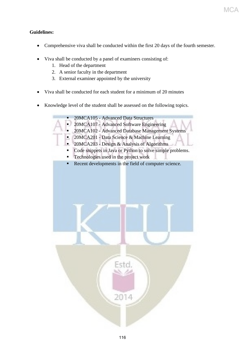## **Guidelines:**

- Comprehensive viva shall be conducted within the first 20 days of the fourth semester.
- Viva shall be conducted by a panel of examiners consisting of:
	- 1. Head of the department
	- 2. A senior faculty in the department
	- 3. External examiner appointed by the university
- Viva shall be conducted for each student for a minimum of 20 minutes
- Knowledge level of the student shall be assessed on the following topics.

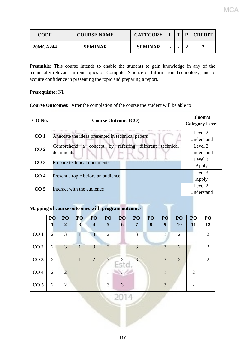| <b>CODE</b>     | <b>COURSE NAME</b> | <b>CATEGORY</b> |                          | T | p | <b>CREDIT</b> |
|-----------------|--------------------|-----------------|--------------------------|---|---|---------------|
| <b>20MCA244</b> | <b>SEMINAR</b>     | <b>SEMINAR</b>  | $\overline{\phantom{a}}$ |   |   |               |

Preamble: This course intends to enable the students to gain knowledge in any of the technically relevant current topics on Computer Science or Information Technology, and to acquire confidence in presenting the topic and preparing a report.

## **Prerequisite:** Nil

| <b>Course Outcomes:</b> After the completion of the course the student will be able to |  |  |  |  |
|----------------------------------------------------------------------------------------|--|--|--|--|
|----------------------------------------------------------------------------------------|--|--|--|--|

| $CO$ No.        | <b>Course Outcome (CO)</b>                                     | <b>Bloom's</b><br><b>Category Level</b> |
|-----------------|----------------------------------------------------------------|-----------------------------------------|
| CO <sub>1</sub> | Annotate the ideas presented in technical papers               | Level 2:                                |
|                 |                                                                | Understand                              |
| CO <sub>2</sub> | different technical<br>Comprehend a concept<br>referring<br>by | Level 2:                                |
|                 | documents                                                      | Understand                              |
|                 |                                                                | Level 3:                                |
| CO <sub>3</sub> | Prepare technical documents                                    | Apply                                   |
|                 |                                                                | Level 3:                                |
| CO <sub>4</sub> | Present a topic before an audience                             | Apply                                   |
| CO <sub>5</sub> |                                                                | Level 2:                                |
|                 | Interact with the audience                                     | Understand                              |

## **Mapping of course outcomes with program outcomes**

|                 | PO             | PO             | PO           | PO                      | PO             | PO | PO             | PO <sub>1</sub> | PO               | PO             | PO                          | PO <sub>1</sub>             |
|-----------------|----------------|----------------|--------------|-------------------------|----------------|----|----------------|-----------------|------------------|----------------|-----------------------------|-----------------------------|
|                 |                | $\overline{2}$ | $\mathbf{3}$ | $\overline{\mathbf{4}}$ | 5              | 6  | $\overline{7}$ | 8               | $\boldsymbol{9}$ | <b>10</b>      | <b>11</b>                   | 12                          |
| CO <sub>1</sub> | $\overline{2}$ | 3              |              | 3                       | $\overline{2}$ |    | 3              |                 | 3                | $\overline{2}$ |                             | $\mathcal{D}_{\mathcal{L}}$ |
| CO <sub>2</sub> | 2              | 3              |              | 3                       | 2              |    | 3              |                 | 3                | 2              |                             | $\mathcal{D}_{\mathcal{L}}$ |
| CO <sub>3</sub> | 2              |                |              | $\overline{2}$          | 3              |    | 3              |                 | 3                | 2              |                             |                             |
| CO <sub>4</sub> | 2              | 2              |              |                         | 3              | 3  |                |                 | 3                |                | 2                           |                             |
| CO <sub>5</sub> | $\overline{2}$ | 2              |              |                         | 3              | 3  |                |                 | 3                |                | $\mathcal{D}_{\mathcal{L}}$ |                             |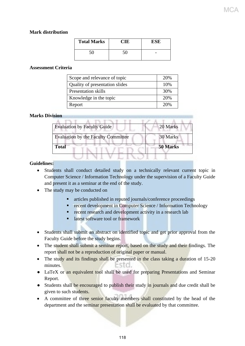### **Mark distribution**

| <b>Total Marks</b> |    | ESE |
|--------------------|----|-----|
| 5Λ                 | 50 |     |

### **Assessment Criteria**

| Scope and relevance of topic   | 20% |
|--------------------------------|-----|
| Quality of presentation slides | 10% |
| <b>Presentation skills</b>     | 30% |
| Knowledge in the topic         | 20% |
| Report                         | 20% |

### **Marks Division**

| <b>Evaluation by Faculty Guide</b>         | 20 Marks |
|--------------------------------------------|----------|
| <b>Evaluation by the Faculty Committee</b> | 30 Marks |
| <b>Total</b>                               | 50 Marks |

#### **Guidelines:**

- Students shall conduct detailed study on a technically relevant current topic in Computer Science / Information Technology under the supervision of a Faculty Guide and present it as a seminar at the end of the study.
- The study may be conducted on
	- articles published in reputed journals/conference proceedings
	- **EXECTE:** recent development in Computer Science / Information Technology
	- recent research and development activity in a research lab
	- latest software tool or framework
- Students shall submit an abstract on identified topic and get prior approval from the Faculty Guide before the study begins.
- The student shall submit a seminar report, based on the study and their findings. The report shall not be a reproduction of original paper or manual.
- The study and its findings shall be presented in the class taking a duration of 15-20 minutes.
- LaTeX or an equivalent tool shall be used for preparing Presentations and Seminar Report.
- Students shall be encouraged to publish their study in journals and due credit shall be given to such students.
- A committee of three senior faculty members shall constituted by the head of the department and the seminar presentation shall be evaluated by that committee.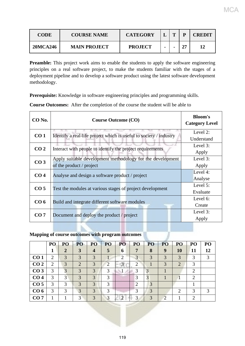| <b>CODE</b>     | <b>COURSE NAME</b>  | <b>CATEGORY</b> |                | m |           | <b>CREDIT</b> |
|-----------------|---------------------|-----------------|----------------|---|-----------|---------------|
| <b>20MCA246</b> | <b>MAIN PROJECT</b> | <b>PROJECT</b>  | $\blacksquare$ |   | <b>OT</b> | 12            |

MCA

**Preamble:** This project work aims to enable the students to apply the software engineering principles on a real software project, to make the students familiar with the stages of a deployment pipeline and to develop a software product using the latest software development methodology.

**Prerequisite:** Knowledge in software engineering principles and programming skills.

**Course Outcomes:** After the completion of the course the student will be able to

| CO No.          | <b>Course Outcome (CO)</b>                                         | <b>Bloom's</b><br><b>Category Level</b> |
|-----------------|--------------------------------------------------------------------|-----------------------------------------|
| CO <sub>1</sub> | Identify a real-life project which is useful to society / industry | Level 2:                                |
|                 |                                                                    | Understand                              |
| CO <sub>2</sub> | Interact with people to identify the project requirements          | Level 3:                                |
|                 |                                                                    | Apply                                   |
| CO <sub>3</sub> | Apply suitable development methodology for the development         | Level 3:                                |
|                 | of the product / project                                           | Apply                                   |
|                 |                                                                    | Level 4:                                |
| CO <sub>4</sub> | Analyse and design a software product / project                    | Analyse                                 |
|                 |                                                                    | Level 5:                                |
| CO <sub>5</sub> | Test the modules at various stages of project development          | Evaluate                                |
|                 |                                                                    | Level 6:                                |
| CO <sub>6</sub> | Build and integrate different software modules                     | Create                                  |
|                 |                                                                    | Level 3:                                |
| CO <sub>7</sub> | Document and deploy the product / project                          | Apply                                   |

## **Mapping of course outcomes with program outcomes**

|                 | PO             | PO           | P <sub>O</sub>        | PO                      | P <sub>O</sub> | PO            | PO | PO <sub>1</sub> | PO             | PO                                                                                                                                         | P <sub>O</sub>              | PO |
|-----------------|----------------|--------------|-----------------------|-------------------------|----------------|---------------|----|-----------------|----------------|--------------------------------------------------------------------------------------------------------------------------------------------|-----------------------------|----|
|                 |                | $\mathbf{2}$ | 3                     | $\overline{\mathbf{4}}$ | 5              | 6             | 7  | 8               | 9              | 10                                                                                                                                         | <b>11</b>                   | 12 |
| CO <sub>1</sub> | 2              | 3            | 3                     | 3                       |                | ി             | っ  | 3               | 3              | 3                                                                                                                                          | 3                           | 3  |
| CO <sub>2</sub> | $\overline{2}$ | 3            | $\mathcal{D}_{\cdot}$ | 3                       | 2              | $\mathcal{R}$ | 2  |                 | 3              | $\overline{2}$                                                                                                                             | 3                           |    |
| CO <sub>3</sub> | 3              | 3            | 3                     | 3                       | 3              |               | 3  |                 |                |                                                                                                                                            | 2                           |    |
| CO <sub>4</sub> | 3              | 3            | 3                     | 3                       | 3              |               | 3  | 3               |                |                                                                                                                                            | 2                           |    |
| CO <sub>5</sub> | 3              | 3            | 3                     | 3                       | 3              |               | 2  | 3               |                |                                                                                                                                            |                             |    |
| CO <sub>6</sub> | 3              | 3            | 3                     | 3                       | 3              |               |    | 3               |                | $\mathcal{D}_{\mathcal{A}}^{(n)}(\mathcal{A}) = \mathcal{D}_{\mathcal{A}}^{(n)}(\mathcal{A}) \mathcal{D}_{\mathcal{A}}^{(n)}(\mathcal{A})$ | 3                           |    |
| CO <sub>7</sub> |                |              | $\mathcal{F}$         | $\mathcal{R}$           | 3              |               | 3  | $\mathcal{R}$   | $\overline{2}$ |                                                                                                                                            | $\mathcal{D}_{\mathcal{L}}$ |    |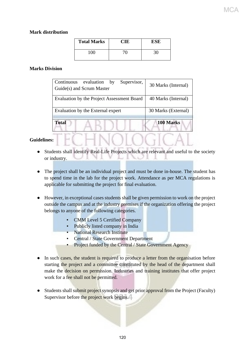### **Mark distribution**

| <b>Total Marks</b> |     | ESE |
|--------------------|-----|-----|
| 100                | 70- | 30  |

### **Marks Division**

| Continuous<br>evaluation<br>Supervisor,<br>by | 30 Marks (Internal) |
|-----------------------------------------------|---------------------|
| Guide(s) and Scrum Master                     |                     |
|                                               |                     |
| Evaluation by the Project Assessment Board    | 40 Marks (Internal) |
|                                               |                     |
| Evaluation by the External expert             | 30 Marks (External) |
|                                               |                     |
| <b>Total</b>                                  | 100 Marks           |
|                                               |                     |

## **Guidelines:**

- Students shall identify Real-Life Projects which are relevant and useful to the society or industry.
- The project shall be an individual project and must be done in-house. The student has to spend time in the lab for the project work. Attendance as per MCA regulations is applicable for submitting the project for final evaluation.
- However, in exceptional cases students shall be given permission to work on the project outside the campus and at the industry premises if the organization offering the project belongs to anyone of the following categories.
	- CMM Level 5 Certified Company
	- Publicly listed company in India
	- **National Research Institute**
	- Central / State Government Department
	- Project funded by the Central / State Government Agency
- In such cases, the student is required to produce a letter from the organisation before starting the project and a committee constituted by the head of the department shall make the decision on permission. Industries and training institutes that offer project work for a fee shall not be permitted.
- Students shall submit project synopsis and get prior approval from the Project (Faculty) Supervisor before the project work begins.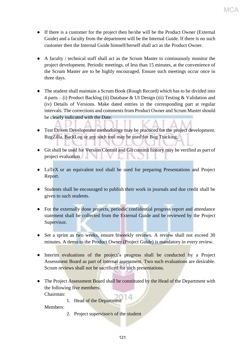- If there is a customer for the project then he/she will be the Product Owner (External Guide) and a faculty from the department will be the Internal Guide. If there is no such customer then the Internal Guide himself/herself shall act as the Product Owner.
- A faculty / technical staff shall act as the Scrum Master to continuously monitor the project development. Periodic meetings, of less than 15 minutes, at the convenience of the Scrum Master are to be highly encouraged. Ensure such meetings occur once in three days.
- The student shall maintain a Scrum Book (Rough Record) which has to be divided into 4 parts – (i) Product Backlog (ii) Database & UI Design (iii) Testing & Validation and (iv) Details of Versions. Make dated entries in the corresponding part at regular intervals. The corrections and comments from Product Owner and Scrum Master should be clearly indicated with the Date.
- Test Driven Development methodology may be practiced for the project development. BugZilla, BackLog or any such tool may be used for Bug Tracking.
- Git shall be used for Version Control and Git commit history may be verified as part of project evaluation .
- LaTeX or an equivalent tool shall be used for preparing Presentations and Project Report.
- Students shall be encouraged to publish their work in journals and due credit shall be given to such students.
- For the externally done projects, periodic confidential progress report and attendance statement shall be collected from the External Guide and be reviewed by the Project Supervisor.
- Set a sprint as two weeks, ensure biweekly reviews. A review shall not exceed 30 minutes. A demo to the Product Owner (Project Guide) is mandatory in every review.
- Interim evaluations of the project's progress shall be conducted by a Project Assessment Board as part of internal assessment. Two such evaluations are desirable. Scrum reviews shall not be sacrificed for such presentations.
- The Project Assessment Board shall be constituted by the Head of the Department with the following five members. Chairman:
	- 1. Head of the Department

Members:

2. Project supervisor/s of the student